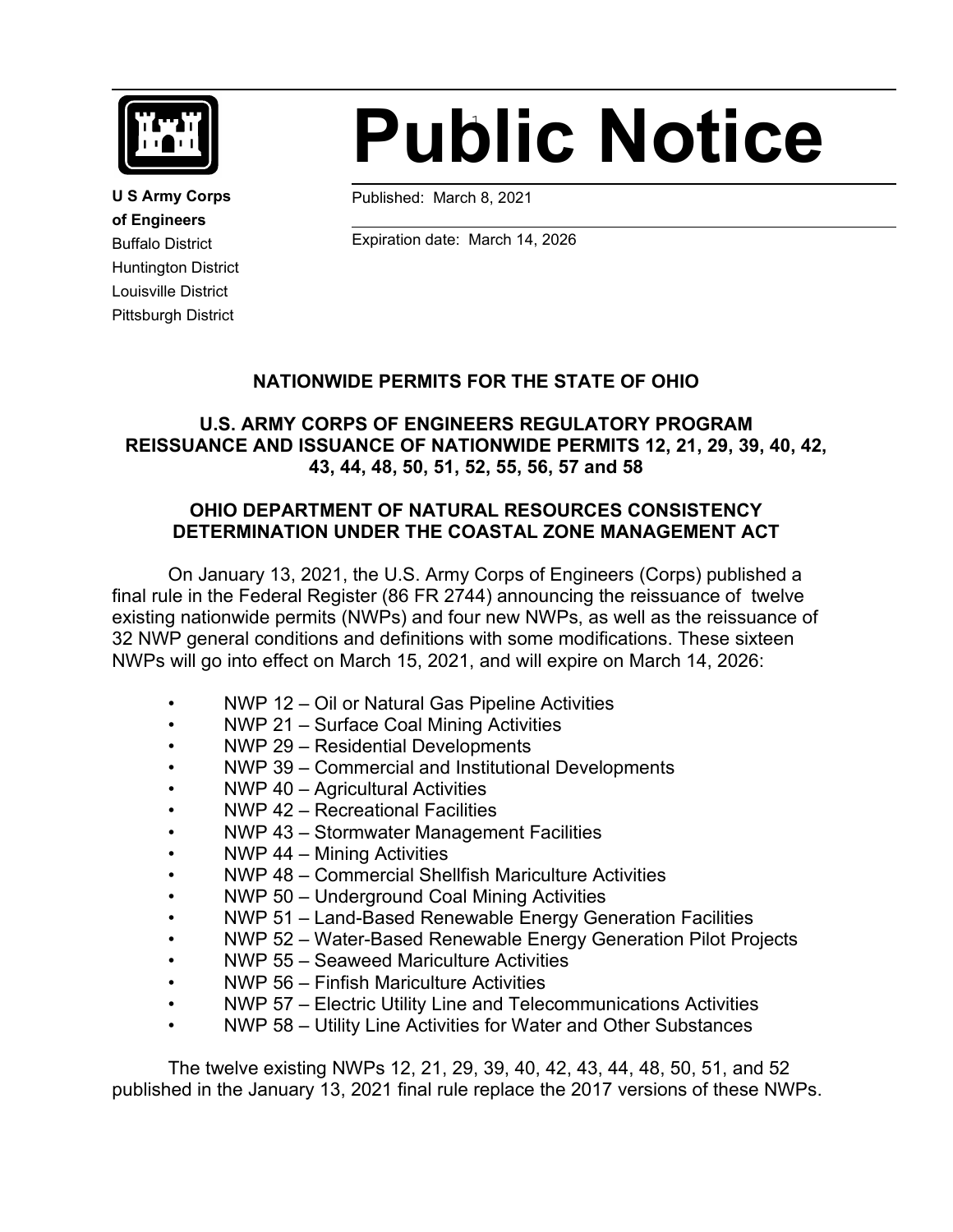

**U S Army Corps of Engineers** Buffalo District Huntington District Louisville District Pittsburgh District

# 1 **Public Notice**

Published: March 8, 2021

 $\ddot{\phantom{a}}$ 

Expiration date: March 14, 2026

#### **NATIONWIDE PERMITS FOR THE STATE OF OHIO**

# **U.S. ARMY CORPS OF ENGINEERS REGULATORY PROGRAM REISSUANCE AND ISSUANCE OF NATIONWIDE PERMITS 12, 21, 29, 39, 40, 42, 43, 44, 48, 50, 51, 52, 55, 56, 57 and 58**

#### **OHIO DEPARTMENT OF NATURAL RESOURCES CONSISTENCY DETERMINATION UNDER THE COASTAL ZONE MANAGEMENT ACT**

On January 13, 2021, the U.S. Army Corps of Engineers (Corps) published a final rule in the Federal Register (86 FR 2744) announcing the reissuance of twelve existing nationwide permits (NWPs) and four new NWPs, as well as the reissuance of 32 NWP general conditions and definitions with some modifications. These sixteen NWPs will go into effect on March 15, 2021, and will expire on March 14, 2026:

- NWP 12 Oil or Natural Gas Pipeline Activities
- NWP 21 Surface Coal Mining Activities
- NWP 29 Residential Developments
- NWP 39 Commercial and Institutional Developments
- NWP 40 Agricultural Activities
- NWP 42 Recreational Facilities
- NWP 43 Stormwater Management Facilities
- NWP 44 Mining Activities
- NWP 48 Commercial Shellfish Mariculture Activities
- NWP 50 Underground Coal Mining Activities
- NWP 51 Land-Based Renewable Energy Generation Facilities
- NWP 52 Water-Based Renewable Energy Generation Pilot Projects
- NWP 55 Seaweed Mariculture Activities
- NWP 56 Finfish Mariculture Activities
- NWP 57 Electric Utility Line and Telecommunications Activities
- NWP 58 Utility Line Activities for Water and Other Substances

The twelve existing NWPs 12, 21, 29, 39, 40, 42, 43, 44, 48, 50, 51, and 52 published in the January 13, 2021 final rule replace the 2017 versions of these NWPs.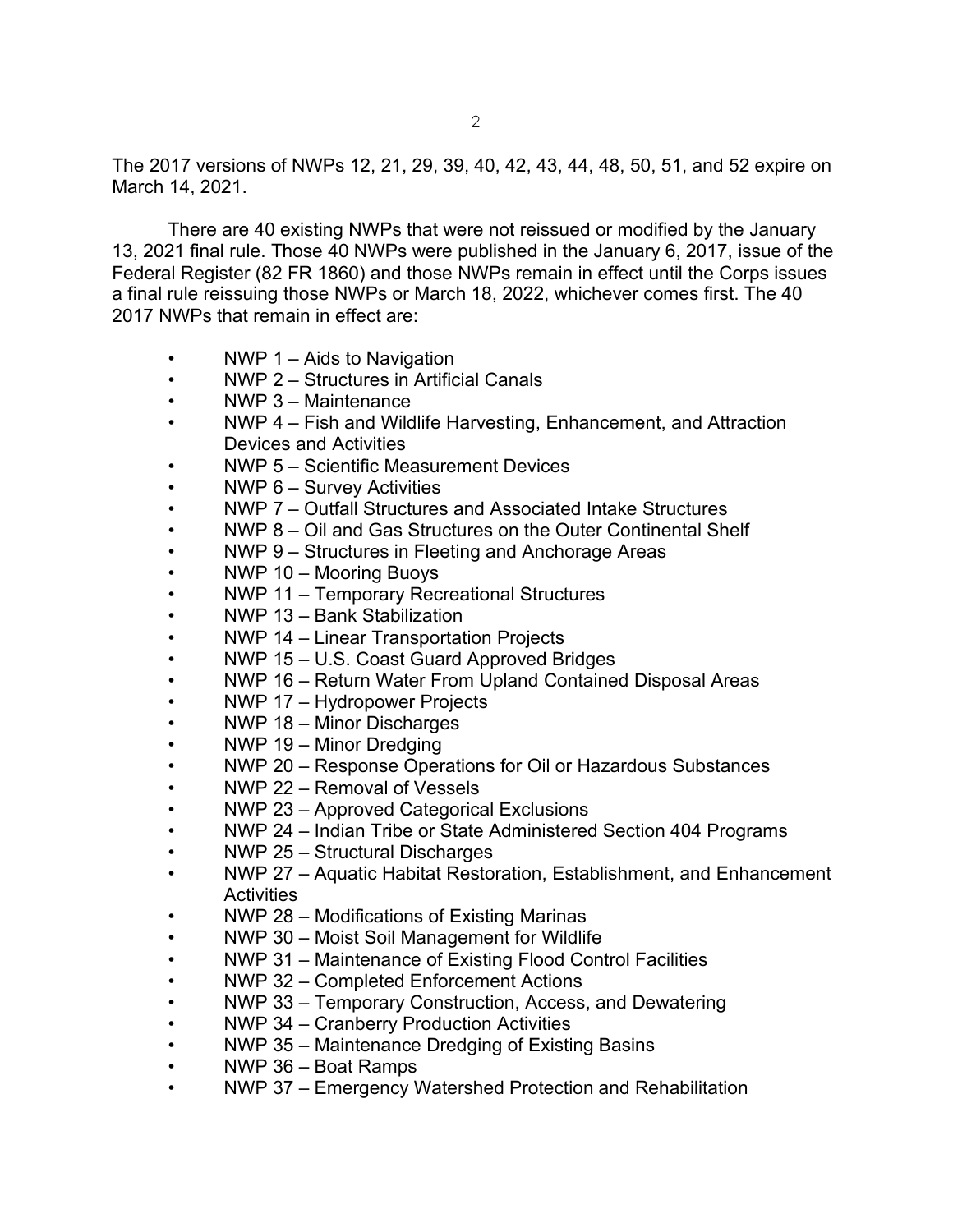The 2017 versions of NWPs 12, 21, 29, 39, 40, 42, 43, 44, 48, 50, 51, and 52 expire on March 14, 2021.

There are 40 existing NWPs that were not reissued or modified by the January 13, 2021 final rule. Those 40 NWPs were published in the January 6, 2017, issue of the Federal Register (82 FR 1860) and those NWPs remain in effect until the Corps issues a final rule reissuing those NWPs or March 18, 2022, whichever comes first. The 40 2017 NWPs that remain in effect are:

- NWP  $1 -$  Aids to Navigation
- NWP 2 Structures in Artificial Canals
- NWP 3 Maintenance
- NWP 4 Fish and Wildlife Harvesting, Enhancement, and Attraction Devices and Activities
- NWP 5 Scientific Measurement Devices
- NWP 6 Survey Activities
- NWP 7 Outfall Structures and Associated Intake Structures
- NWP 8 Oil and Gas Structures on the Outer Continental Shelf
- NWP 9 Structures in Fleeting and Anchorage Areas
- NWP 10 Mooring Buoys
- NWP 11 Temporary Recreational Structures
- NWP 13 Bank Stabilization
- NWP 14 Linear Transportation Projects
- NWP 15 U.S. Coast Guard Approved Bridges
- NWP 16 Return Water From Upland Contained Disposal Areas
- NWP 17 Hydropower Projects
- NWP 18 Minor Discharges
- NWP 19 Minor Dredging
- NWP 20 Response Operations for Oil or Hazardous Substances
- NWP 22 Removal of Vessels
- NWP 23 Approved Categorical Exclusions
- NWP 24 Indian Tribe or State Administered Section 404 Programs
- NWP 25 Structural Discharges
- NWP 27 Aquatic Habitat Restoration, Establishment, and Enhancement **Activities**
- NWP 28 Modifications of Existing Marinas
- NWP 30 Moist Soil Management for Wildlife
- NWP 31 Maintenance of Existing Flood Control Facilities
- NWP 32 Completed Enforcement Actions
- NWP 33 Temporary Construction, Access, and Dewatering
- NWP 34 Cranberry Production Activities
- NWP 35 Maintenance Dredging of Existing Basins
- NWP 36 Boat Ramps
- NWP 37 Emergency Watershed Protection and Rehabilitation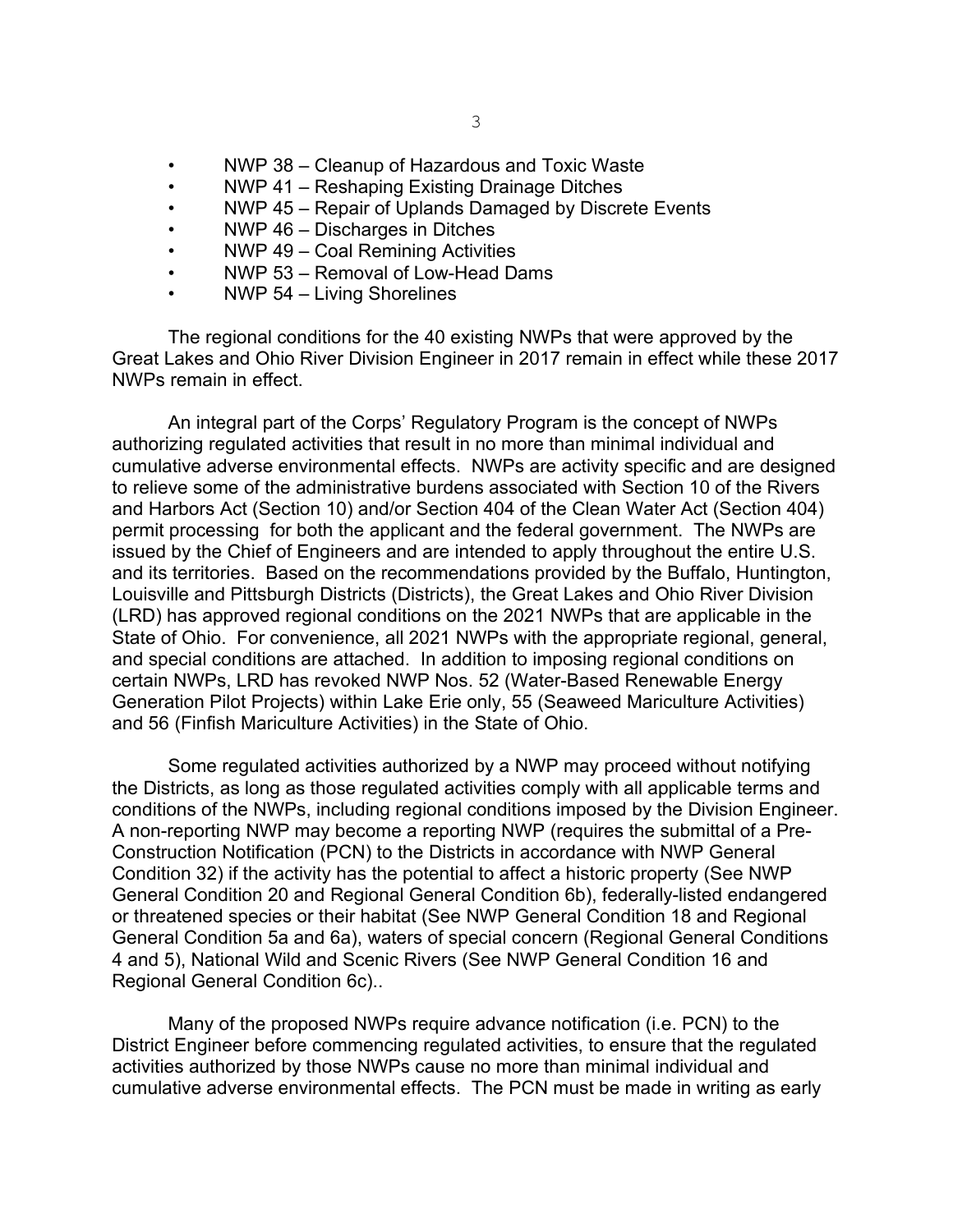- NWP 38 Cleanup of Hazardous and Toxic Waste
- NWP 41 Reshaping Existing Drainage Ditches
- NWP 45 Repair of Uplands Damaged by Discrete Events
- NWP 46 Discharges in Ditches
- NWP 49 Coal Remining Activities
- NWP 53 Removal of Low-Head Dams
- NWP 54 Living Shorelines

The regional conditions for the 40 existing NWPs that were approved by the Great Lakes and Ohio River Division Engineer in 2017 remain in effect while these 2017 NWPs remain in effect.

An integral part of the Corps' Regulatory Program is the concept of NWPs authorizing regulated activities that result in no more than minimal individual and cumulative adverse environmental effects. NWPs are activity specific and are designed to relieve some of the administrative burdens associated with Section 10 of the Rivers and Harbors Act (Section 10) and/or Section 404 of the Clean Water Act (Section 404) permit processing for both the applicant and the federal government. The NWPs are issued by the Chief of Engineers and are intended to apply throughout the entire U.S. and its territories. Based on the recommendations provided by the Buffalo, Huntington, Louisville and Pittsburgh Districts (Districts), the Great Lakes and Ohio River Division (LRD) has approved regional conditions on the 2021 NWPs that are applicable in the State of Ohio. For convenience, all 2021 NWPs with the appropriate regional, general, and special conditions are attached. In addition to imposing regional conditions on certain NWPs, LRD has revoked NWP Nos. 52 (Water-Based Renewable Energy Generation Pilot Projects) within Lake Erie only, 55 (Seaweed Mariculture Activities) and 56 (Finfish Mariculture Activities) in the State of Ohio.

Some regulated activities authorized by a NWP may proceed without notifying the Districts, as long as those regulated activities comply with all applicable terms and conditions of the NWPs, including regional conditions imposed by the Division Engineer. A non-reporting NWP may become a reporting NWP (requires the submittal of a Pre-Construction Notification (PCN) to the Districts in accordance with NWP General Condition 32) if the activity has the potential to affect a historic property (See NWP General Condition 20 and Regional General Condition 6b), federally-listed endangered or threatened species or their habitat (See NWP General Condition 18 and Regional General Condition 5a and 6a), waters of special concern (Regional General Conditions 4 and 5), National Wild and Scenic Rivers (See NWP General Condition 16 and Regional General Condition 6c)..

Many of the proposed NWPs require advance notification (i.e. PCN) to the District Engineer before commencing regulated activities, to ensure that the regulated activities authorized by those NWPs cause no more than minimal individual and cumulative adverse environmental effects. The PCN must be made in writing as early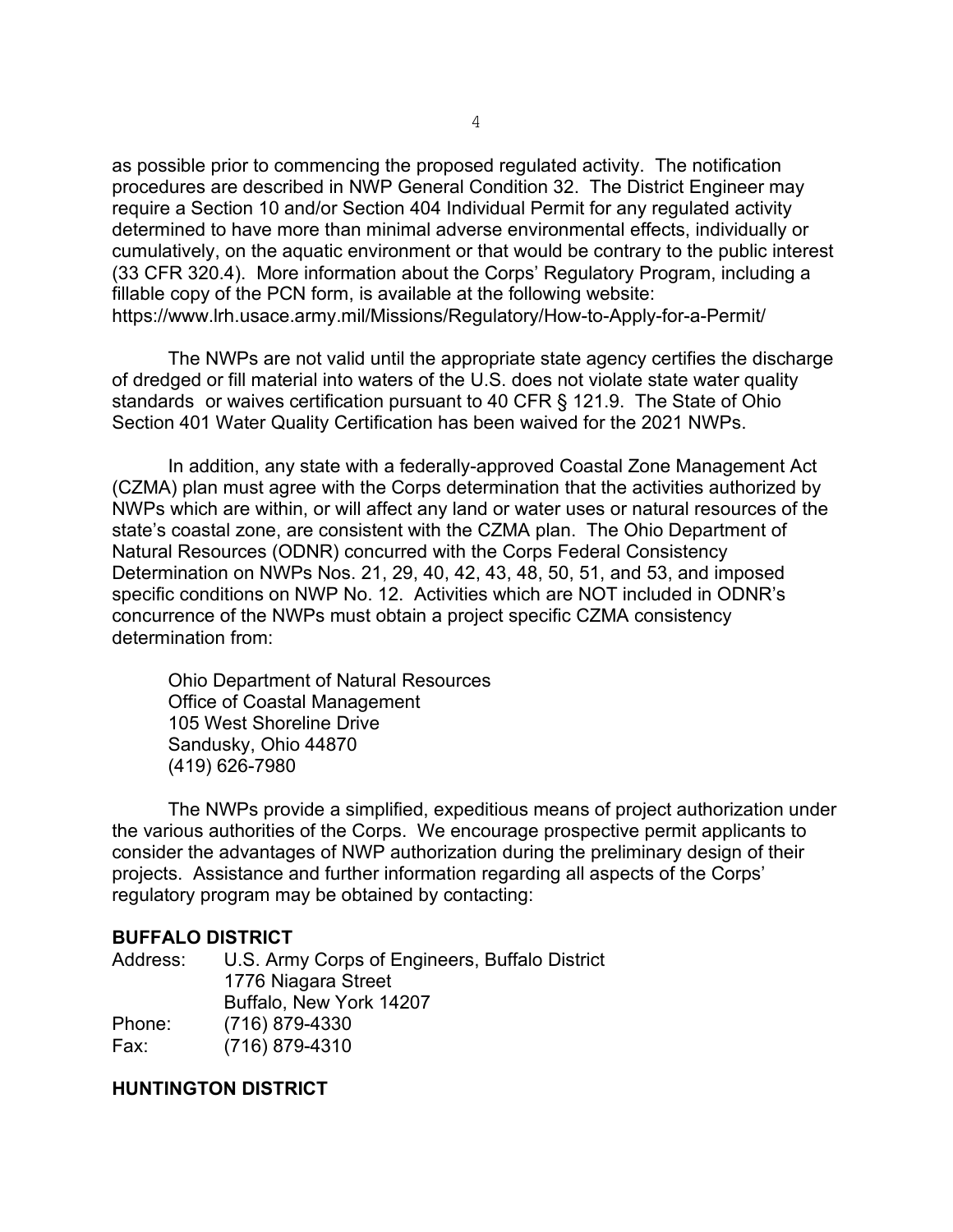as possible prior to commencing the proposed regulated activity. The notification procedures are described in NWP General Condition 32. The District Engineer may require a Section 10 and/or Section 404 Individual Permit for any regulated activity determined to have more than minimal adverse environmental effects, individually or cumulatively, on the aquatic environment or that would be contrary to the public interest (33 CFR 320.4). More information about the Corps' Regulatory Program, including a fillable copy of the PCN form, is available at the following website: https://www.lrh.usace.army.mil/Missions/Regulatory/How-to-Apply-for-a-Permit/

The NWPs are not valid until the appropriate state agency certifies the discharge of dredged or fill material into waters of the U.S. does not violate state water quality standards or waives certification pursuant to 40 CFR § 121.9. The State of Ohio Section 401 Water Quality Certification has been waived for the 2021 NWPs.

In addition, any state with a federally-approved Coastal Zone Management Act (CZMA) plan must agree with the Corps determination that the activities authorized by NWPs which are within, or will affect any land or water uses or natural resources of the state's coastal zone, are consistent with the CZMA plan. The Ohio Department of Natural Resources (ODNR) concurred with the Corps Federal Consistency Determination on NWPs Nos. 21, 29, 40, 42, 43, 48, 50, 51, and 53, and imposed specific conditions on NWP No. 12. Activities which are NOT included in ODNR's concurrence of the NWPs must obtain a project specific CZMA consistency determination from:

Ohio Department of Natural Resources Office of Coastal Management 105 West Shoreline Drive Sandusky, Ohio 44870 (419) 626-7980

The NWPs provide a simplified, expeditious means of project authorization under the various authorities of the Corps. We encourage prospective permit applicants to consider the advantages of NWP authorization during the preliminary design of their projects. Assistance and further information regarding all aspects of the Corps' regulatory program may be obtained by contacting:

#### **BUFFALO DISTRICT**

| Address: | U.S. Army Corps of Engineers, Buffalo District |
|----------|------------------------------------------------|
|          | 1776 Niagara Street                            |
|          | Buffalo, New York 14207                        |
| Phone:   | (716) 879-4330                                 |
| Fax:     | (716) 879-4310                                 |
|          |                                                |

#### **HUNTINGTON DISTRICT**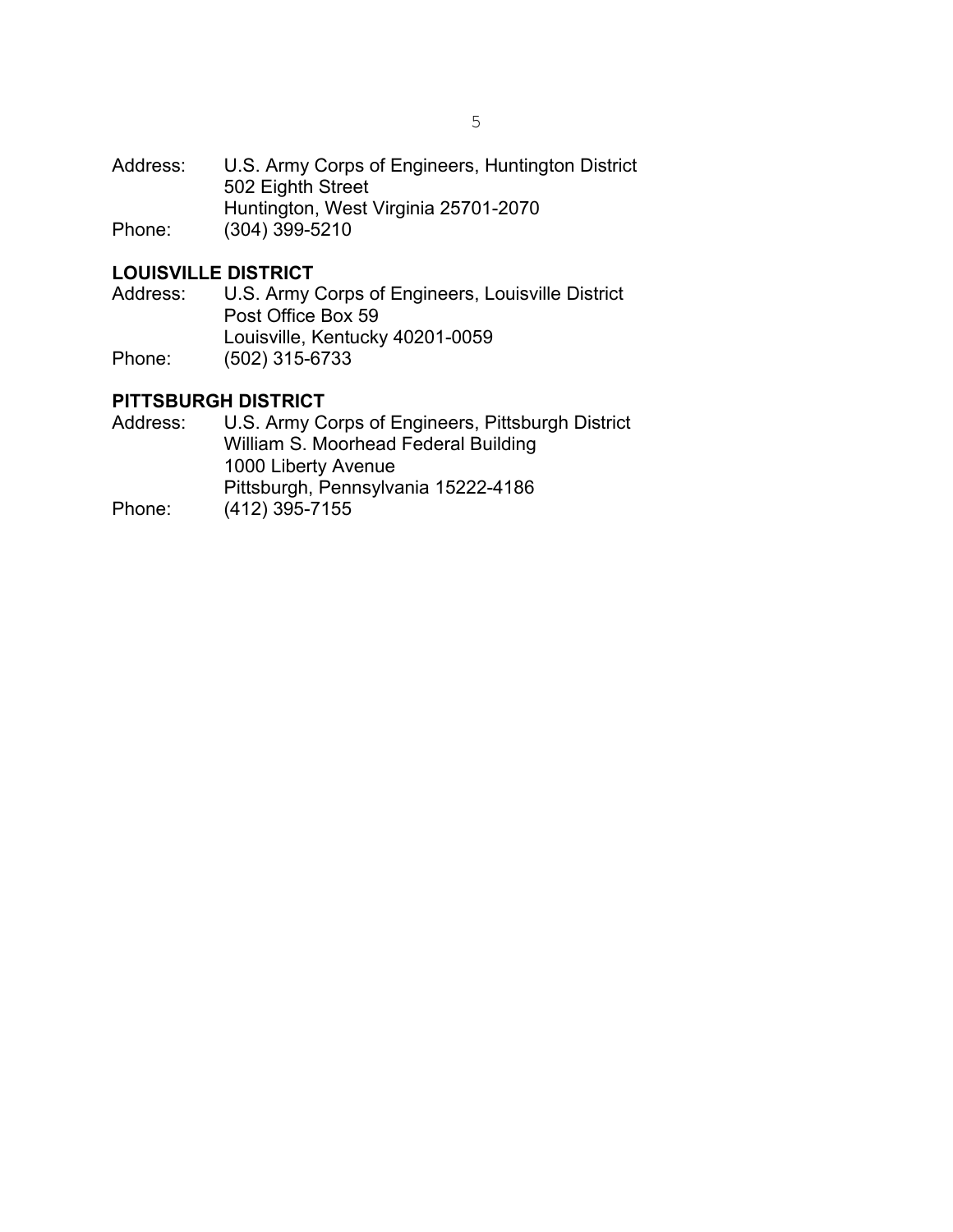#### **LOUISVILLE DISTRICT**

Address: U.S. Army Corps of Engineers, Louisville District Post Office Box 59 Louisville, Kentucky 40201-0059 Phone: (502) 315-6733

#### **PITTSBURGH DISTRICT**

Address: U.S. Army Corps of Engineers, Pittsburgh District William S. Moorhead Federal Building 1000 Liberty Avenue Pittsburgh, Pennsylvania 15222-4186 Phone: (412) 395-7155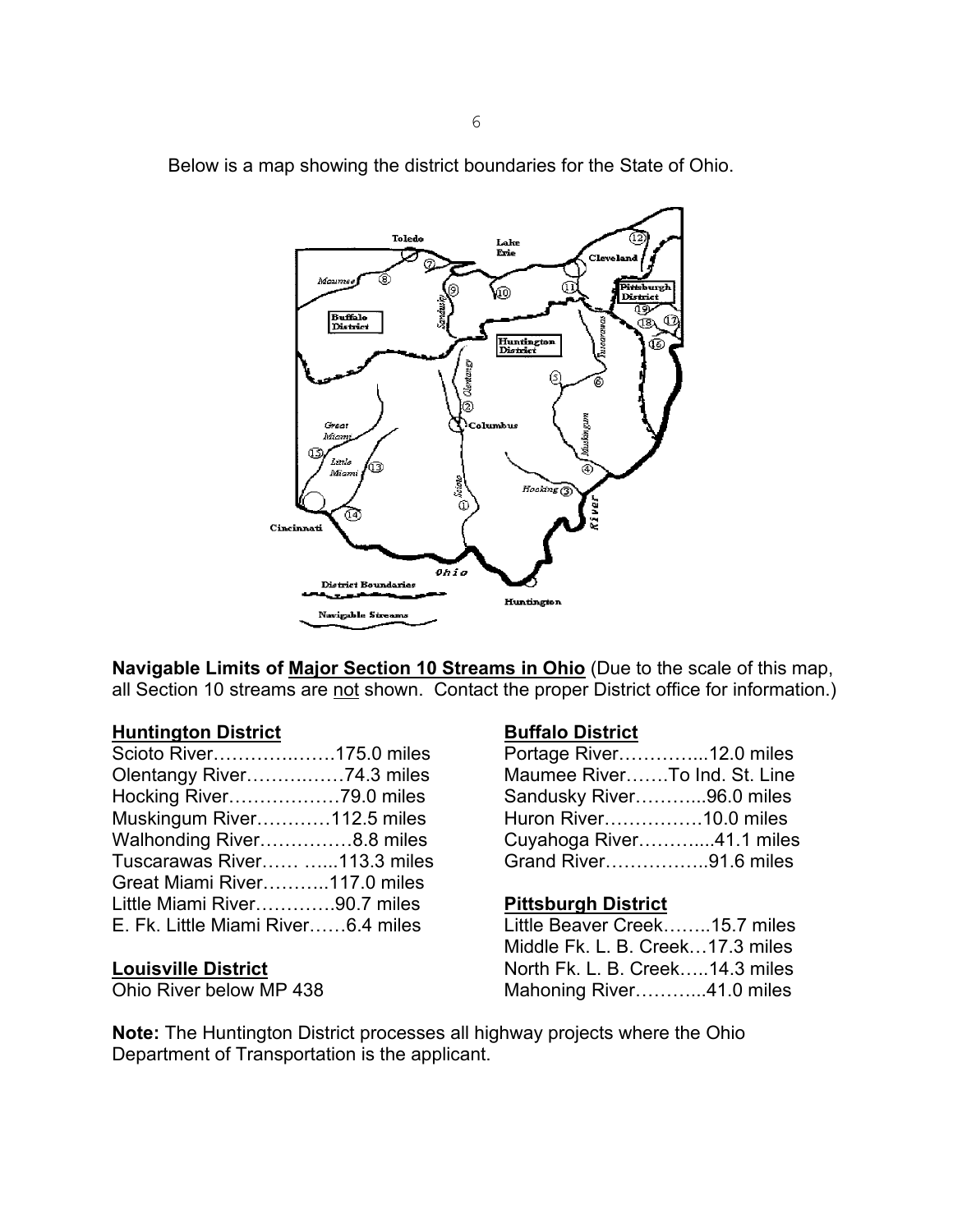

Below is a map showing the district boundaries for the State of Ohio.

**Navigable Limits of Major Section 10 Streams in Ohio** (Due to the scale of this map, all Section 10 streams are not shown. Contact the proper District office for information.)

#### **Huntington District Buffalo District**

| Scioto River175.0 miles            | Portage River12.0 miles       |  |
|------------------------------------|-------------------------------|--|
| Olentangy River74.3 miles          | Maumee RiverTo Ind. St. Line  |  |
|                                    | Sandusky River96.0 miles      |  |
| Muskingum River112.5 miles         | Huron River10.0 miles         |  |
| Walhonding River8.8 miles          | Cuyahoga River41.1 miles      |  |
| Tuscarawas River 113.3 miles       | Grand River91.6 miles         |  |
| Great Miami River117.0 miles       |                               |  |
| Little Miami River90.7 miles       | <b>Pittsburgh District</b>    |  |
| E. Fk. Little Miami River6.4 miles | Little Beaver Creek15.7 miles |  |

| Portage River12.0 miles      |  |
|------------------------------|--|
| Maumee RiverTo Ind. St. Line |  |
| Sandusky River96.0 miles     |  |
| Huron River10.0 miles        |  |
| Cuyahoga River41.1 miles     |  |
| Grand River91.6 miles        |  |

#### **Pittsburgh District**

Little Beaver Creek……..15.7 miles Middle Fk. L. B. Creek…17.3 miles **Louisville District** North Fk. L. B. Creek…..14.3 miles Mahoning River………….41.0 miles

**Note:** The Huntington District processes all highway projects where the Ohio Department of Transportation is the applicant.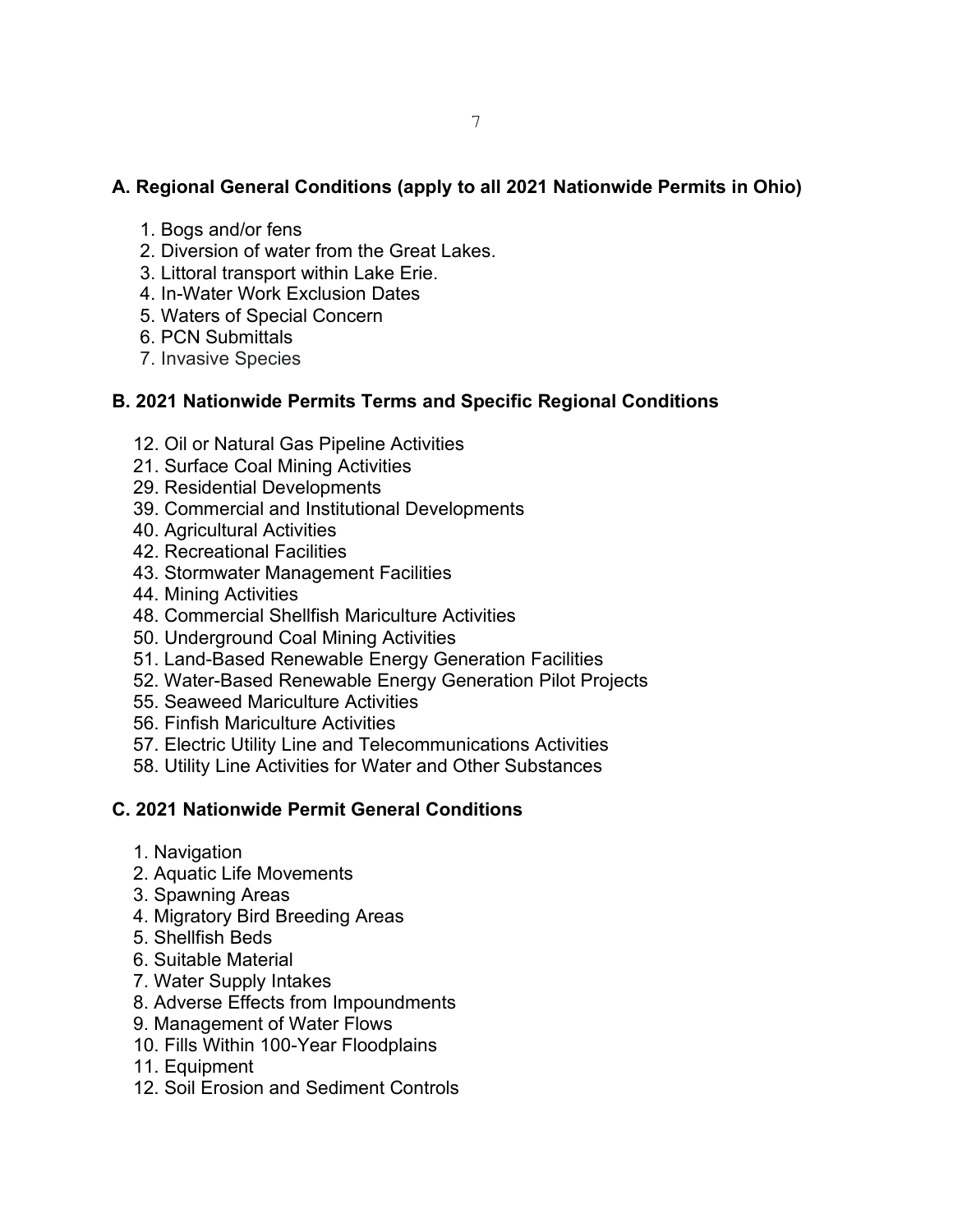# **A. Regional General Conditions (apply to all 2021 Nationwide Permits in Ohio)**

- 1. Bogs and/or fens
- 2. Diversion of water from the Great Lakes.
- 3. Littoral transport within Lake Erie.
- 4. In-Water Work Exclusion Dates
- 5. Waters of Special Concern
- 6. PCN Submittals
- 7. Invasive Species

# **B. 2021 Nationwide Permits Terms and Specific Regional Conditions**

- 12. Oil or Natural Gas Pipeline Activities
- 21. Surface Coal Mining Activities
- 29. Residential Developments
- 39. Commercial and Institutional Developments
- 40. Agricultural Activities
- 42. Recreational Facilities
- 43. Stormwater Management Facilities
- 44. Mining Activities
- 48. Commercial Shellfish Mariculture Activities
- 50. Underground Coal Mining Activities
- 51. Land-Based Renewable Energy Generation Facilities
- 52. Water-Based Renewable Energy Generation Pilot Projects
- 55. Seaweed Mariculture Activities
- 56. Finfish Mariculture Activities
- 57. Electric Utility Line and Telecommunications Activities
- 58. Utility Line Activities for Water and Other Substances

# **C. 2021 Nationwide Permit General Conditions**

- 1. Navigation
- 2. Aquatic Life Movements
- 3. Spawning Areas
- 4. Migratory Bird Breeding Areas
- 5. Shellfish Beds
- 6. Suitable Material
- 7. Water Supply Intakes
- 8. Adverse Effects from Impoundments
- 9. Management of Water Flows
- 10. Fills Within 100-Year Floodplains
- 11. Equipment
- 12. Soil Erosion and Sediment Controls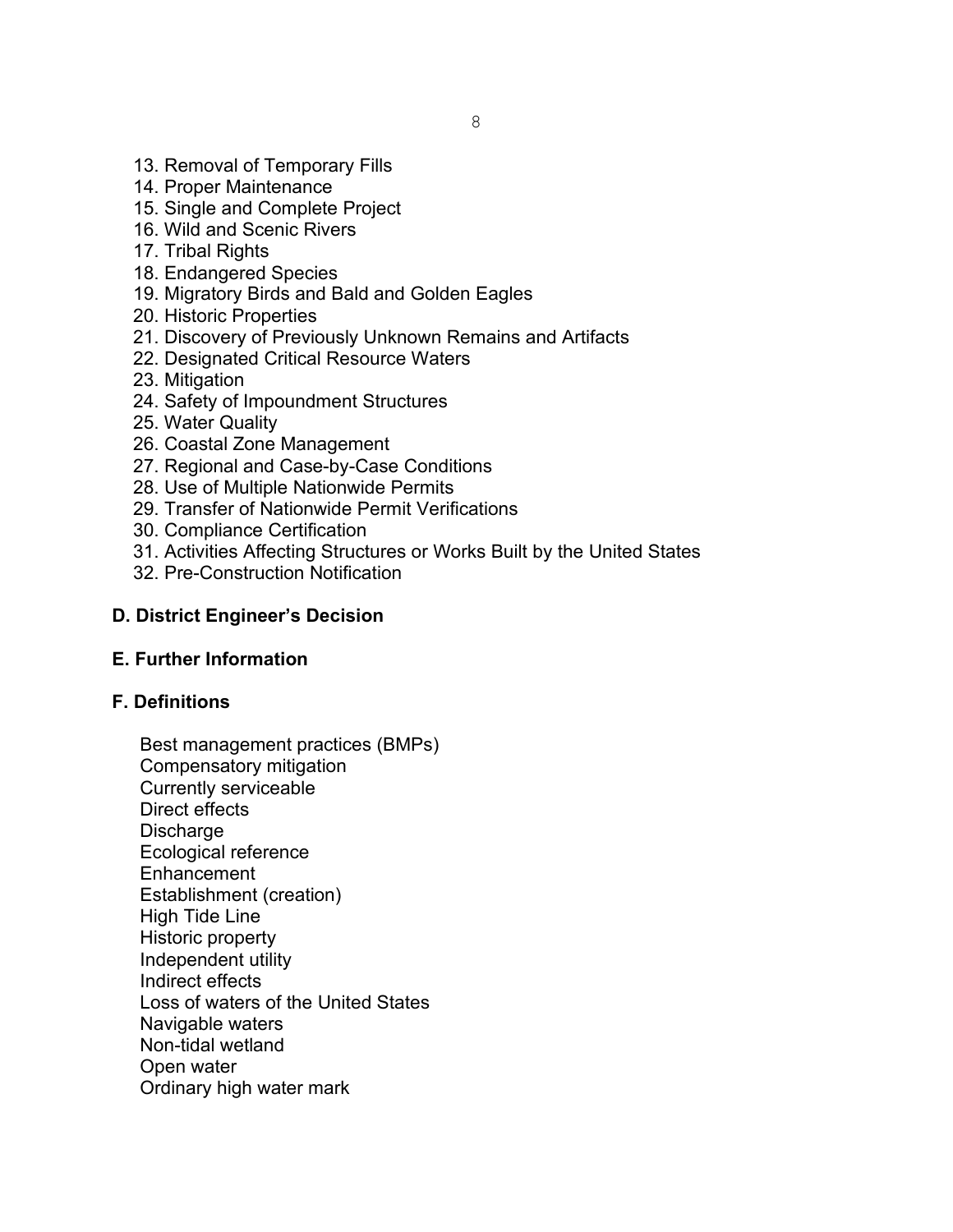- 13. Removal of Temporary Fills
- 14. Proper Maintenance
- 15. Single and Complete Project
- 16. Wild and Scenic Rivers
- 17. Tribal Rights
- 18. Endangered Species
- 19. Migratory Birds and Bald and Golden Eagles
- 20. Historic Properties
- 21. Discovery of Previously Unknown Remains and Artifacts
- 22. Designated Critical Resource Waters
- 23. Mitigation
- 24. Safety of Impoundment Structures
- 25. Water Quality
- 26. Coastal Zone Management
- 27. Regional and Case-by-Case Conditions
- 28. Use of Multiple Nationwide Permits
- 29. Transfer of Nationwide Permit Verifications
- 30. Compliance Certification
- 31. Activities Affecting Structures or Works Built by the United States
- 32. Pre-Construction Notification

#### **D. District Engineer's Decision**

# **E. Further Information**

#### **F. Definitions**

Best management practices (BMPs) Compensatory mitigation Currently serviceable Direct effects **Discharge** Ecological reference **Enhancement** Establishment (creation) High Tide Line Historic property Independent utility Indirect effects Loss of waters of the United States Navigable waters Non-tidal wetland Open water Ordinary high water mark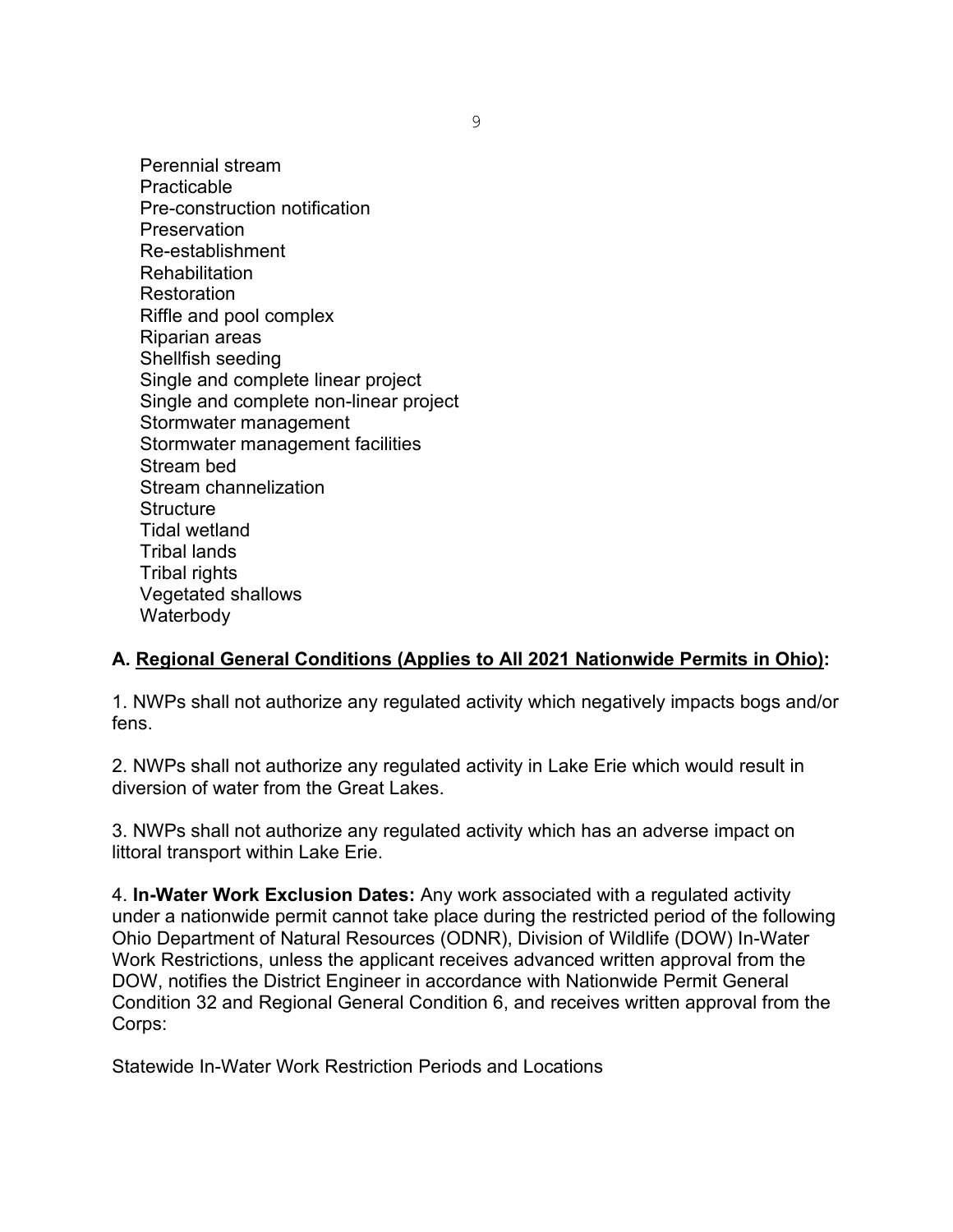Perennial stream Practicable Pre-construction notification **Preservation** Re-establishment Rehabilitation **Restoration** Riffle and pool complex Riparian areas Shellfish seeding Single and complete linear project Single and complete non-linear project Stormwater management Stormwater management facilities Stream bed Stream channelization **Structure** Tidal wetland Tribal lands **Tribal rights** Vegetated shallows **Waterbody** 

#### **A. Regional General Conditions (Applies to All 2021 Nationwide Permits in Ohio):**

1. NWPs shall not authorize any regulated activity which negatively impacts bogs and/or fens.

2. NWPs shall not authorize any regulated activity in Lake Erie which would result in diversion of water from the Great Lakes.

3. NWPs shall not authorize any regulated activity which has an adverse impact on littoral transport within Lake Erie.

4. **In-Water Work Exclusion Dates:** Any work associated with a regulated activity under a nationwide permit cannot take place during the restricted period of the following Ohio Department of Natural Resources (ODNR), Division of Wildlife (DOW) In-Water Work Restrictions, unless the applicant receives advanced written approval from the DOW, notifies the District Engineer in accordance with Nationwide Permit General Condition 32 and Regional General Condition 6, and receives written approval from the Corps:

Statewide In-Water Work Restriction Periods and Locations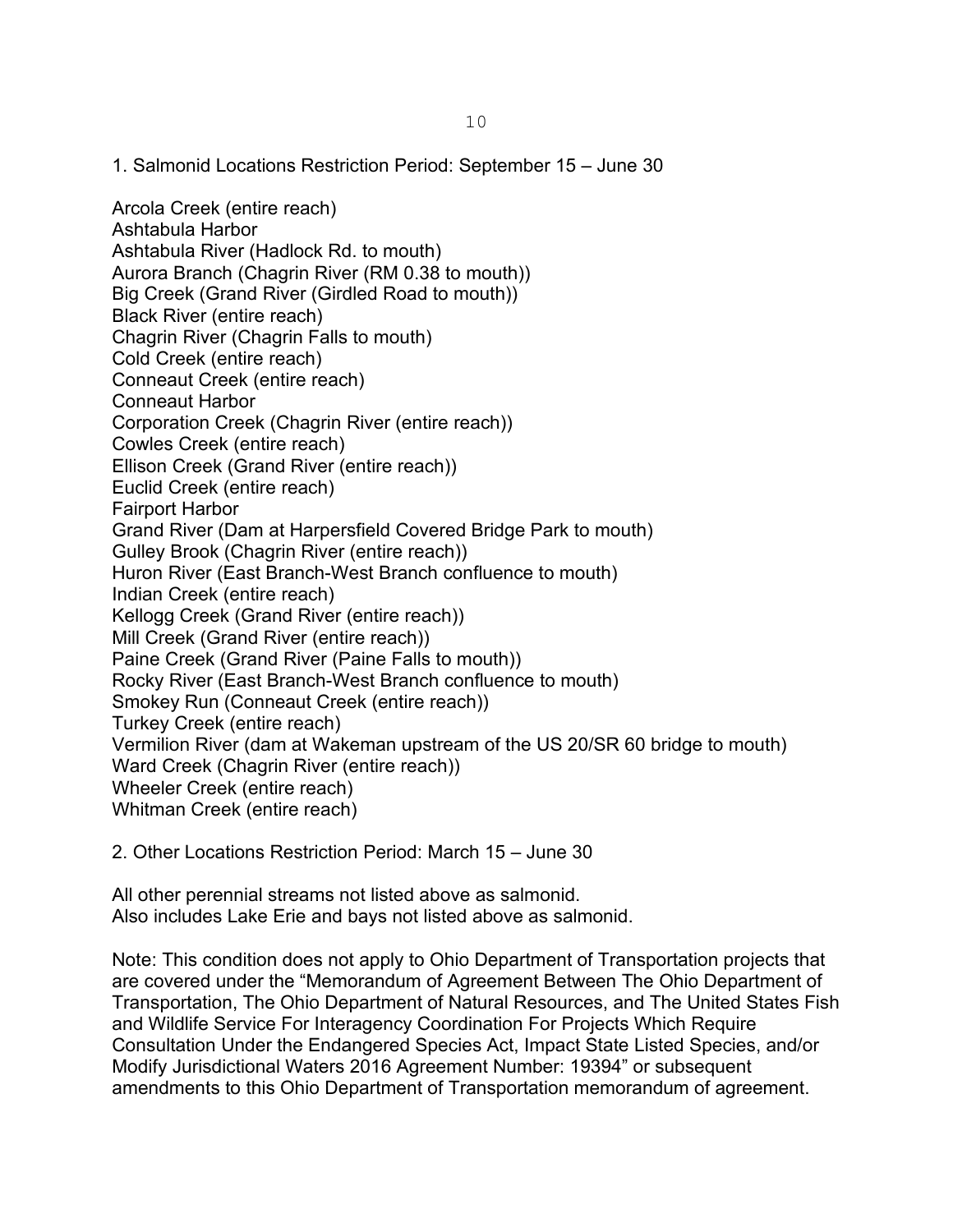1. Salmonid Locations Restriction Period: September 15 – June 30

Arcola Creek (entire reach) Ashtabula Harbor Ashtabula River (Hadlock Rd. to mouth) Aurora Branch (Chagrin River (RM 0.38 to mouth)) Big Creek (Grand River (Girdled Road to mouth)) Black River (entire reach) Chagrin River (Chagrin Falls to mouth) Cold Creek (entire reach) Conneaut Creek (entire reach) Conneaut Harbor Corporation Creek (Chagrin River (entire reach)) Cowles Creek (entire reach) Ellison Creek (Grand River (entire reach)) Euclid Creek (entire reach) Fairport Harbor Grand River (Dam at Harpersfield Covered Bridge Park to mouth) Gulley Brook (Chagrin River (entire reach)) Huron River (East Branch-West Branch confluence to mouth) Indian Creek (entire reach) Kellogg Creek (Grand River (entire reach)) Mill Creek (Grand River (entire reach)) Paine Creek (Grand River (Paine Falls to mouth)) Rocky River (East Branch-West Branch confluence to mouth) Smokey Run (Conneaut Creek (entire reach)) Turkey Creek (entire reach) Vermilion River (dam at Wakeman upstream of the US 20/SR 60 bridge to mouth) Ward Creek (Chagrin River (entire reach)) Wheeler Creek (entire reach) Whitman Creek (entire reach)

2. Other Locations Restriction Period: March 15 – June 30

All other perennial streams not listed above as salmonid. Also includes Lake Erie and bays not listed above as salmonid.

Note: This condition does not apply to Ohio Department of Transportation projects that are covered under the "Memorandum of Agreement Between The Ohio Department of Transportation, The Ohio Department of Natural Resources, and The United States Fish and Wildlife Service For Interagency Coordination For Projects Which Require Consultation Under the Endangered Species Act, Impact State Listed Species, and/or Modify Jurisdictional Waters 2016 Agreement Number: 19394" or subsequent amendments to this Ohio Department of Transportation memorandum of agreement.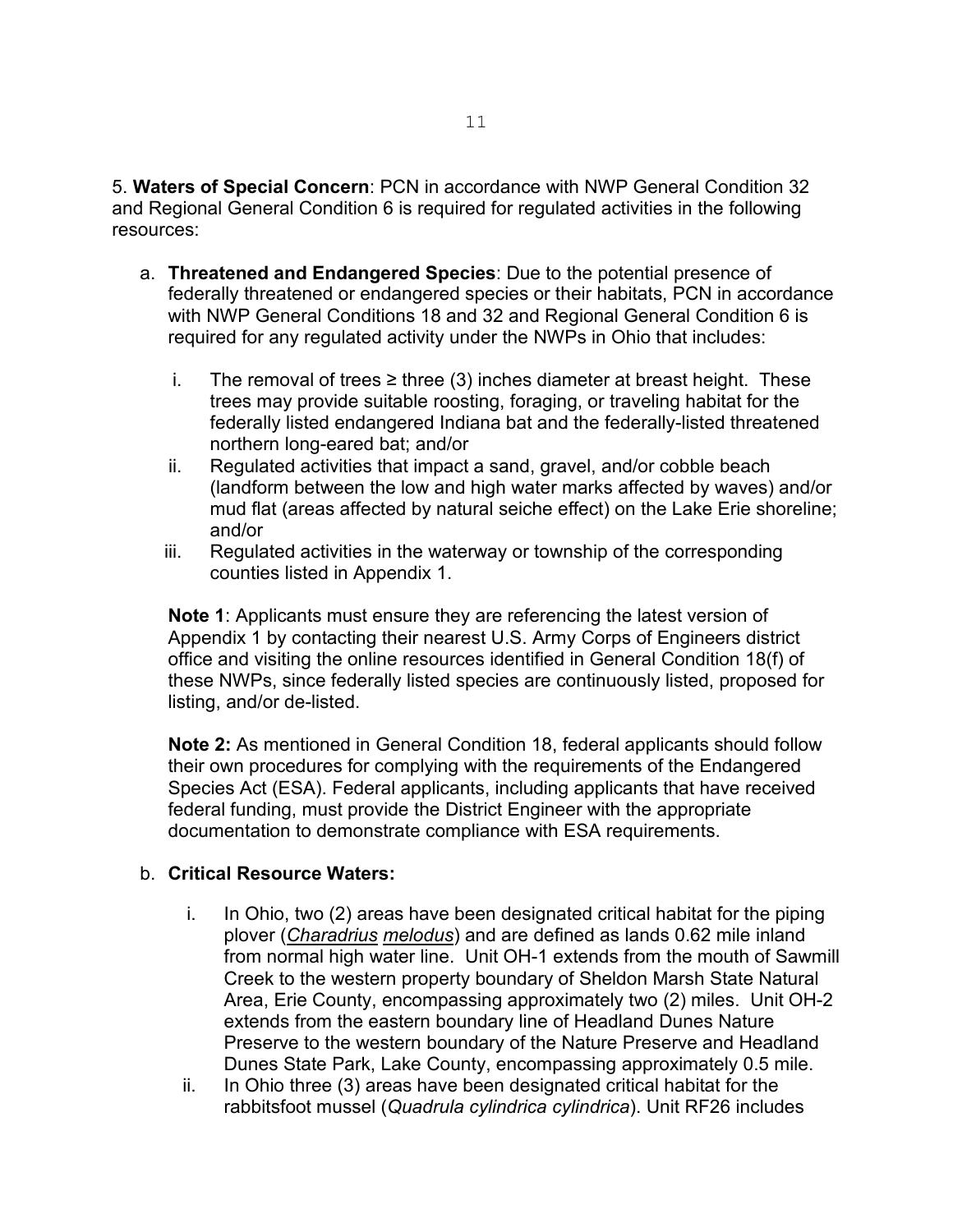5. **Waters of Special Concern**: PCN in accordance with NWP General Condition 32 and Regional General Condition 6 is required for regulated activities in the following resources:

- a. **Threatened and Endangered Species**: Due to the potential presence of federally threatened or endangered species or their habitats, PCN in accordance with NWP General Conditions 18 and 32 and Regional General Condition 6 is required for any regulated activity under the NWPs in Ohio that includes:
	- i. The removal of trees ≥ three (3) inches diameter at breast height. These trees may provide suitable roosting, foraging, or traveling habitat for the federally listed endangered Indiana bat and the federally-listed threatened northern long-eared bat; and/or
	- ii. Regulated activities that impact a sand, gravel, and/or cobble beach (landform between the low and high water marks affected by waves) and/or mud flat (areas affected by natural seiche effect) on the Lake Erie shoreline; and/or
	- iii. Regulated activities in the waterway or township of the corresponding counties listed in Appendix 1.

**Note 1**: Applicants must ensure they are referencing the latest version of Appendix 1 by contacting their nearest U.S. Army Corps of Engineers district office and visiting the online resources identified in General Condition 18(f) of these NWPs, since federally listed species are continuously listed, proposed for listing, and/or de-listed.

**Note 2:** As mentioned in General Condition 18, federal applicants should follow their own procedures for complying with the requirements of the Endangered Species Act (ESA). Federal applicants, including applicants that have received federal funding, must provide the District Engineer with the appropriate documentation to demonstrate compliance with ESA requirements.

#### b. **Critical Resource Waters:**

- i. In Ohio, two (2) areas have been designated critical habitat for the piping plover (*Charadrius melodus*) and are defined as lands 0.62 mile inland from normal high water line. Unit OH-1 extends from the mouth of Sawmill Creek to the western property boundary of Sheldon Marsh State Natural Area, Erie County, encompassing approximately two (2) miles. Unit OH-2 extends from the eastern boundary line of Headland Dunes Nature Preserve to the western boundary of the Nature Preserve and Headland Dunes State Park, Lake County, encompassing approximately 0.5 mile.
- ii. In Ohio three (3) areas have been designated critical habitat for the rabbitsfoot mussel (*Quadrula cylindrica cylindrica*). Unit RF26 includes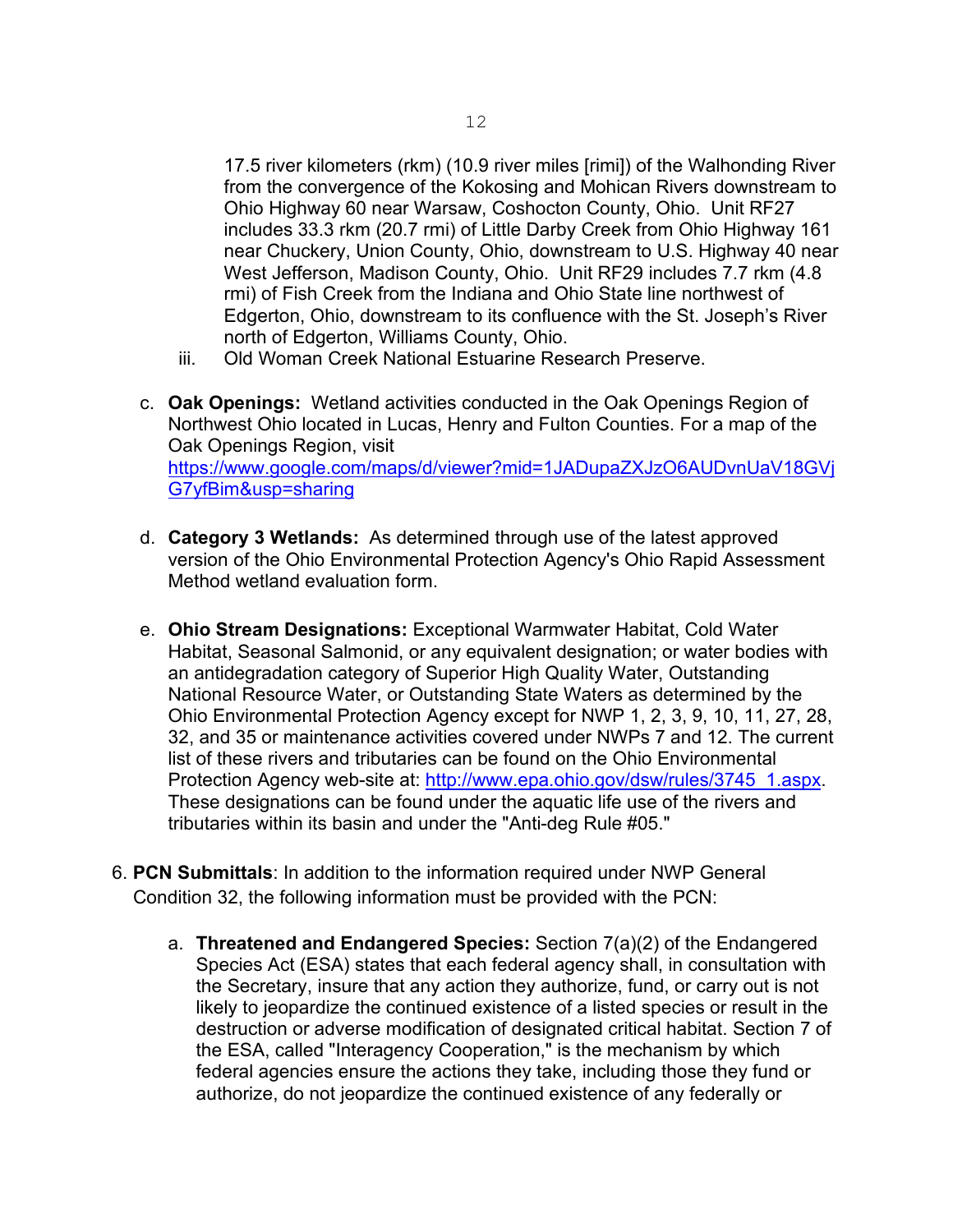17.5 river kilometers (rkm) (10.9 river miles [rimi]) of the Walhonding River from the convergence of the Kokosing and Mohican Rivers downstream to Ohio Highway 60 near Warsaw, Coshocton County, Ohio. Unit RF27 includes 33.3 rkm (20.7 rmi) of Little Darby Creek from Ohio Highway 161 near Chuckery, Union County, Ohio, downstream to U.S. Highway 40 near West Jefferson, Madison County, Ohio. Unit RF29 includes 7.7 rkm (4.8 rmi) of Fish Creek from the Indiana and Ohio State line northwest of Edgerton, Ohio, downstream to its confluence with the St. Joseph's River north of Edgerton, Williams County, Ohio.

- iii. Old Woman Creek National Estuarine Research Preserve.
- c. **Oak Openings:** Wetland activities conducted in the Oak Openings Region of Northwest Ohio located in Lucas, Henry and Fulton Counties. For a map of the Oak Openings Region, visit [https://www.google.com/maps/d/viewer?mid=1JADupaZXJzO6AUDvnUaV18GVj](https://www.google.com/maps/d/viewer?mid=1JADupaZXJzO6AUDvnUaV18GVjG7yfBim&usp=sharing) [G7yfBim&usp=sharing](https://www.google.com/maps/d/viewer?mid=1JADupaZXJzO6AUDvnUaV18GVjG7yfBim&usp=sharing)
- d. **Category 3 Wetlands:** As determined through use of the latest approved version of the Ohio Environmental Protection Agency's Ohio Rapid Assessment Method wetland evaluation form.
- e. **Ohio Stream Designations:** Exceptional Warmwater Habitat, Cold Water Habitat, Seasonal Salmonid, or any equivalent designation; or water bodies with an antidegradation category of Superior High Quality Water, Outstanding National Resource Water, or Outstanding State Waters as determined by the Ohio Environmental Protection Agency except for NWP 1, 2, 3, 9, 10, 11, 27, 28, 32, and 35 or maintenance activities covered under NWPs 7 and 12. The current list of these rivers and tributaries can be found on the Ohio Environmental Protection Agency web-site at: [http://www.epa.ohio.gov/dsw/rules/3745\\_1.aspx.](http://www.epa.ohio.gov/dsw/rules/3745_1.aspx) These designations can be found under the aquatic life use of the rivers and tributaries within its basin and under the "Anti-deg Rule #05."
- 6. **PCN Submittals**: In addition to the information required under NWP General Condition 32, the following information must be provided with the PCN:
	- a. **Threatened and Endangered Species:** Section 7(a)(2) of the Endangered Species Act (ESA) states that each federal agency shall, in consultation with the Secretary, insure that any action they authorize, fund, or carry out is not likely to jeopardize the continued existence of a listed species or result in the destruction or adverse modification of designated critical habitat. Section 7 of the ESA, called "Interagency Cooperation," is the mechanism by which federal agencies ensure the actions they take, including those they fund or authorize, do not jeopardize the continued existence of any federally or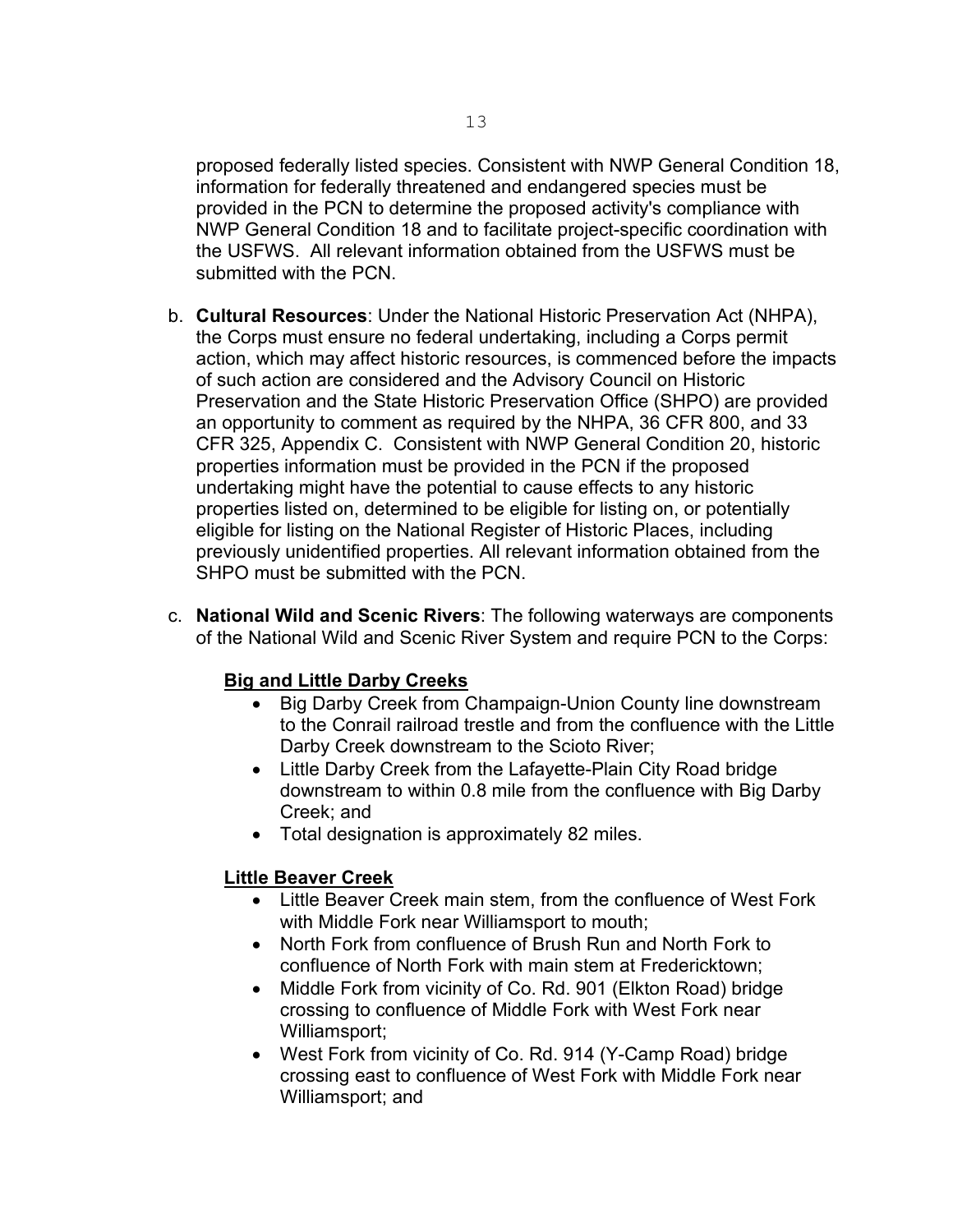proposed federally listed species. Consistent with NWP General Condition 18, information for federally threatened and endangered species must be provided in the PCN to determine the proposed activity's compliance with NWP General Condition 18 and to facilitate project-specific coordination with the USFWS. All relevant information obtained from the USFWS must be submitted with the PCN

- b. **Cultural Resources**: Under the National Historic Preservation Act (NHPA), the Corps must ensure no federal undertaking, including a Corps permit action, which may affect historic resources, is commenced before the impacts of such action are considered and the Advisory Council on Historic Preservation and the State Historic Preservation Office (SHPO) are provided an opportunity to comment as required by the NHPA, 36 CFR 800, and 33 CFR 325, Appendix C. Consistent with NWP General Condition 20, historic properties information must be provided in the PCN if the proposed undertaking might have the potential to cause effects to any historic properties listed on, determined to be eligible for listing on, or potentially eligible for listing on the National Register of Historic Places, including previously unidentified properties. All relevant information obtained from the SHPO must be submitted with the PCN.
- c. **National Wild and Scenic Rivers**: The following waterways are components of the National Wild and Scenic River System and require PCN to the Corps:

#### **Big and Little Darby Creeks**

- Big Darby Creek from Champaign-Union County line downstream to the Conrail railroad trestle and from the confluence with the Little Darby Creek downstream to the Scioto River;
- Little Darby Creek from the Lafayette-Plain City Road bridge downstream to within 0.8 mile from the confluence with Big Darby Creek; and
- Total designation is approximately 82 miles.

#### **Little Beaver Creek**

- Little Beaver Creek main stem, from the confluence of West Fork with Middle Fork near Williamsport to mouth;
- North Fork from confluence of Brush Run and North Fork to confluence of North Fork with main stem at Fredericktown;
- Middle Fork from vicinity of Co. Rd. 901 (Elkton Road) bridge crossing to confluence of Middle Fork with West Fork near Williamsport;
- West Fork from vicinity of Co. Rd. 914 (Y-Camp Road) bridge crossing east to confluence of West Fork with Middle Fork near Williamsport; and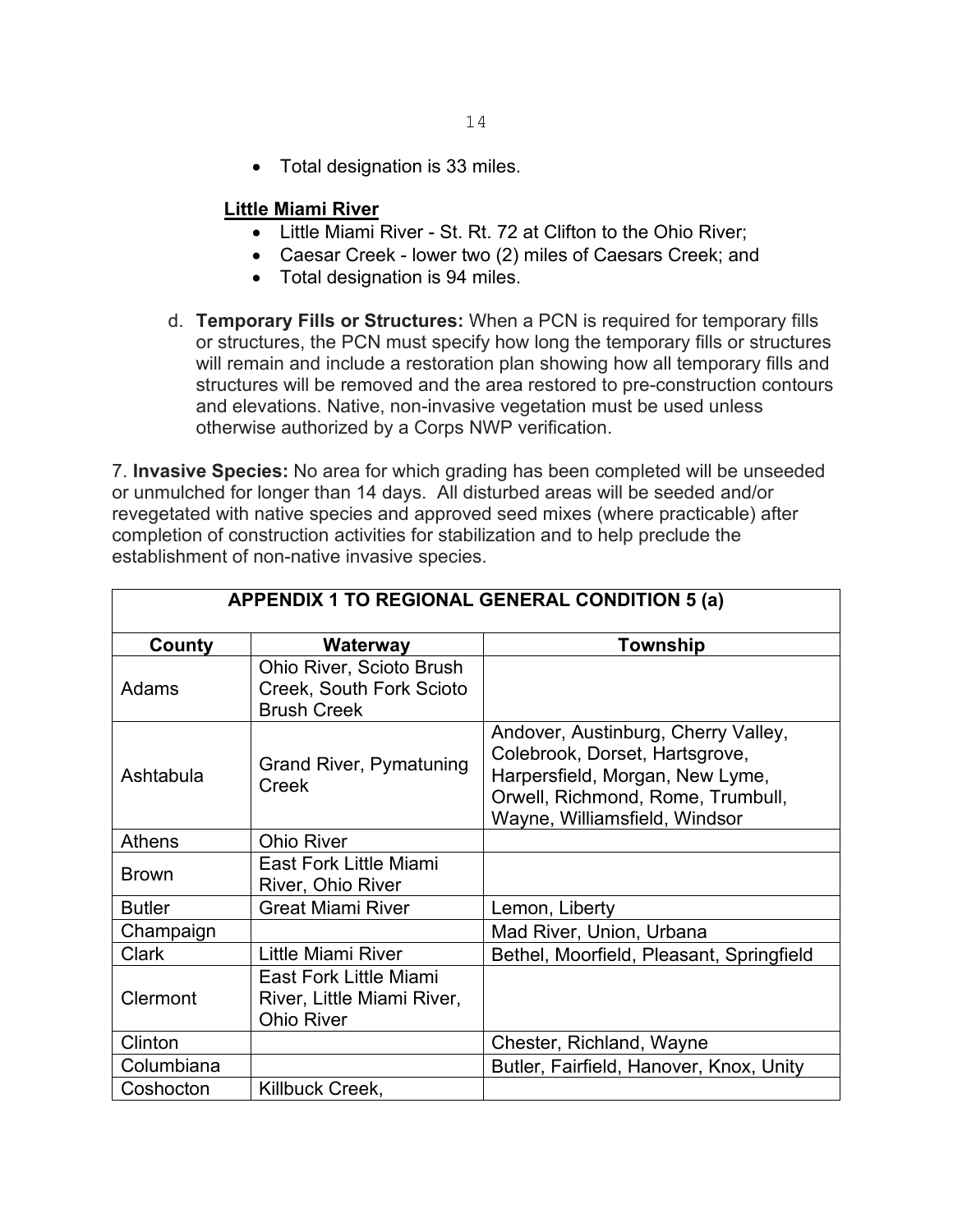• Total designation is 33 miles.

#### **Little Miami River**

- Little Miami River St. Rt. 72 at Clifton to the Ohio River;
- Caesar Creek lower two (2) miles of Caesars Creek; and
- Total designation is 94 miles.
- d. **Temporary Fills or Structures:** When a PCN is required for temporary fills or structures, the PCN must specify how long the temporary fills or structures will remain and include a restoration plan showing how all temporary fills and structures will be removed and the area restored to pre-construction contours and elevations. Native, non-invasive vegetation must be used unless otherwise authorized by a Corps NWP verification.

7. **Invasive Species:** No area for which grading has been completed will be unseeded or unmulched for longer than 14 days. All disturbed areas will be seeded and/or revegetated with native species and approved seed mixes (where practicable) after completion of construction activities for stabilization and to help preclude the establishment of non-native invasive species.

| <b>APPENDIX 1 TO REGIONAL GENERAL CONDITION 5 (a)</b> |                                                                                   |                                                                                                                                                                                |
|-------------------------------------------------------|-----------------------------------------------------------------------------------|--------------------------------------------------------------------------------------------------------------------------------------------------------------------------------|
| County                                                | Waterway                                                                          | Township                                                                                                                                                                       |
| Adams                                                 | <b>Ohio River, Scioto Brush</b><br>Creek, South Fork Scioto<br><b>Brush Creek</b> |                                                                                                                                                                                |
| Ashtabula                                             | <b>Grand River, Pymatuning</b><br>Creek                                           | Andover, Austinburg, Cherry Valley,<br>Colebrook, Dorset, Hartsgrove,<br>Harpersfield, Morgan, New Lyme,<br>Orwell, Richmond, Rome, Trumbull,<br>Wayne, Williamsfield, Windsor |
| <b>Athens</b>                                         | <b>Ohio River</b>                                                                 |                                                                                                                                                                                |
| <b>Brown</b>                                          | East Fork Little Miami<br>River, Ohio River                                       |                                                                                                                                                                                |
| <b>Butler</b>                                         | <b>Great Miami River</b>                                                          | Lemon, Liberty                                                                                                                                                                 |
| Champaign                                             |                                                                                   | Mad River, Union, Urbana                                                                                                                                                       |
| <b>Clark</b>                                          | Little Miami River                                                                | Bethel, Moorfield, Pleasant, Springfield                                                                                                                                       |
| Clermont                                              | East Fork Little Miami<br>River, Little Miami River,<br><b>Ohio River</b>         |                                                                                                                                                                                |
| Clinton                                               |                                                                                   | Chester, Richland, Wayne                                                                                                                                                       |
| Columbiana                                            |                                                                                   | Butler, Fairfield, Hanover, Knox, Unity                                                                                                                                        |
| Coshocton                                             | Killbuck Creek,                                                                   |                                                                                                                                                                                |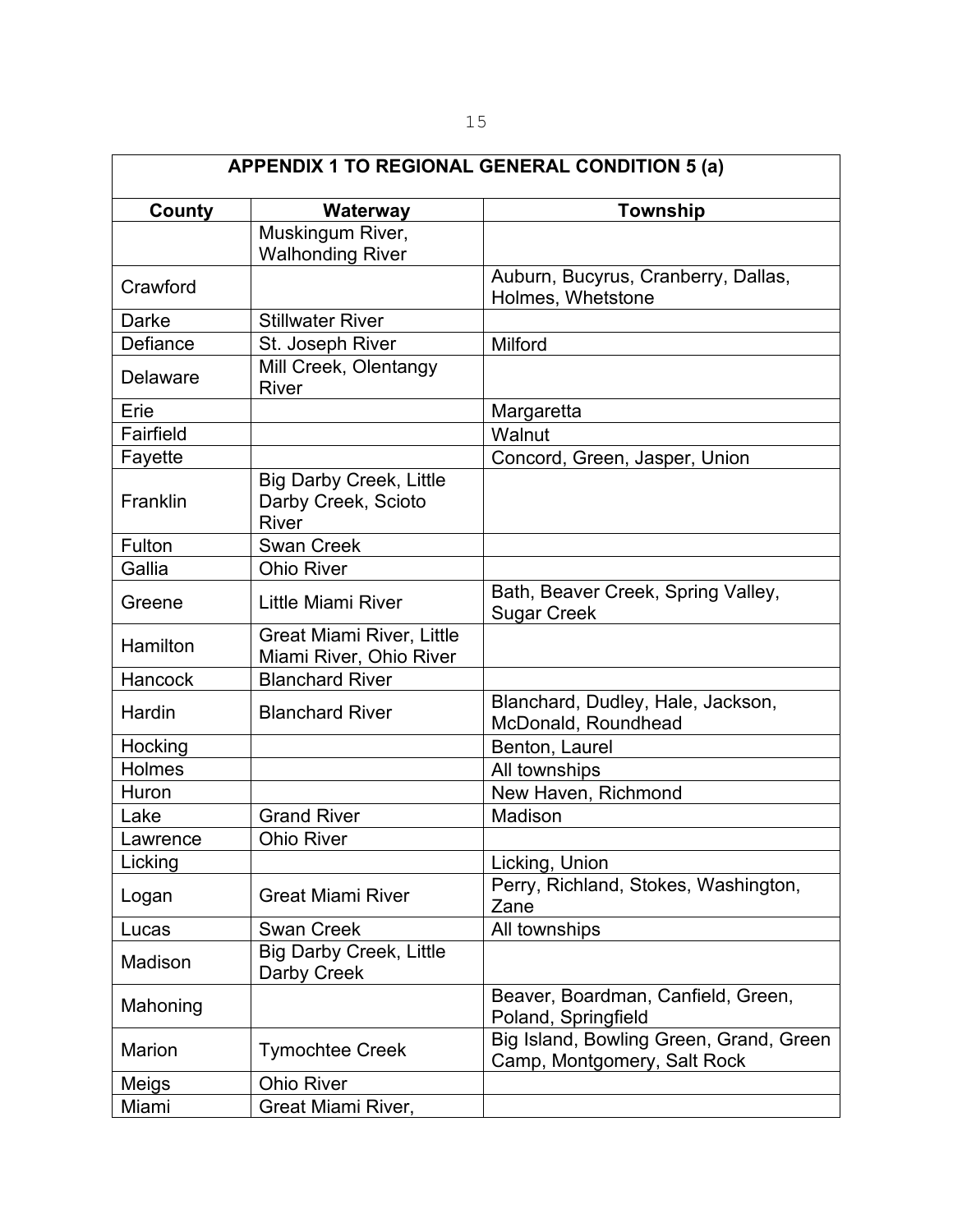| <b>APPENDIX 1 TO REGIONAL GENERAL CONDITION 5 (a)</b> |                                                                       |                                                                        |  |
|-------------------------------------------------------|-----------------------------------------------------------------------|------------------------------------------------------------------------|--|
| County                                                | Waterway                                                              | <b>Township</b>                                                        |  |
|                                                       | Muskingum River,<br><b>Walhonding River</b>                           |                                                                        |  |
| Crawford                                              |                                                                       | Auburn, Bucyrus, Cranberry, Dallas,<br>Holmes, Whetstone               |  |
| Darke                                                 | <b>Stillwater River</b>                                               |                                                                        |  |
| Defiance                                              | St. Joseph River                                                      | Milford                                                                |  |
| <b>Delaware</b>                                       | Mill Creek, Olentangy<br><b>River</b>                                 |                                                                        |  |
| Erie                                                  |                                                                       | Margaretta                                                             |  |
| Fairfield                                             |                                                                       | Walnut                                                                 |  |
| Fayette                                               |                                                                       | Concord, Green, Jasper, Union                                          |  |
| Franklin                                              | <b>Big Darby Creek, Little</b><br>Darby Creek, Scioto<br><b>River</b> |                                                                        |  |
| Fulton                                                | <b>Swan Creek</b>                                                     |                                                                        |  |
| Gallia                                                | <b>Ohio River</b>                                                     |                                                                        |  |
| Greene                                                | Little Miami River                                                    | Bath, Beaver Creek, Spring Valley,<br><b>Sugar Creek</b>               |  |
| Hamilton                                              | <b>Great Miami River, Little</b><br>Miami River, Ohio River           |                                                                        |  |
| Hancock                                               | <b>Blanchard River</b>                                                |                                                                        |  |
| Hardin                                                | <b>Blanchard River</b>                                                | Blanchard, Dudley, Hale, Jackson,<br>McDonald, Roundhead               |  |
| Hocking                                               |                                                                       | Benton, Laurel                                                         |  |
| Holmes                                                |                                                                       | All townships                                                          |  |
| Huron                                                 |                                                                       | New Haven, Richmond                                                    |  |
| Lake                                                  | <b>Grand River</b>                                                    | Madison                                                                |  |
| Lawrence                                              | <b>Ohio River</b>                                                     |                                                                        |  |
| Licking                                               |                                                                       | Licking, Union                                                         |  |
| Logan                                                 | <b>Great Miami River</b>                                              | Perry, Richland, Stokes, Washington,<br>Zane                           |  |
| Lucas                                                 | <b>Swan Creek</b>                                                     | All townships                                                          |  |
| Madison                                               | <b>Big Darby Creek, Little</b><br>Darby Creek                         |                                                                        |  |
| Mahoning                                              |                                                                       | Beaver, Boardman, Canfield, Green,<br>Poland, Springfield              |  |
| Marion                                                | <b>Tymochtee Creek</b>                                                | Big Island, Bowling Green, Grand, Green<br>Camp, Montgomery, Salt Rock |  |
| Meigs                                                 | <b>Ohio River</b>                                                     |                                                                        |  |
| Miami                                                 | Great Miami River,                                                    |                                                                        |  |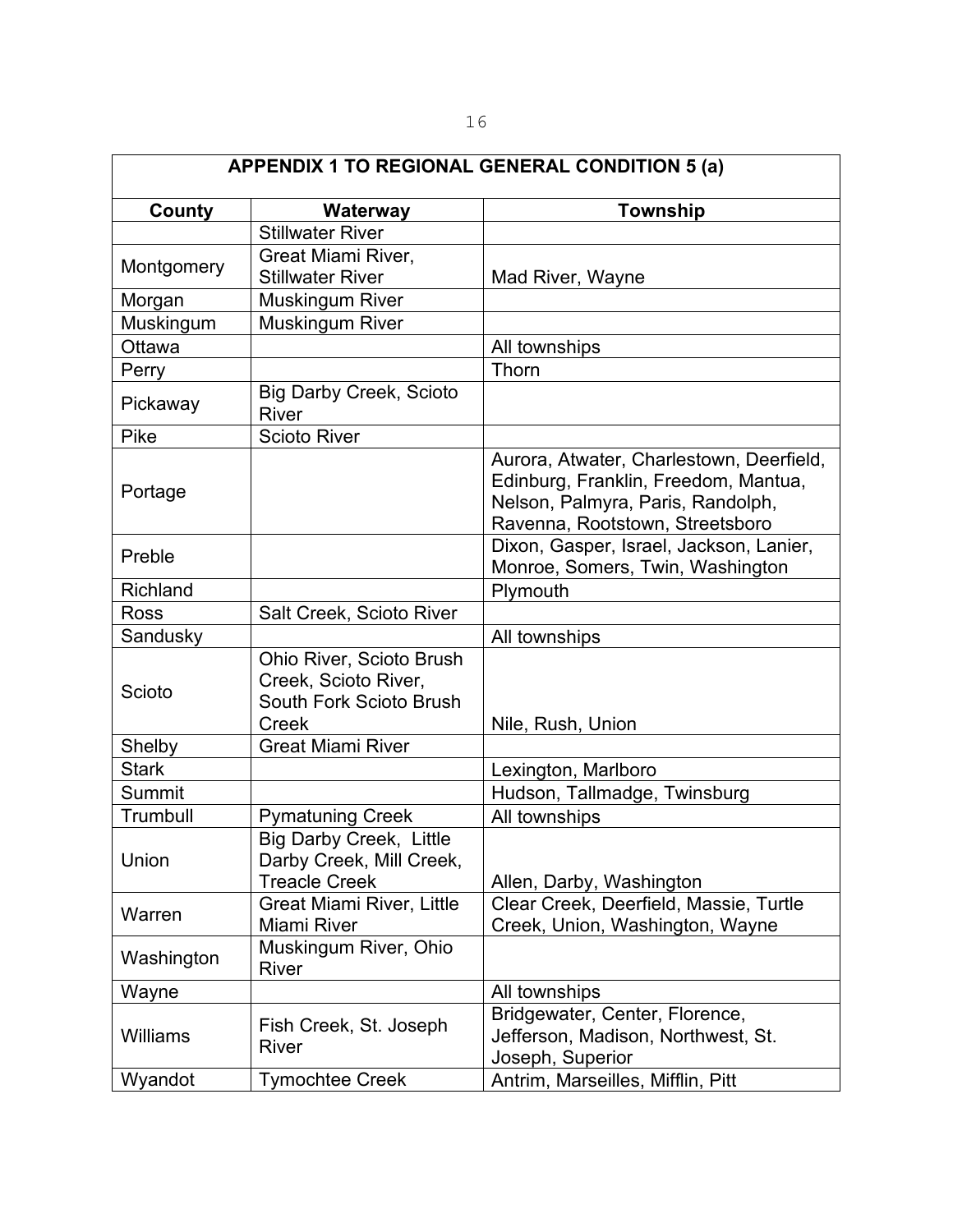| <b>APPENDIX 1 TO REGIONAL GENERAL CONDITION 5 (a)</b> |                                                                                      |                                                                                                                                                          |
|-------------------------------------------------------|--------------------------------------------------------------------------------------|----------------------------------------------------------------------------------------------------------------------------------------------------------|
| <b>County</b>                                         | Waterway                                                                             | <b>Township</b>                                                                                                                                          |
|                                                       | <b>Stillwater River</b>                                                              |                                                                                                                                                          |
| Montgomery                                            | Great Miami River,<br><b>Stillwater River</b>                                        | Mad River, Wayne                                                                                                                                         |
| Morgan                                                | <b>Muskingum River</b>                                                               |                                                                                                                                                          |
| Muskingum                                             | Muskingum River                                                                      |                                                                                                                                                          |
| Ottawa                                                |                                                                                      | All townships                                                                                                                                            |
| Perry                                                 |                                                                                      | Thorn                                                                                                                                                    |
| Pickaway                                              | <b>Big Darby Creek, Scioto</b><br><b>River</b>                                       |                                                                                                                                                          |
| Pike                                                  | <b>Scioto River</b>                                                                  |                                                                                                                                                          |
| Portage                                               |                                                                                      | Aurora, Atwater, Charlestown, Deerfield,<br>Edinburg, Franklin, Freedom, Mantua,<br>Nelson, Palmyra, Paris, Randolph,<br>Ravenna, Rootstown, Streetsboro |
| Preble                                                |                                                                                      | Dixon, Gasper, Israel, Jackson, Lanier,<br>Monroe, Somers, Twin, Washington                                                                              |
| Richland                                              |                                                                                      | Plymouth                                                                                                                                                 |
| <b>Ross</b>                                           | Salt Creek, Scioto River                                                             |                                                                                                                                                          |
| Sandusky                                              |                                                                                      | All townships                                                                                                                                            |
| Scioto                                                | Ohio River, Scioto Brush<br>Creek, Scioto River,<br>South Fork Scioto Brush<br>Creek | Nile, Rush, Union                                                                                                                                        |
| Shelby                                                | <b>Great Miami River</b>                                                             |                                                                                                                                                          |
| <b>Stark</b>                                          |                                                                                      | Lexington, Marlboro                                                                                                                                      |
| Summit                                                |                                                                                      | Hudson, Tallmadge, Twinsburg                                                                                                                             |
| Trumbull                                              | <b>Pymatuning Creek</b>                                                              | All townships                                                                                                                                            |
| Union                                                 | <b>Big Darby Creek, Little</b><br>Darby Creek, Mill Creek,<br><b>Treacle Creek</b>   | Allen, Darby, Washington                                                                                                                                 |
| Warren                                                | <b>Great Miami River, Little</b><br>Miami River                                      | Clear Creek, Deerfield, Massie, Turtle<br>Creek, Union, Washington, Wayne                                                                                |
| Washington                                            | Muskingum River, Ohio<br><b>River</b>                                                |                                                                                                                                                          |
| Wayne                                                 |                                                                                      | All townships                                                                                                                                            |
| Williams                                              | Fish Creek, St. Joseph<br>River                                                      | Bridgewater, Center, Florence,<br>Jefferson, Madison, Northwest, St.<br>Joseph, Superior                                                                 |
| Wyandot                                               | <b>Tymochtee Creek</b>                                                               | Antrim, Marseilles, Mifflin, Pitt                                                                                                                        |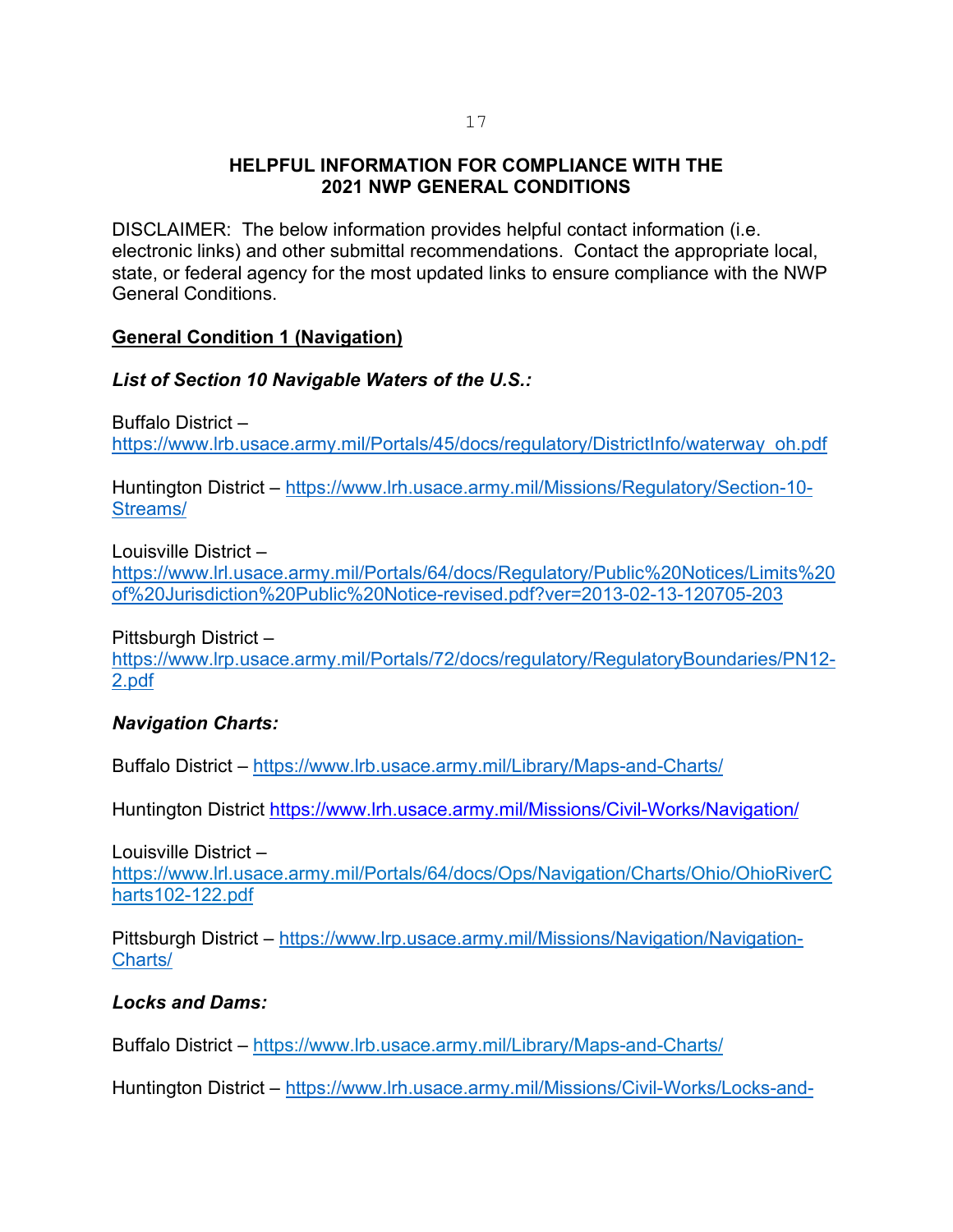#### **HELPFUL INFORMATION FOR COMPLIANCE WITH THE 2021 NWP GENERAL CONDITIONS**

DISCLAIMER: The below information provides helpful contact information (i.e. electronic links) and other submittal recommendations. Contact the appropriate local, state, or federal agency for the most updated links to ensure compliance with the NWP General Conditions.

#### **General Condition 1 (Navigation)**

*List of Section 10 Navigable Waters of the U.S.:*

Buffalo District – [https://www.lrb.usace.army.mil/Portals/45/docs/regulatory/DistrictInfo/waterway\\_oh.pdf](https://www.lrb.usace.army.mil/Portals/45/docs/regulatory/DistrictInfo/waterway_oh.pdf)

Huntington District – [https://www.lrh.usace.army.mil/Missions/Regulatory/Section-10-](https://www.lrh.usace.army.mil/Missions/Regulatory/Section-10-Streams/) [Streams/](https://www.lrh.usace.army.mil/Missions/Regulatory/Section-10-Streams/)

Louisville District –

[https://www.lrl.usace.army.mil/Portals/64/docs/Regulatory/Public%20Notices/Limits%20](https://www.lrl.usace.army.mil/Portals/64/docs/Regulatory/Public%20Notices/Limits%20of%20Jurisdiction%20Public%20Notice-revised.pdf?ver=2013-02-13-120705-203) [of%20Jurisdiction%20Public%20Notice-revised.pdf?ver=2013-02-13-120705-203](https://www.lrl.usace.army.mil/Portals/64/docs/Regulatory/Public%20Notices/Limits%20of%20Jurisdiction%20Public%20Notice-revised.pdf?ver=2013-02-13-120705-203)

Pittsburgh District –

[https://www.lrp.usace.army.mil/Portals/72/docs/regulatory/RegulatoryBoundaries/PN12-](https://www.lrp.usace.army.mil/Portals/72/docs/regulatory/RegulatoryBoundaries/PN12-2.pdf) [2.pdf](https://www.lrp.usace.army.mil/Portals/72/docs/regulatory/RegulatoryBoundaries/PN12-2.pdf)

#### *Navigation Charts:*

Buffalo District – <https://www.lrb.usace.army.mil/Library/Maps-and-Charts/>

Huntington District<https://www.lrh.usace.army.mil/Missions/Civil-Works/Navigation/>

Louisville District – https://www.lrl.usace.army.mil/Portals/64/docs/Ops/Navigation/Charts/Ohio/OhioRiverC harts102-122.pdf

Pittsburgh District – [https://www.lrp.usace.army.mil/Missions/Navigation/Navigation-](https://www.lrp.usace.army.mil/Missions/Navigation/Navigation-Charts/)[Charts/](https://www.lrp.usace.army.mil/Missions/Navigation/Navigation-Charts/)

#### *Locks and Dams:*

Buffalo District – https://www.lrb.usace.army.mil/Library/Maps-and-Charts/

Huntington District – [https://www.lrh.usace.army.mil/Missions/Civil-Works/Locks-and-](https://www.lrh.usace.army.mil/Missions/Civil-Works/Locks-and-Dams/)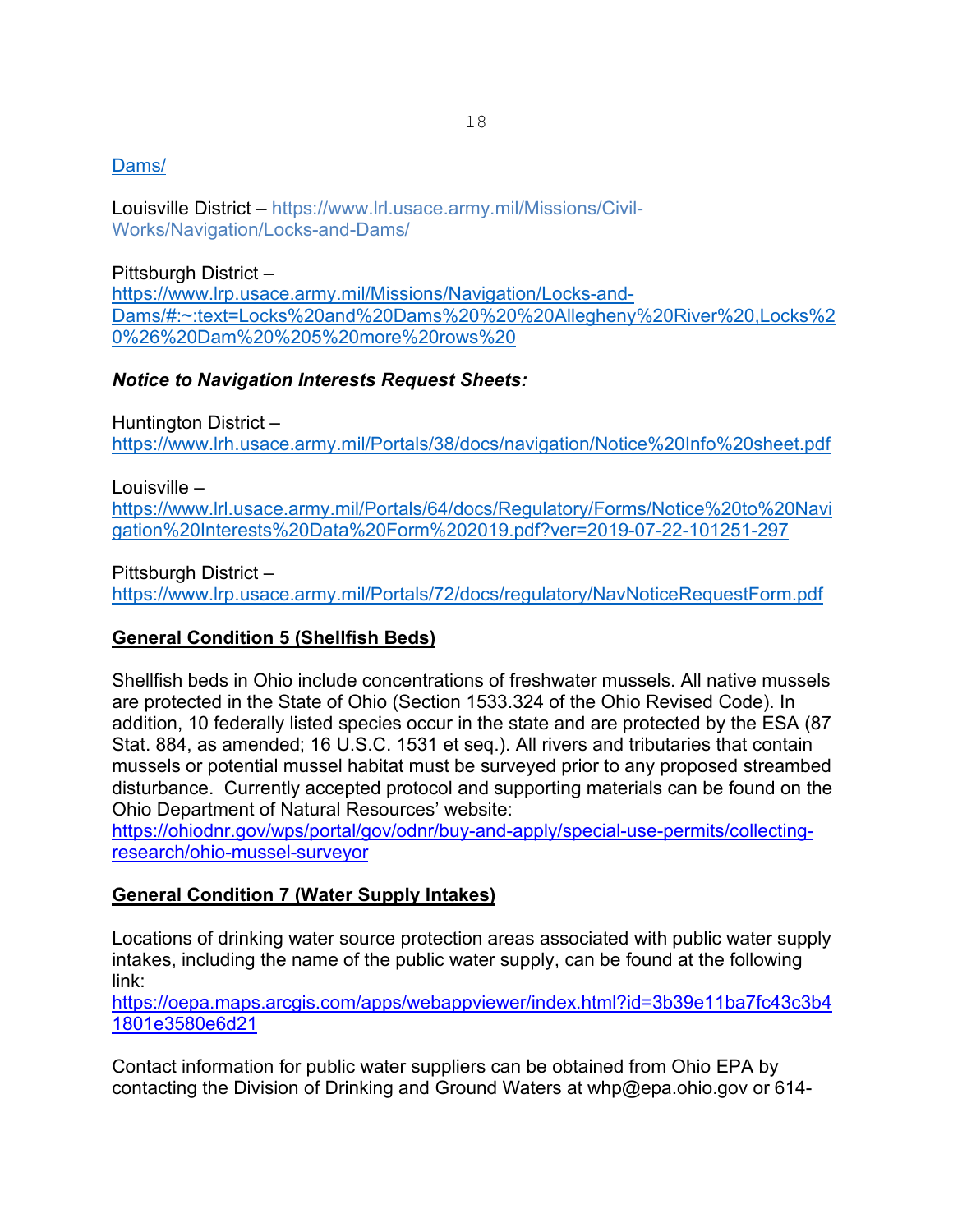# [Dams/](https://www.lrh.usace.army.mil/Missions/Civil-Works/Locks-and-Dams/)

Louisville District – https://www.lrl.usace.army.mil/Missions/Civil-Works/Navigation/Locks-and-Dams/

Pittsburgh District – [https://www.lrp.usace.army.mil/Missions/Navigation/Locks-and-](https://www.lrp.usace.army.mil/Missions/Navigation/Locks-and-Dams/#:%7E:text=Locks%20and%20Dams%20%20%20Allegheny%20River%20,Locks%20%26%20Dam%20%205%20more%20rows%20)[Dams/#:~:text=Locks%20and%20Dams%20%20%20Allegheny%20River%20,Locks%2](https://www.lrp.usace.army.mil/Missions/Navigation/Locks-and-Dams/#:%7E:text=Locks%20and%20Dams%20%20%20Allegheny%20River%20,Locks%20%26%20Dam%20%205%20more%20rows%20) [0%26%20Dam%20%205%20more%20rows%20](https://www.lrp.usace.army.mil/Missions/Navigation/Locks-and-Dams/#:%7E:text=Locks%20and%20Dams%20%20%20Allegheny%20River%20,Locks%20%26%20Dam%20%205%20more%20rows%20)

#### *Notice to Navigation Interests Request Sheets:*

Huntington District –

<https://www.lrh.usace.army.mil/Portals/38/docs/navigation/Notice%20Info%20sheet.pdf>

Louisville –

[https://www.lrl.usace.army.mil/Portals/64/docs/Regulatory/Forms/Notice%20to%20Navi](https://www.lrl.usace.army.mil/Portals/64/docs/Regulatory/Forms/Notice%20to%20Navigation%20Interests%20Data%20Form%202019.pdf?ver=2019-07-22-101251-297) [gation%20Interests%20Data%20Form%202019.pdf?ver=2019-07-22-101251-297](https://www.lrl.usace.army.mil/Portals/64/docs/Regulatory/Forms/Notice%20to%20Navigation%20Interests%20Data%20Form%202019.pdf?ver=2019-07-22-101251-297)

Pittsburgh District –

<https://www.lrp.usace.army.mil/Portals/72/docs/regulatory/NavNoticeRequestForm.pdf>

# **General Condition 5 (Shellfish Beds)**

Shellfish beds in Ohio include concentrations of freshwater mussels. All native mussels are protected in the State of Ohio (Section 1533.324 of the Ohio Revised Code). In addition, 10 federally listed species occur in the state and are protected by the ESA (87 Stat. 884, as amended; 16 U.S.C. 1531 et seq.). All rivers and tributaries that contain mussels or potential mussel habitat must be surveyed prior to any proposed streambed disturbance. Currently accepted protocol and supporting materials can be found on the Ohio Department of Natural Resources' website:

[https://ohiodnr.gov/wps/portal/gov/odnr/buy-and-apply/special-use-permits/collecting](https://ohiodnr.gov/wps/portal/gov/odnr/buy-and-apply/special-use-permits/collecting-research/ohio-mussel-surveyor)[research/ohio-mussel-surveyor](https://ohiodnr.gov/wps/portal/gov/odnr/buy-and-apply/special-use-permits/collecting-research/ohio-mussel-surveyor)

# **General Condition 7 (Water Supply Intakes)**

Locations of drinking water source protection areas associated with public water supply intakes, including the name of the public water supply, can be found at the following link:

[https://oepa.maps.arcgis.com/apps/webappviewer/index.html?id=3b39e11ba7fc43c3b4](https://oepa.maps.arcgis.com/apps/webappviewer/index.html?id=3b39e11ba7fc43c3b41801e3580e6d21) [1801e3580e6d21](https://oepa.maps.arcgis.com/apps/webappviewer/index.html?id=3b39e11ba7fc43c3b41801e3580e6d21)

Contact information for public water suppliers can be obtained from Ohio EPA by contacting the Division of Drinking and Ground Waters at whp@epa.ohio.gov or 614-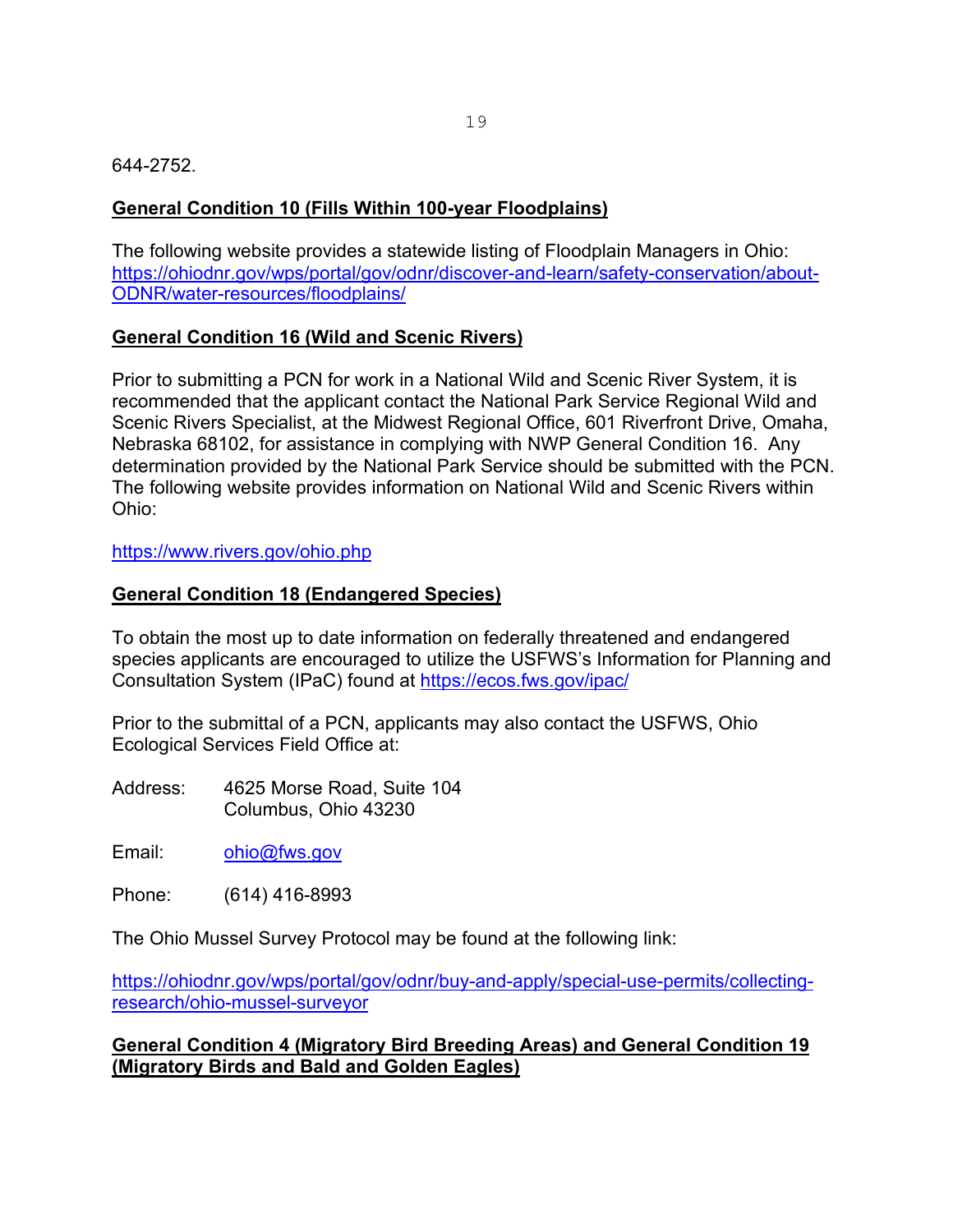#### 644-2752.

#### **General Condition 10 (Fills Within 100-year Floodplains)**

The following website provides a statewide listing of Floodplain Managers in Ohio: [https://ohiodnr.gov/wps/portal/gov/odnr/discover-and-learn/safety-conservation/about-](https://ohiodnr.gov/wps/portal/gov/odnr/discover-and-learn/safety-conservation/about-ODNR/water-resources/floodplains/)[ODNR/water-resources/floodplains/](https://ohiodnr.gov/wps/portal/gov/odnr/discover-and-learn/safety-conservation/about-ODNR/water-resources/floodplains/)

#### **General Condition 16 (Wild and Scenic Rivers)**

Prior to submitting a PCN for work in a National Wild and Scenic River System, it is recommended that the applicant contact the National Park Service Regional Wild and Scenic Rivers Specialist, at the Midwest Regional Office, 601 Riverfront Drive, Omaha, Nebraska 68102, for assistance in complying with NWP General Condition 16. Any determination provided by the National Park Service should be submitted with the PCN. The following website provides information on National Wild and Scenic Rivers within Ohio:

https://www.rivers.gov/ohio.php

#### **General Condition 18 (Endangered Species)**

To obtain the most up to date information on federally threatened and endangered species applicants are encouraged to utilize the USFWS's Information for Planning and Consultation System (IPaC) found at<https://ecos.fws.gov/ipac/>

Prior to the submittal of a PCN, applicants may also contact the USFWS, Ohio Ecological Services Field Office at:

Address: 4625 Morse Road, Suite 104 Columbus, Ohio 43230

Email: [ohio@fws.gov](mailto:ohio@fws.gov)

Phone: (614) 416-8993

The Ohio Mussel Survey Protocol may be found at the following link:

[https://ohiodnr.gov/wps/portal/gov/odnr/buy-and-apply/special-use-permits/collecting](https://ohiodnr.gov/wps/portal/gov/odnr/buy-and-apply/special-use-permits/collecting-research/ohio-mussel-surveyor)[research/ohio-mussel-surveyor](https://ohiodnr.gov/wps/portal/gov/odnr/buy-and-apply/special-use-permits/collecting-research/ohio-mussel-surveyor)

#### **General Condition 4 (Migratory Bird Breeding Areas) and General Condition 19 (Migratory Birds and Bald and Golden Eagles)**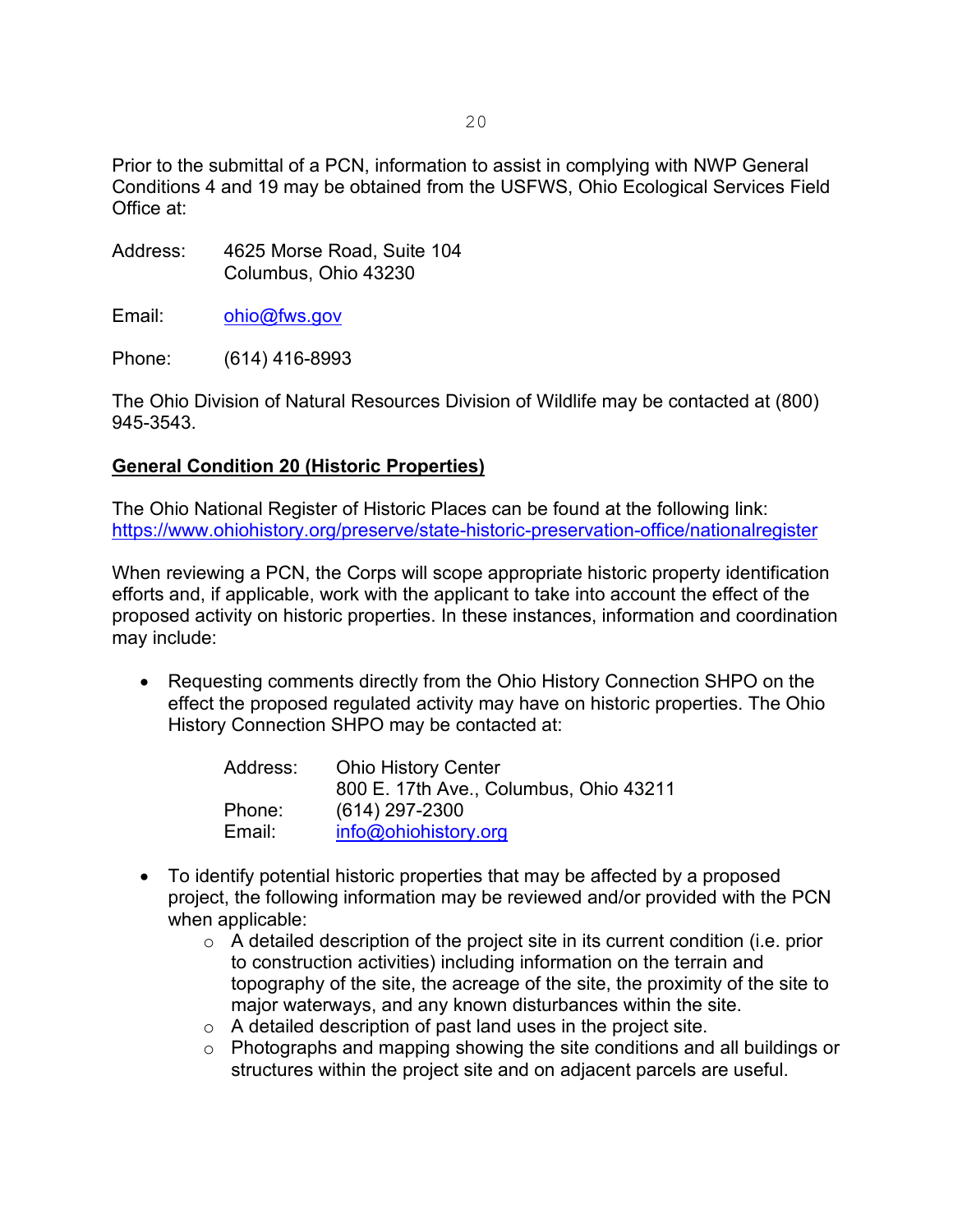Prior to the submittal of a PCN, information to assist in complying with NWP General Conditions 4 and 19 may be obtained from the USFWS, Ohio Ecological Services Field Office at:

- Address: 4625 Morse Road, Suite 104 Columbus, Ohio 43230
- Email: [ohio@fws.gov](mailto:ohio@fws.gov)

Phone: (614) 416-8993

The Ohio Division of Natural Resources Division of Wildlife may be contacted at (800) 945-3543.

# **General Condition 20 (Historic Properties)**

The Ohio National Register of Historic Places can be found at the following link: <https://www.ohiohistory.org/preserve/state-historic-preservation-office/nationalregister>

When reviewing a PCN, the Corps will scope appropriate historic property identification efforts and, if applicable, work with the applicant to take into account the effect of the proposed activity on historic properties. In these instances, information and coordination may include:

• Requesting comments directly from the Ohio History Connection SHPO on the effect the proposed regulated activity may have on historic properties. The Ohio History Connection SHPO may be contacted at:

| Address: | <b>Ohio History Center</b>             |  |
|----------|----------------------------------------|--|
|          | 800 E. 17th Ave., Columbus, Ohio 43211 |  |
| Phone:   | $(614)$ 297-2300                       |  |
| Email:   | info@ohiohistory.org                   |  |

- To identify potential historic properties that may be affected by a proposed project, the following information may be reviewed and/or provided with the PCN when applicable:
	- $\circ$  A detailed description of the project site in its current condition (i.e. prior to construction activities) including information on the terrain and topography of the site, the acreage of the site, the proximity of the site to major waterways, and any known disturbances within the site.
	- o A detailed description of past land uses in the project site.
	- o Photographs and mapping showing the site conditions and all buildings or structures within the project site and on adjacent parcels are useful.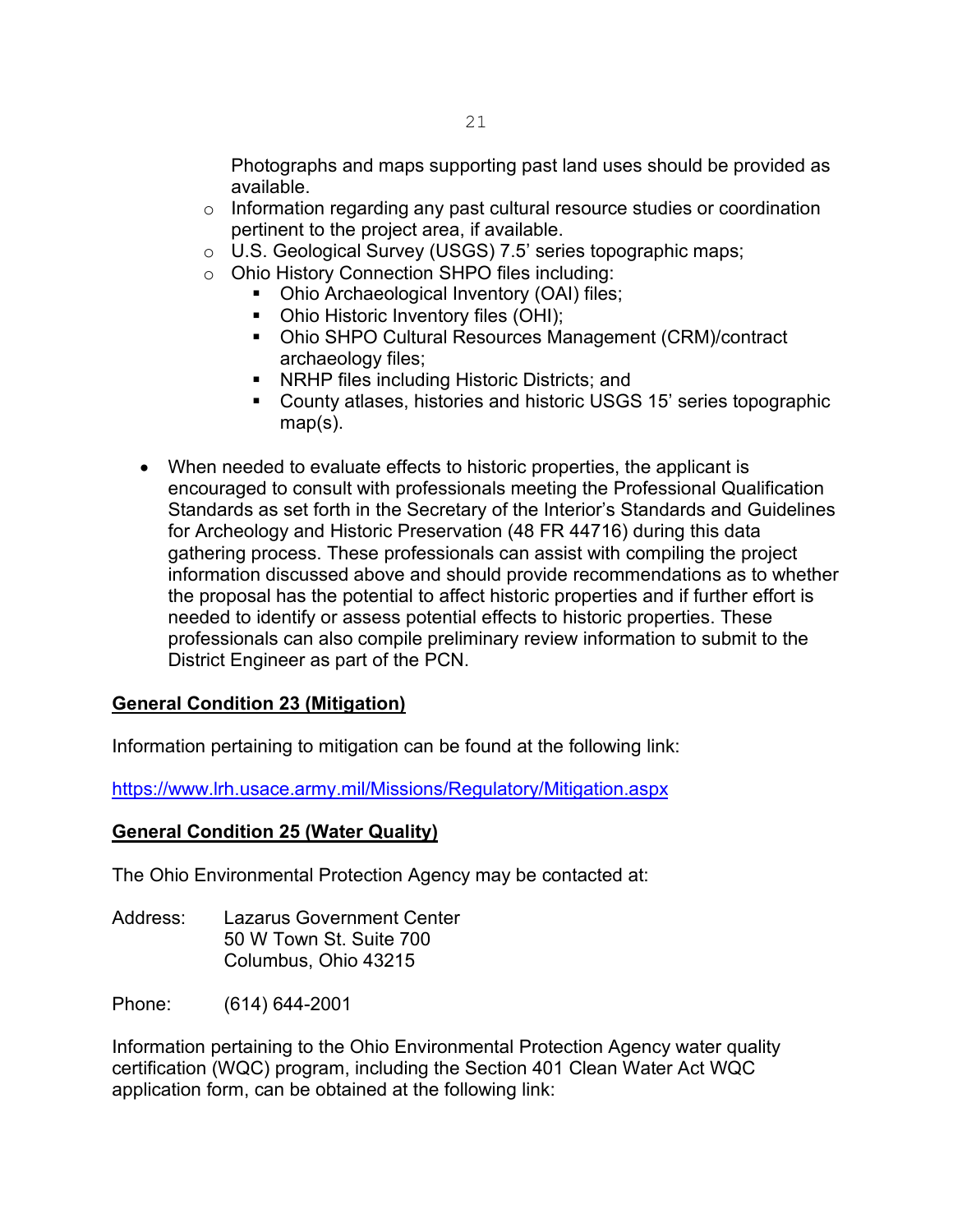Photographs and maps supporting past land uses should be provided as available.

- o Information regarding any past cultural resource studies or coordination pertinent to the project area, if available.
- o U.S. Geological Survey (USGS) 7.5' series topographic maps;
- o Ohio History Connection SHPO files including:
	- Ohio Archaeological Inventory (OAI) files;
	- Ohio Historic Inventory files (OHI);
	- Ohio SHPO Cultural Resources Management (CRM)/contract archaeology files;
	- **NRHP files including Historic Districts; and**
	- County atlases, histories and historic USGS 15' series topographic map(s).
- When needed to evaluate effects to historic properties, the applicant is encouraged to consult with professionals meeting the Professional Qualification Standards as set forth in the Secretary of the Interior's Standards and Guidelines for Archeology and Historic Preservation (48 FR 44716) during this data gathering process. These professionals can assist with compiling the project information discussed above and should provide recommendations as to whether the proposal has the potential to affect historic properties and if further effort is needed to identify or assess potential effects to historic properties. These professionals can also compile preliminary review information to submit to the District Engineer as part of the PCN.

# **General Condition 23 (Mitigation)**

Information pertaining to mitigation can be found at the following link:

<https://www.lrh.usace.army.mil/Missions/Regulatory/Mitigation.aspx>

#### **General Condition 25 (Water Quality)**

The Ohio Environmental Protection Agency may be contacted at:

Address: Lazarus Government Center 50 W Town St. Suite 700 Columbus, Ohio 43215

Phone: (614) 644-2001

Information pertaining to the Ohio Environmental Protection Agency water quality certification (WQC) program, including the Section 401 Clean Water Act WQC application form, can be obtained at the following link: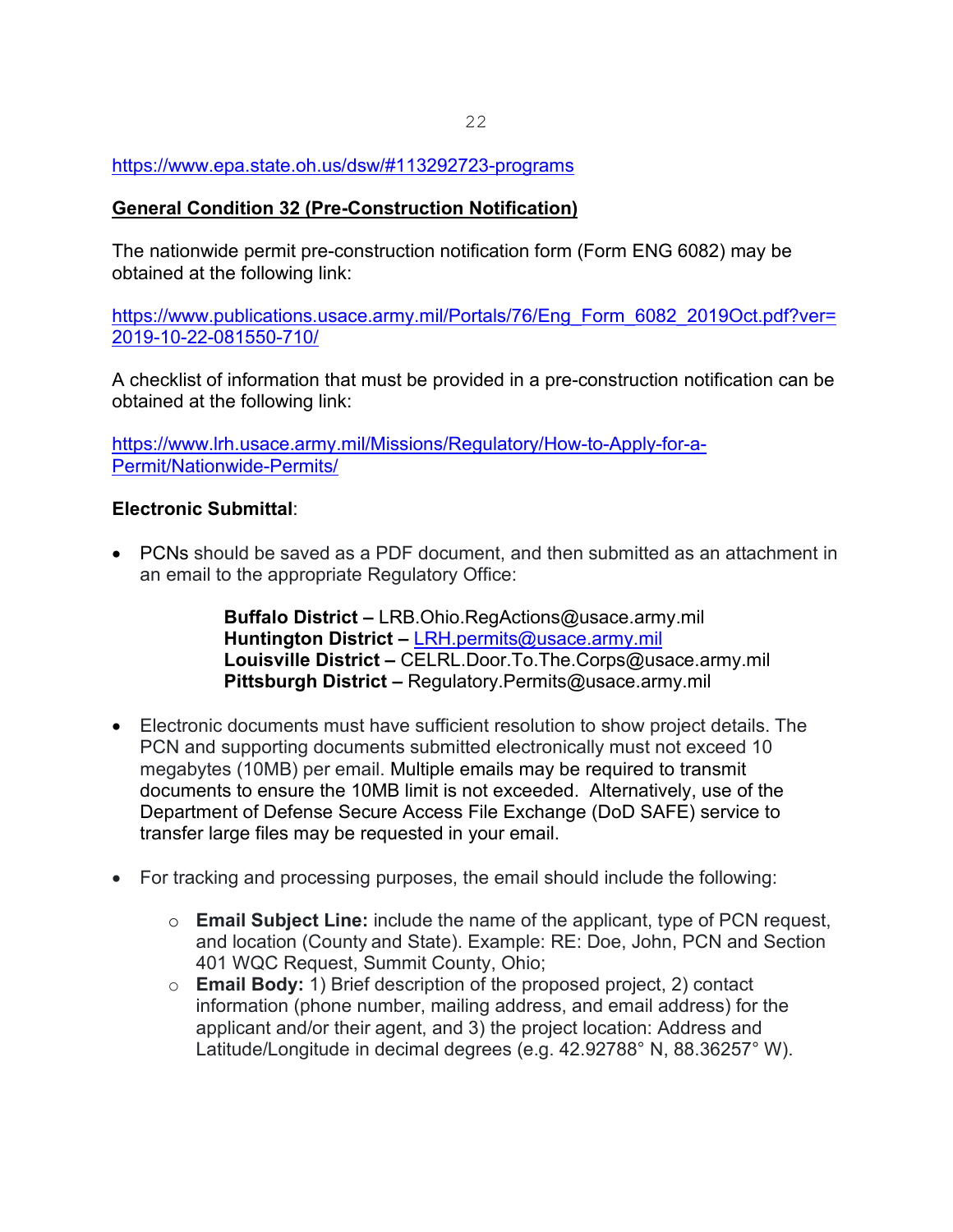#### <https://www.epa.state.oh.us/dsw/#113292723-programs>

#### **General Condition 32 (Pre-Construction Notification)**

The nationwide permit pre-construction notification form (Form ENG 6082) may be obtained at the following link:

[https://www.publications.usace.army.mil/Portals/76/Eng\\_Form\\_6082\\_2019Oct.pdf?ver=](https://www.publications.usace.army.mil/Portals/76/Eng_Form_6082_2019Oct.pdf?ver=2019-10-22-081550-710/) [2019-10-22-081550-710/](https://www.publications.usace.army.mil/Portals/76/Eng_Form_6082_2019Oct.pdf?ver=2019-10-22-081550-710/)

A checklist of information that must be provided in a pre-construction notification can be obtained at the following link:

[https://www.lrh.usace.army.mil/Missions/Regulatory/How-to-Apply-for-a-](https://www.lrh.usace.army.mil/Missions/Regulatory/How-to-Apply-for-a-Permit/Nationwide-Permits/)[Permit/Nationwide-Permits/](https://www.lrh.usace.army.mil/Missions/Regulatory/How-to-Apply-for-a-Permit/Nationwide-Permits/)

#### **Electronic Submittal**:

• PCNs should be saved as a PDF document, and then submitted as an attachment in an email to the appropriate Regulatory Office:

> **Buffalo District –** LRB.Ohio.RegActions@usace.army.mil **Huntington District –** [LRH.permits@usace.army.mil](mailto:LRH.permits@usace.army.mil) **Louisville District –** CELRL.Door.To.The.Corps@usace.army.mil **Pittsburgh District –** Regulatory.Permits@usace.army.mil

- Electronic documents must have sufficient resolution to show project details. The PCN and supporting documents submitted electronically must not exceed 10 megabytes (10MB) per email. Multiple emails may be required to transmit documents to ensure the 10MB limit is not exceeded. Alternatively, use of the Department of Defense Secure Access File Exchange (DoD SAFE) service to transfer large files may be requested in your email.
- For tracking and processing purposes, the email should include the following:
	- o **Email Subject Line:** include the name of the applicant, type of PCN request, and location (County and State). Example: RE: Doe, John, PCN and Section 401 WQC Request, Summit County, Ohio;
	- o **Email Body:** 1) Brief description of the proposed project, 2) contact information (phone number, mailing address, and email address) for the applicant and/or their agent, and 3) the project location: Address and Latitude/Longitude in decimal degrees (e.g. 42.92788° N, 88.36257° W).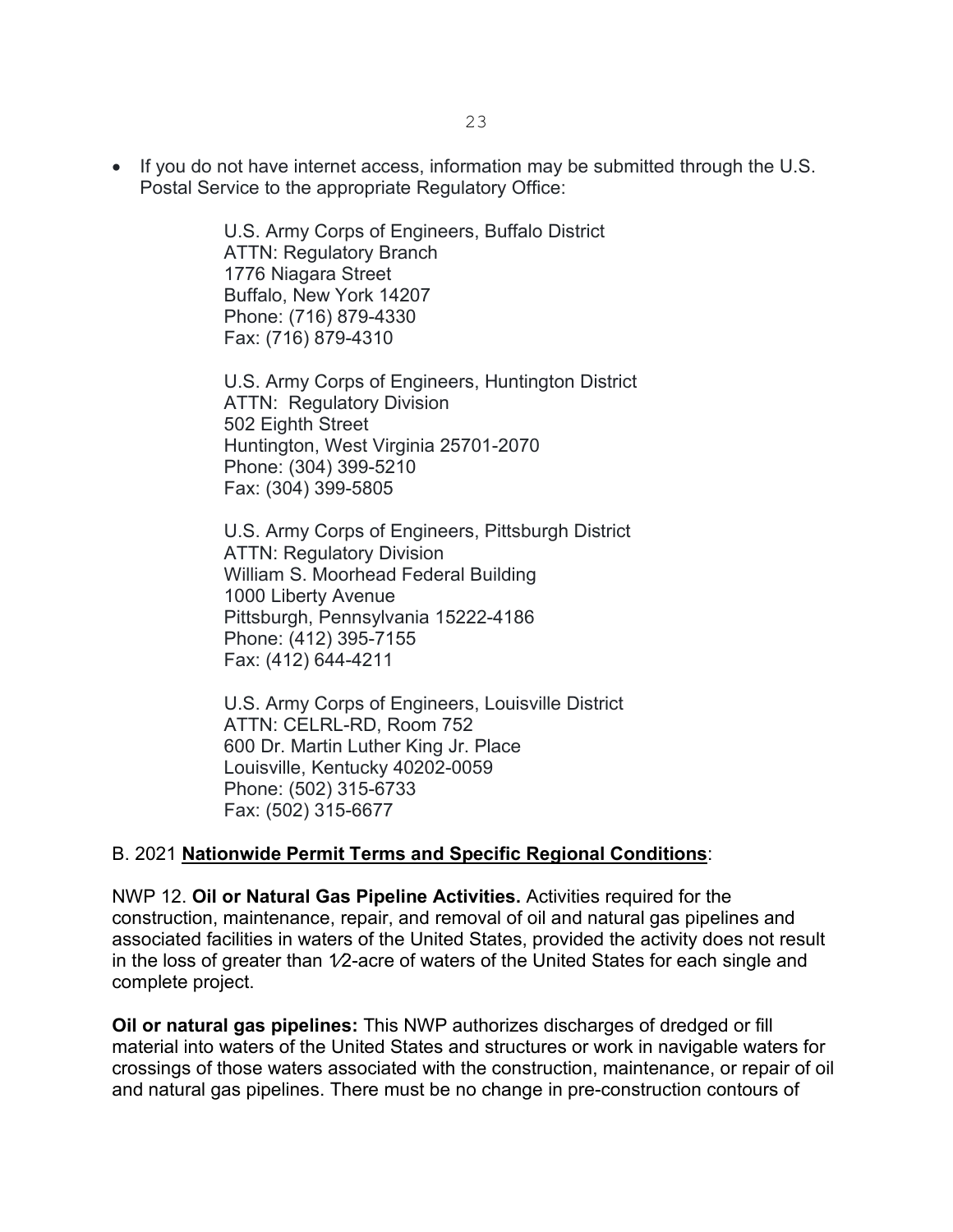• If you do not have internet access, information may be submitted through the U.S. Postal Service to the appropriate Regulatory Office:

> U.S. Army Corps of Engineers, Buffalo District ATTN: Regulatory Branch 1776 Niagara Street Buffalo, New York 14207 Phone: (716) 879-4330 Fax: (716) 879-4310

U.S. Army Corps of Engineers, Huntington District ATTN: Regulatory Division 502 Eighth Street Huntington, West Virginia 25701-2070 Phone: (304) 399-5210 Fax: (304) 399-5805

U.S. Army Corps of Engineers, Pittsburgh District ATTN: Regulatory Division William S. Moorhead Federal Building 1000 Liberty Avenue Pittsburgh, Pennsylvania 15222-4186 Phone: (412) 395-7155 Fax: (412) 644-4211

U.S. Army Corps of Engineers, Louisville District ATTN: CELRL-RD, Room 752 600 Dr. Martin Luther King Jr. Place Louisville, Kentucky 40202-0059 Phone: (502) 315-6733 Fax: (502) 315-6677

#### B. 2021 **Nationwide Permit Terms and Specific Regional Conditions**:

NWP 12. **Oil or Natural Gas Pipeline Activities.** Activities required for the construction, maintenance, repair, and removal of oil and natural gas pipelines and associated facilities in waters of the United States, provided the activity does not result in the loss of greater than 1⁄2-acre of waters of the United States for each single and complete project.

**Oil or natural gas pipelines:** This NWP authorizes discharges of dredged or fill material into waters of the United States and structures or work in navigable waters for crossings of those waters associated with the construction, maintenance, or repair of oil and natural gas pipelines. There must be no change in pre-construction contours of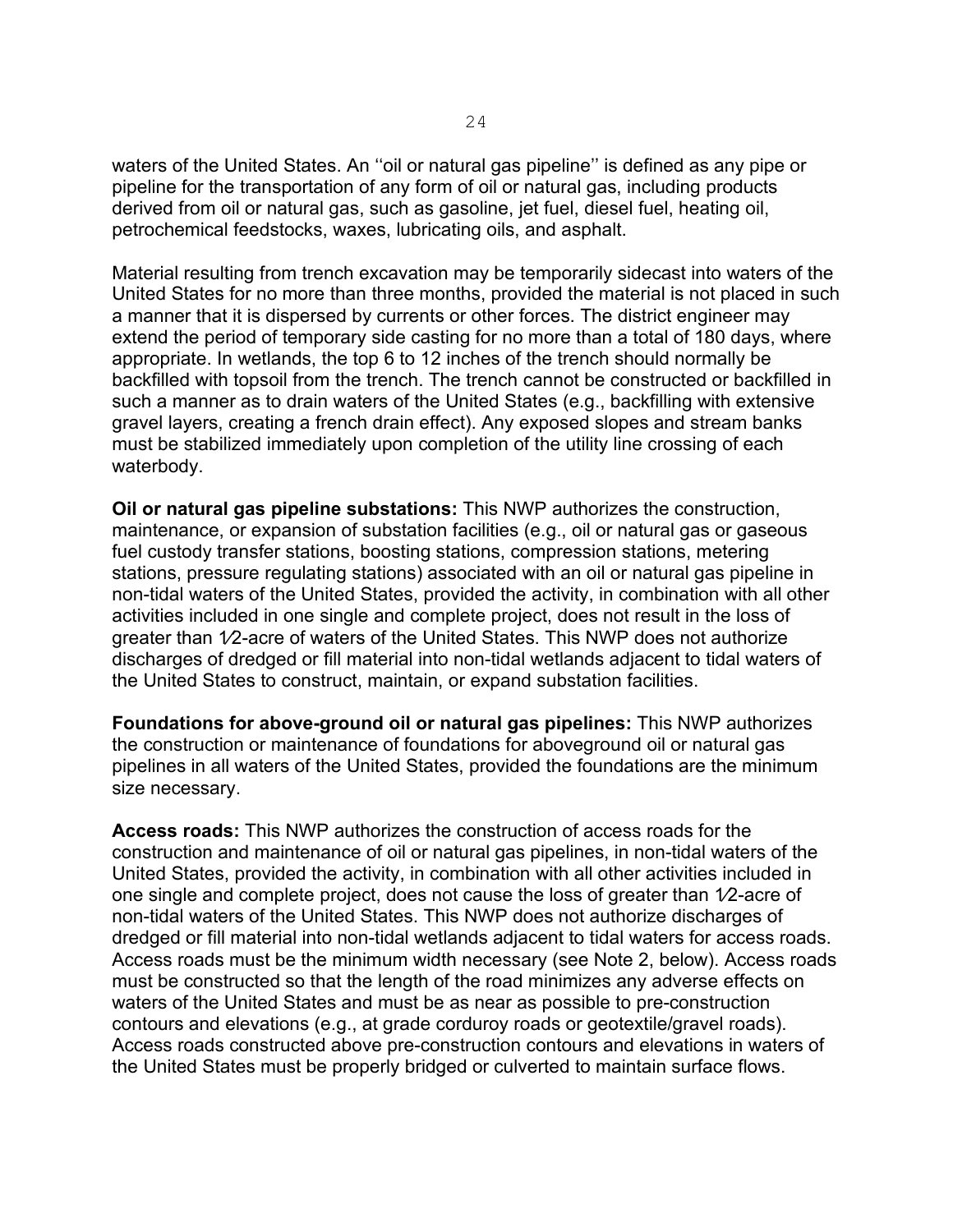waters of the United States. An ''oil or natural gas pipeline'' is defined as any pipe or pipeline for the transportation of any form of oil or natural gas, including products derived from oil or natural gas, such as gasoline, jet fuel, diesel fuel, heating oil, petrochemical feedstocks, waxes, lubricating oils, and asphalt.

Material resulting from trench excavation may be temporarily sidecast into waters of the United States for no more than three months, provided the material is not placed in such a manner that it is dispersed by currents or other forces. The district engineer may extend the period of temporary side casting for no more than a total of 180 days, where appropriate. In wetlands, the top 6 to 12 inches of the trench should normally be backfilled with topsoil from the trench. The trench cannot be constructed or backfilled in such a manner as to drain waters of the United States (e.g., backfilling with extensive gravel layers, creating a french drain effect). Any exposed slopes and stream banks must be stabilized immediately upon completion of the utility line crossing of each waterbody.

**Oil or natural gas pipeline substations:** This NWP authorizes the construction, maintenance, or expansion of substation facilities (e.g., oil or natural gas or gaseous fuel custody transfer stations, boosting stations, compression stations, metering stations, pressure regulating stations) associated with an oil or natural gas pipeline in non-tidal waters of the United States, provided the activity, in combination with all other activities included in one single and complete project, does not result in the loss of greater than 1⁄2-acre of waters of the United States. This NWP does not authorize discharges of dredged or fill material into non-tidal wetlands adjacent to tidal waters of the United States to construct, maintain, or expand substation facilities.

**Foundations for above-ground oil or natural gas pipelines:** This NWP authorizes the construction or maintenance of foundations for aboveground oil or natural gas pipelines in all waters of the United States, provided the foundations are the minimum size necessary.

**Access roads:** This NWP authorizes the construction of access roads for the construction and maintenance of oil or natural gas pipelines, in non-tidal waters of the United States, provided the activity, in combination with all other activities included in one single and complete project, does not cause the loss of greater than 1⁄2-acre of non-tidal waters of the United States. This NWP does not authorize discharges of dredged or fill material into non-tidal wetlands adjacent to tidal waters for access roads. Access roads must be the minimum width necessary (see Note 2, below). Access roads must be constructed so that the length of the road minimizes any adverse effects on waters of the United States and must be as near as possible to pre-construction contours and elevations (e.g., at grade corduroy roads or geotextile/gravel roads). Access roads constructed above pre-construction contours and elevations in waters of the United States must be properly bridged or culverted to maintain surface flows.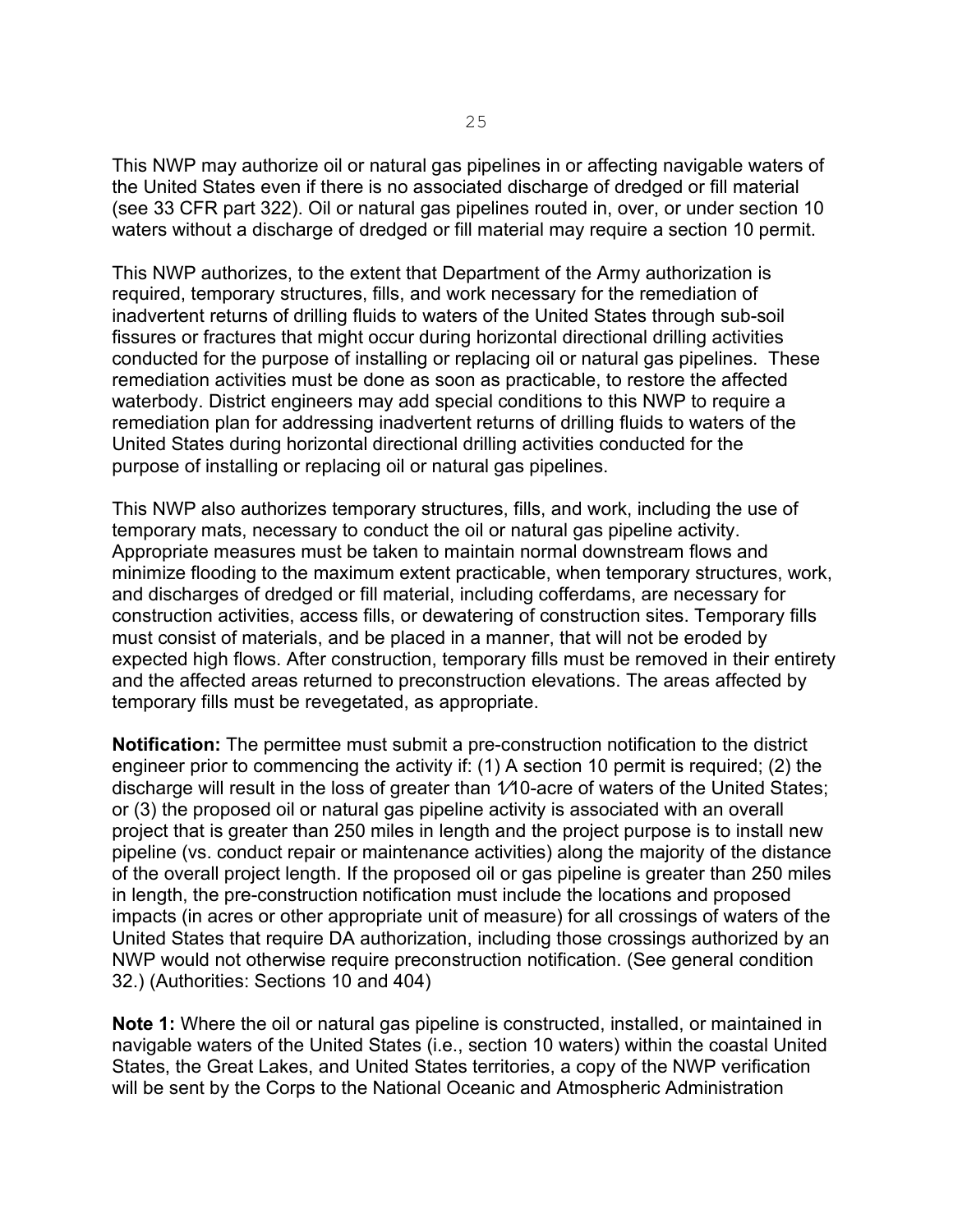This NWP may authorize oil or natural gas pipelines in or affecting navigable waters of the United States even if there is no associated discharge of dredged or fill material (see 33 CFR part 322). Oil or natural gas pipelines routed in, over, or under section 10 waters without a discharge of dredged or fill material may require a section 10 permit.

This NWP authorizes, to the extent that Department of the Army authorization is required, temporary structures, fills, and work necessary for the remediation of inadvertent returns of drilling fluids to waters of the United States through sub-soil fissures or fractures that might occur during horizontal directional drilling activities conducted for the purpose of installing or replacing oil or natural gas pipelines. These remediation activities must be done as soon as practicable, to restore the affected waterbody. District engineers may add special conditions to this NWP to require a remediation plan for addressing inadvertent returns of drilling fluids to waters of the United States during horizontal directional drilling activities conducted for the purpose of installing or replacing oil or natural gas pipelines.

This NWP also authorizes temporary structures, fills, and work, including the use of temporary mats, necessary to conduct the oil or natural gas pipeline activity. Appropriate measures must be taken to maintain normal downstream flows and minimize flooding to the maximum extent practicable, when temporary structures, work, and discharges of dredged or fill material, including cofferdams, are necessary for construction activities, access fills, or dewatering of construction sites. Temporary fills must consist of materials, and be placed in a manner, that will not be eroded by expected high flows. After construction, temporary fills must be removed in their entirety and the affected areas returned to preconstruction elevations. The areas affected by temporary fills must be revegetated, as appropriate.

**Notification:** The permittee must submit a pre-construction notification to the district engineer prior to commencing the activity if: (1) A section 10 permit is required; (2) the discharge will result in the loss of greater than 1⁄10-acre of waters of the United States; or (3) the proposed oil or natural gas pipeline activity is associated with an overall project that is greater than 250 miles in length and the project purpose is to install new pipeline (vs. conduct repair or maintenance activities) along the majority of the distance of the overall project length. If the proposed oil or gas pipeline is greater than 250 miles in length, the pre-construction notification must include the locations and proposed impacts (in acres or other appropriate unit of measure) for all crossings of waters of the United States that require DA authorization, including those crossings authorized by an NWP would not otherwise require preconstruction notification. (See general condition 32.) (Authorities: Sections 10 and 404)

**Note 1:** Where the oil or natural gas pipeline is constructed, installed, or maintained in navigable waters of the United States (i.e., section 10 waters) within the coastal United States, the Great Lakes, and United States territories, a copy of the NWP verification will be sent by the Corps to the National Oceanic and Atmospheric Administration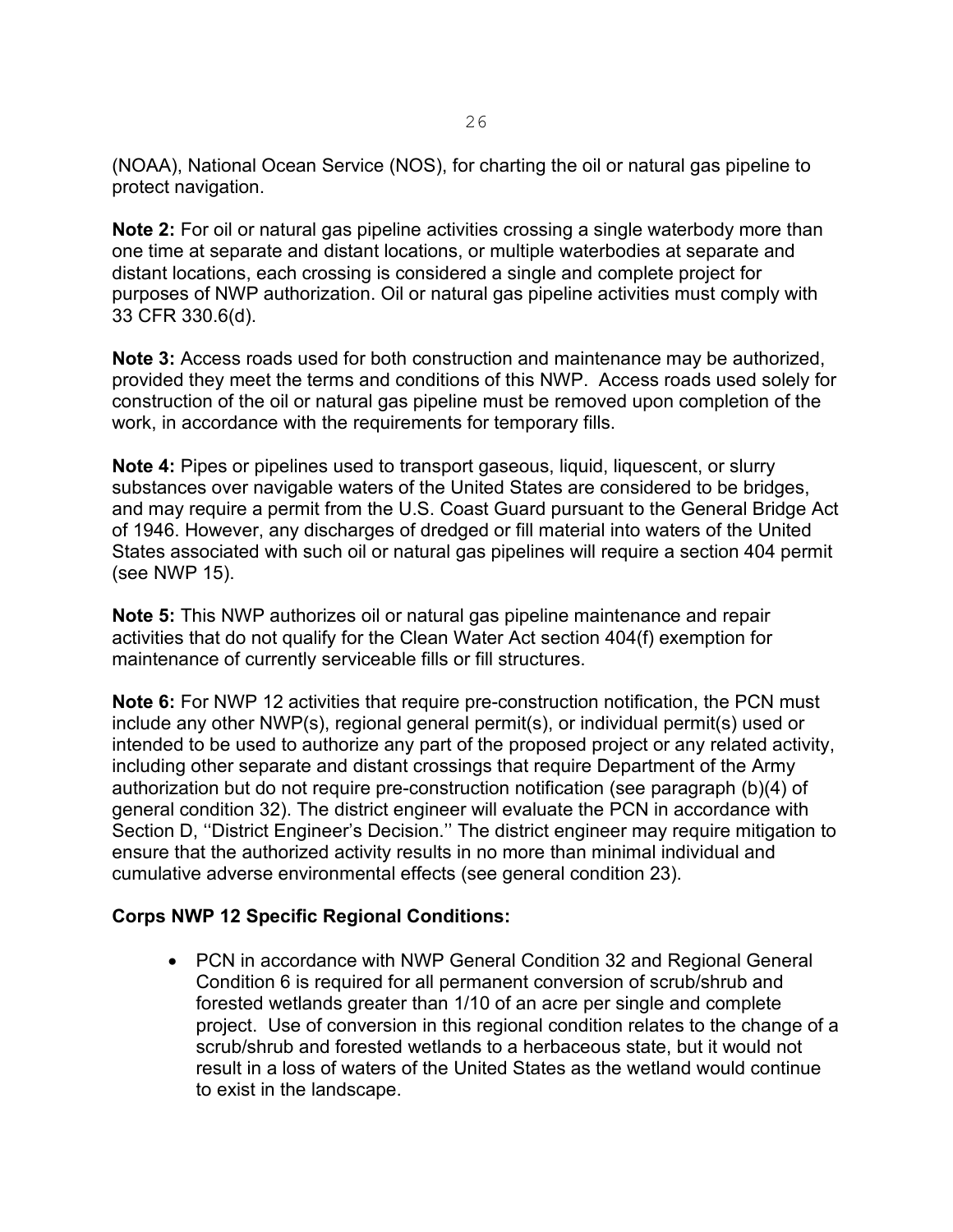(NOAA), National Ocean Service (NOS), for charting the oil or natural gas pipeline to protect navigation.

**Note 2:** For oil or natural gas pipeline activities crossing a single waterbody more than one time at separate and distant locations, or multiple waterbodies at separate and distant locations, each crossing is considered a single and complete project for purposes of NWP authorization. Oil or natural gas pipeline activities must comply with 33 CFR 330.6(d).

**Note 3:** Access roads used for both construction and maintenance may be authorized, provided they meet the terms and conditions of this NWP. Access roads used solely for construction of the oil or natural gas pipeline must be removed upon completion of the work, in accordance with the requirements for temporary fills.

**Note 4:** Pipes or pipelines used to transport gaseous, liquid, liquescent, or slurry substances over navigable waters of the United States are considered to be bridges, and may require a permit from the U.S. Coast Guard pursuant to the General Bridge Act of 1946. However, any discharges of dredged or fill material into waters of the United States associated with such oil or natural gas pipelines will require a section 404 permit (see NWP 15).

**Note 5:** This NWP authorizes oil or natural gas pipeline maintenance and repair activities that do not qualify for the Clean Water Act section 404(f) exemption for maintenance of currently serviceable fills or fill structures.

**Note 6:** For NWP 12 activities that require pre-construction notification, the PCN must include any other NWP(s), regional general permit(s), or individual permit(s) used or intended to be used to authorize any part of the proposed project or any related activity, including other separate and distant crossings that require Department of the Army authorization but do not require pre-construction notification (see paragraph (b)(4) of general condition 32). The district engineer will evaluate the PCN in accordance with Section D, ''District Engineer's Decision.'' The district engineer may require mitigation to ensure that the authorized activity results in no more than minimal individual and cumulative adverse environmental effects (see general condition 23).

#### **Corps NWP 12 Specific Regional Conditions:**

• PCN in accordance with NWP General Condition 32 and Regional General Condition 6 is required for all permanent conversion of scrub/shrub and forested wetlands greater than 1/10 of an acre per single and complete project. Use of conversion in this regional condition relates to the change of a scrub/shrub and forested wetlands to a herbaceous state, but it would not result in a loss of waters of the United States as the wetland would continue to exist in the landscape.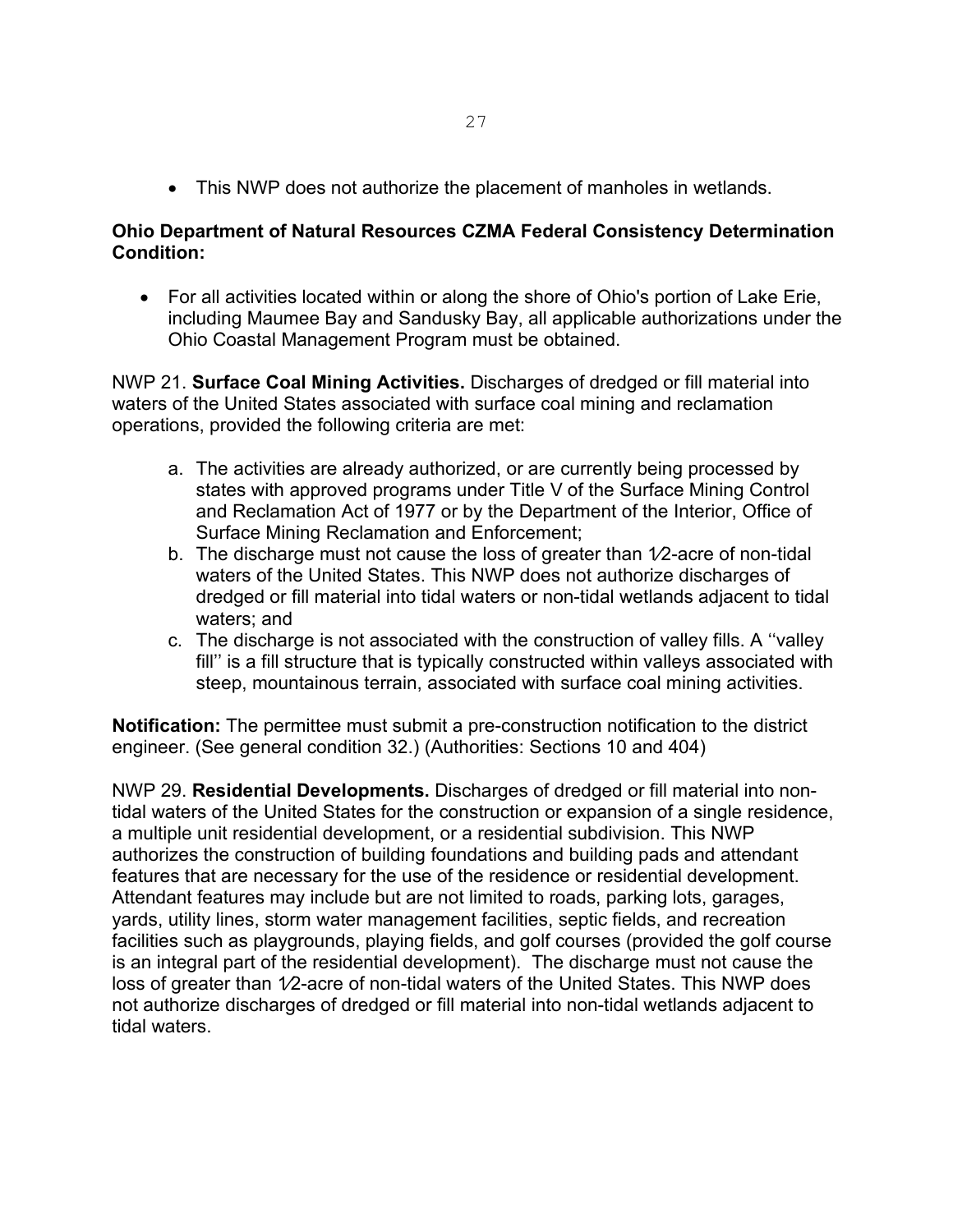• This NWP does not authorize the placement of manholes in wetlands.

#### **Ohio Department of Natural Resources CZMA Federal Consistency Determination Condition:**

• For all activities located within or along the shore of Ohio's portion of Lake Erie, including Maumee Bay and Sandusky Bay, all applicable authorizations under the Ohio Coastal Management Program must be obtained.

NWP 21. **Surface Coal Mining Activities.** Discharges of dredged or fill material into waters of the United States associated with surface coal mining and reclamation operations, provided the following criteria are met:

- a. The activities are already authorized, or are currently being processed by states with approved programs under Title V of the Surface Mining Control and Reclamation Act of 1977 or by the Department of the Interior, Office of Surface Mining Reclamation and Enforcement;
- b. The discharge must not cause the loss of greater than  $1/2$ -acre of non-tidal waters of the United States. This NWP does not authorize discharges of dredged or fill material into tidal waters or non-tidal wetlands adjacent to tidal waters; and
- c. The discharge is not associated with the construction of valley fills. A ''valley fill'' is a fill structure that is typically constructed within valleys associated with steep, mountainous terrain, associated with surface coal mining activities.

**Notification:** The permittee must submit a pre-construction notification to the district engineer. (See general condition 32.) (Authorities: Sections 10 and 404)

NWP 29. **Residential Developments.** Discharges of dredged or fill material into nontidal waters of the United States for the construction or expansion of a single residence, a multiple unit residential development, or a residential subdivision. This NWP authorizes the construction of building foundations and building pads and attendant features that are necessary for the use of the residence or residential development. Attendant features may include but are not limited to roads, parking lots, garages, yards, utility lines, storm water management facilities, septic fields, and recreation facilities such as playgrounds, playing fields, and golf courses (provided the golf course is an integral part of the residential development). The discharge must not cause the loss of greater than 1⁄2-acre of non-tidal waters of the United States. This NWP does not authorize discharges of dredged or fill material into non-tidal wetlands adjacent to tidal waters.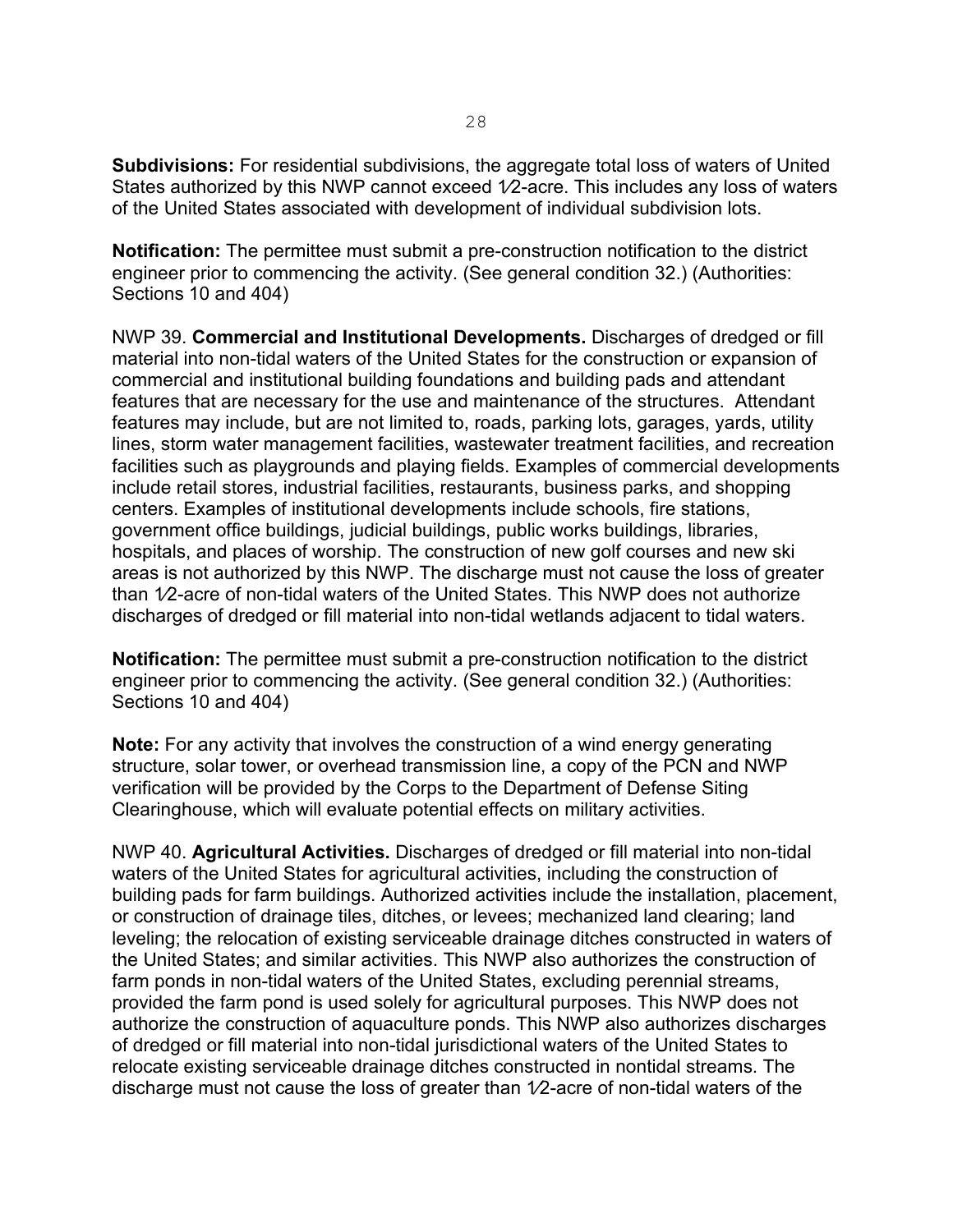**Subdivisions:** For residential subdivisions, the aggregate total loss of waters of United States authorized by this NWP cannot exceed 1/2-acre. This includes any loss of waters of the United States associated with development of individual subdivision lots.

**Notification:** The permittee must submit a pre-construction notification to the district engineer prior to commencing the activity. (See general condition 32.) (Authorities: Sections 10 and 404)

NWP 39. **Commercial and Institutional Developments.** Discharges of dredged or fill material into non-tidal waters of the United States for the construction or expansion of commercial and institutional building foundations and building pads and attendant features that are necessary for the use and maintenance of the structures. Attendant features may include, but are not limited to, roads, parking lots, garages, yards, utility lines, storm water management facilities, wastewater treatment facilities, and recreation facilities such as playgrounds and playing fields. Examples of commercial developments include retail stores, industrial facilities, restaurants, business parks, and shopping centers. Examples of institutional developments include schools, fire stations, government office buildings, judicial buildings, public works buildings, libraries, hospitals, and places of worship. The construction of new golf courses and new ski areas is not authorized by this NWP. The discharge must not cause the loss of greater than 1⁄2-acre of non-tidal waters of the United States. This NWP does not authorize discharges of dredged or fill material into non-tidal wetlands adjacent to tidal waters.

**Notification:** The permittee must submit a pre-construction notification to the district engineer prior to commencing the activity. (See general condition 32.) (Authorities: Sections 10 and 404)

**Note:** For any activity that involves the construction of a wind energy generating structure, solar tower, or overhead transmission line, a copy of the PCN and NWP verification will be provided by the Corps to the Department of Defense Siting Clearinghouse, which will evaluate potential effects on military activities.

NWP 40. **Agricultural Activities.** Discharges of dredged or fill material into non-tidal waters of the United States for agricultural activities, including the construction of building pads for farm buildings. Authorized activities include the installation, placement, or construction of drainage tiles, ditches, or levees; mechanized land clearing; land leveling; the relocation of existing serviceable drainage ditches constructed in waters of the United States; and similar activities. This NWP also authorizes the construction of farm ponds in non-tidal waters of the United States, excluding perennial streams, provided the farm pond is used solely for agricultural purposes. This NWP does not authorize the construction of aquaculture ponds. This NWP also authorizes discharges of dredged or fill material into non-tidal jurisdictional waters of the United States to relocate existing serviceable drainage ditches constructed in nontidal streams. The discharge must not cause the loss of greater than 1⁄2-acre of non-tidal waters of the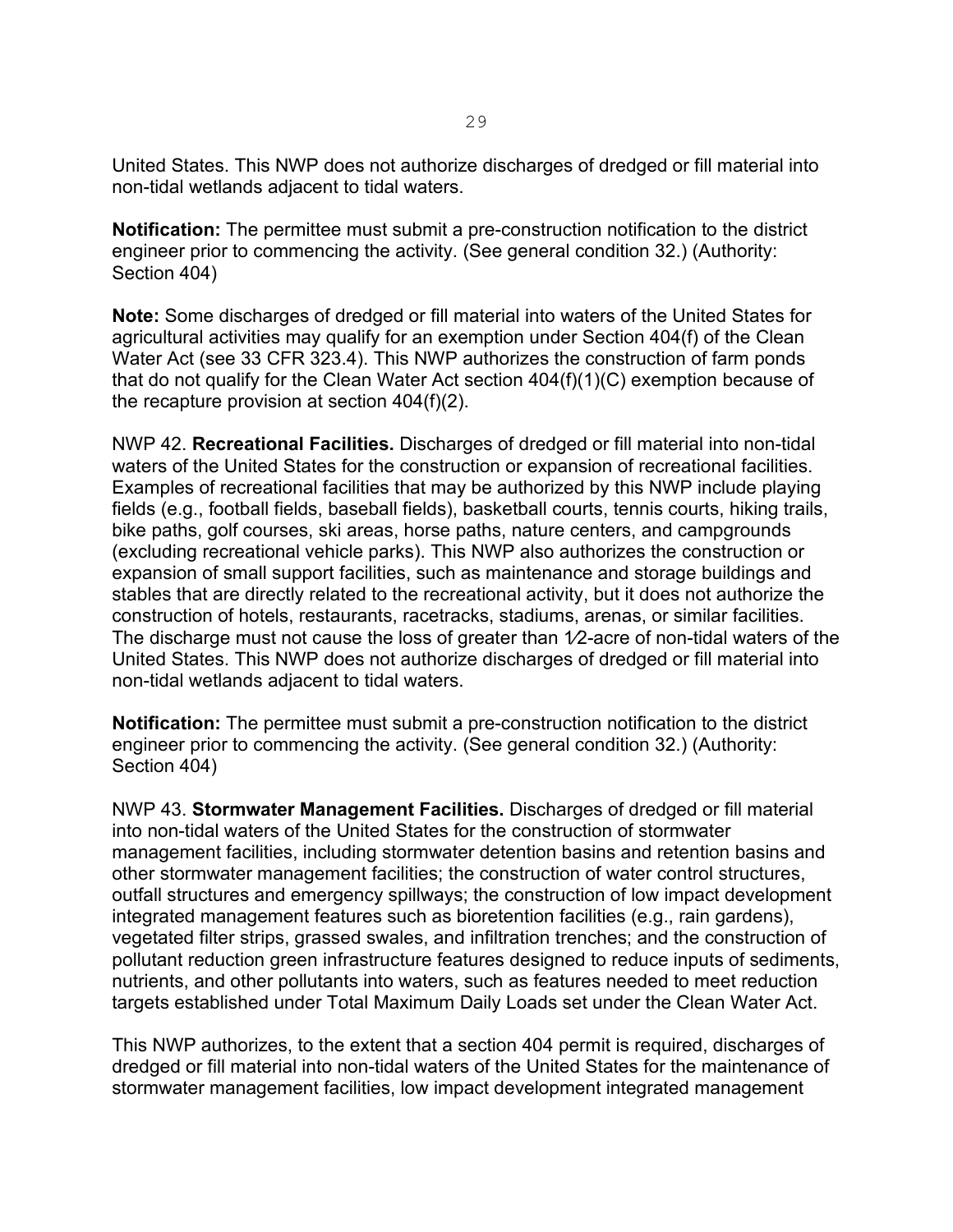United States. This NWP does not authorize discharges of dredged or fill material into non-tidal wetlands adjacent to tidal waters.

**Notification:** The permittee must submit a pre-construction notification to the district engineer prior to commencing the activity. (See general condition 32.) (Authority: Section 404)

**Note:** Some discharges of dredged or fill material into waters of the United States for agricultural activities may qualify for an exemption under Section 404(f) of the Clean Water Act (see 33 CFR 323.4). This NWP authorizes the construction of farm ponds that do not qualify for the Clean Water Act section 404(f)(1)(C) exemption because of the recapture provision at section 404(f)(2).

NWP 42. **Recreational Facilities.** Discharges of dredged or fill material into non-tidal waters of the United States for the construction or expansion of recreational facilities. Examples of recreational facilities that may be authorized by this NWP include playing fields (e.g., football fields, baseball fields), basketball courts, tennis courts, hiking trails, bike paths, golf courses, ski areas, horse paths, nature centers, and campgrounds (excluding recreational vehicle parks). This NWP also authorizes the construction or expansion of small support facilities, such as maintenance and storage buildings and stables that are directly related to the recreational activity, but it does not authorize the construction of hotels, restaurants, racetracks, stadiums, arenas, or similar facilities. The discharge must not cause the loss of greater than  $1/2$ -acre of non-tidal waters of the United States. This NWP does not authorize discharges of dredged or fill material into non-tidal wetlands adjacent to tidal waters.

**Notification:** The permittee must submit a pre-construction notification to the district engineer prior to commencing the activity. (See general condition 32.) (Authority: Section 404)

NWP 43. **Stormwater Management Facilities.** Discharges of dredged or fill material into non-tidal waters of the United States for the construction of stormwater management facilities, including stormwater detention basins and retention basins and other stormwater management facilities; the construction of water control structures, outfall structures and emergency spillways; the construction of low impact development integrated management features such as bioretention facilities (e.g., rain gardens), vegetated filter strips, grassed swales, and infiltration trenches; and the construction of pollutant reduction green infrastructure features designed to reduce inputs of sediments, nutrients, and other pollutants into waters, such as features needed to meet reduction targets established under Total Maximum Daily Loads set under the Clean Water Act.

This NWP authorizes, to the extent that a section 404 permit is required, discharges of dredged or fill material into non-tidal waters of the United States for the maintenance of stormwater management facilities, low impact development integrated management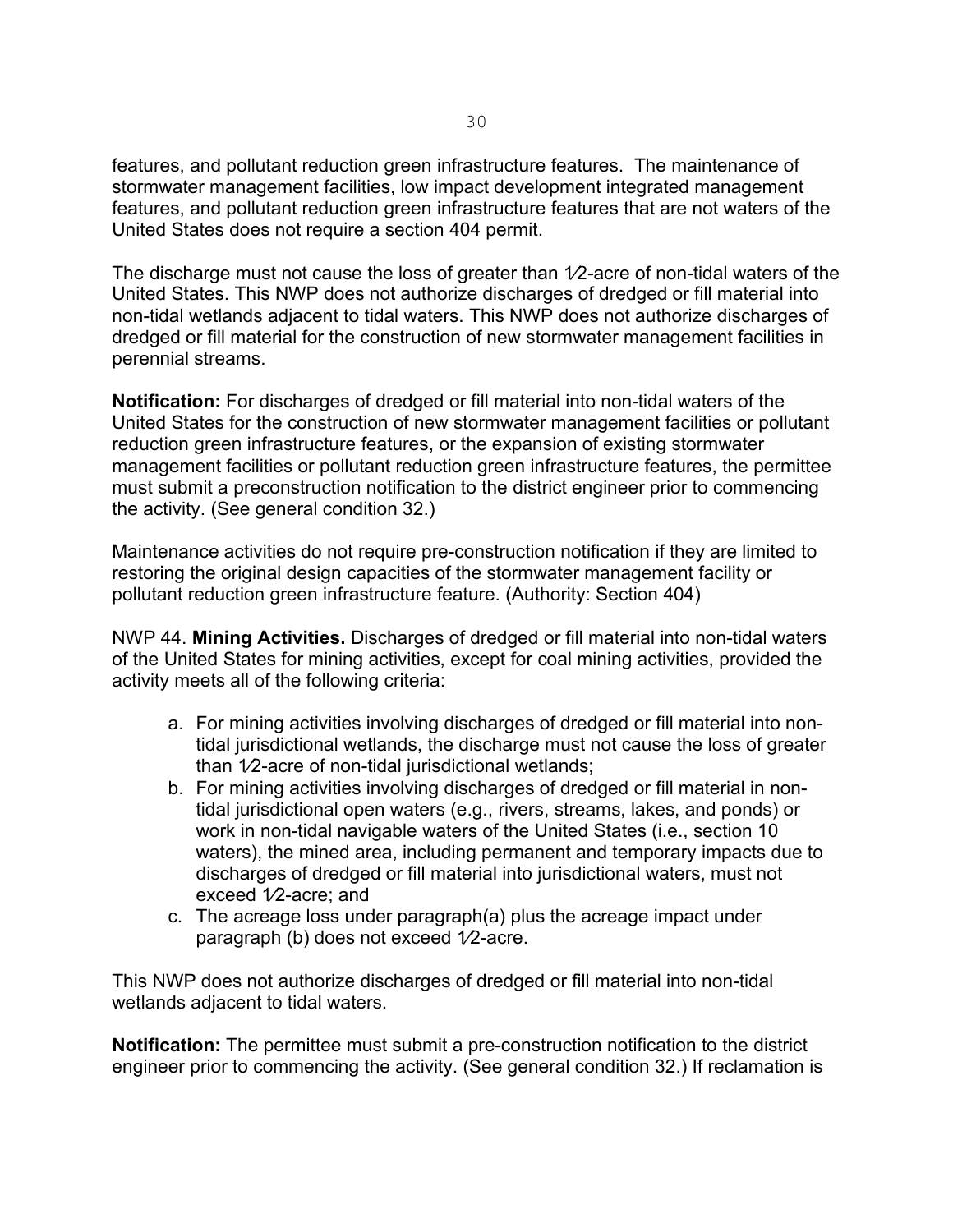features, and pollutant reduction green infrastructure features. The maintenance of stormwater management facilities, low impact development integrated management features, and pollutant reduction green infrastructure features that are not waters of the United States does not require a section 404 permit.

The discharge must not cause the loss of greater than 1/2-acre of non-tidal waters of the United States. This NWP does not authorize discharges of dredged or fill material into non-tidal wetlands adjacent to tidal waters. This NWP does not authorize discharges of dredged or fill material for the construction of new stormwater management facilities in perennial streams.

**Notification:** For discharges of dredged or fill material into non-tidal waters of the United States for the construction of new stormwater management facilities or pollutant reduction green infrastructure features, or the expansion of existing stormwater management facilities or pollutant reduction green infrastructure features, the permittee must submit a preconstruction notification to the district engineer prior to commencing the activity. (See general condition 32.)

Maintenance activities do not require pre-construction notification if they are limited to restoring the original design capacities of the stormwater management facility or pollutant reduction green infrastructure feature. (Authority: Section 404)

NWP 44. **Mining Activities.** Discharges of dredged or fill material into non-tidal waters of the United States for mining activities, except for coal mining activities, provided the activity meets all of the following criteria:

- a. For mining activities involving discharges of dredged or fill material into nontidal jurisdictional wetlands, the discharge must not cause the loss of greater than 1⁄2-acre of non-tidal jurisdictional wetlands;
- b. For mining activities involving discharges of dredged or fill material in nontidal jurisdictional open waters (e.g., rivers, streams, lakes, and ponds) or work in non-tidal navigable waters of the United States (i.e., section 10 waters), the mined area, including permanent and temporary impacts due to discharges of dredged or fill material into jurisdictional waters, must not exceed 1⁄2-acre; and
- c. The acreage loss under paragraph(a) plus the acreage impact under paragraph (b) does not exceed 1⁄2-acre.

This NWP does not authorize discharges of dredged or fill material into non-tidal wetlands adjacent to tidal waters.

**Notification:** The permittee must submit a pre-construction notification to the district engineer prior to commencing the activity. (See general condition 32.) If reclamation is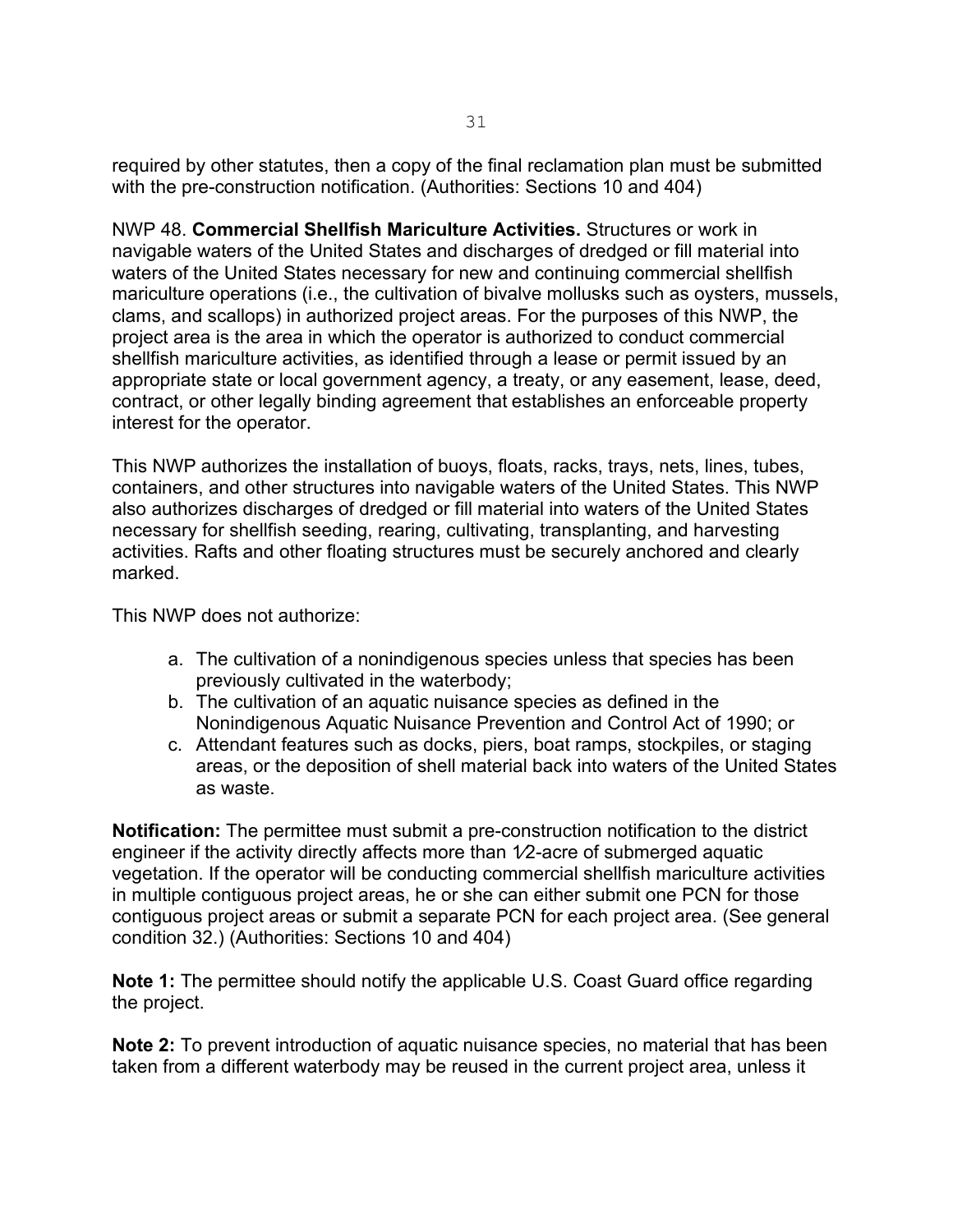required by other statutes, then a copy of the final reclamation plan must be submitted with the pre-construction notification. (Authorities: Sections 10 and 404)

NWP 48. **Commercial Shellfish Mariculture Activities.** Structures or work in navigable waters of the United States and discharges of dredged or fill material into waters of the United States necessary for new and continuing commercial shellfish mariculture operations (i.e., the cultivation of bivalve mollusks such as oysters, mussels, clams, and scallops) in authorized project areas. For the purposes of this NWP, the project area is the area in which the operator is authorized to conduct commercial shellfish mariculture activities, as identified through a lease or permit issued by an appropriate state or local government agency, a treaty, or any easement, lease, deed, contract, or other legally binding agreement that establishes an enforceable property interest for the operator.

This NWP authorizes the installation of buoys, floats, racks, trays, nets, lines, tubes, containers, and other structures into navigable waters of the United States. This NWP also authorizes discharges of dredged or fill material into waters of the United States necessary for shellfish seeding, rearing, cultivating, transplanting, and harvesting activities. Rafts and other floating structures must be securely anchored and clearly marked.

This NWP does not authorize:

- a. The cultivation of a nonindigenous species unless that species has been previously cultivated in the waterbody;
- b. The cultivation of an aquatic nuisance species as defined in the Nonindigenous Aquatic Nuisance Prevention and Control Act of 1990; or
- c. Attendant features such as docks, piers, boat ramps, stockpiles, or staging areas, or the deposition of shell material back into waters of the United States as waste.

**Notification:** The permittee must submit a pre-construction notification to the district engineer if the activity directly affects more than 1/2-acre of submerged aquatic vegetation. If the operator will be conducting commercial shellfish mariculture activities in multiple contiguous project areas, he or she can either submit one PCN for those contiguous project areas or submit a separate PCN for each project area. (See general condition 32.) (Authorities: Sections 10 and 404)

**Note 1:** The permittee should notify the applicable U.S. Coast Guard office regarding the project.

**Note 2:** To prevent introduction of aquatic nuisance species, no material that has been taken from a different waterbody may be reused in the current project area, unless it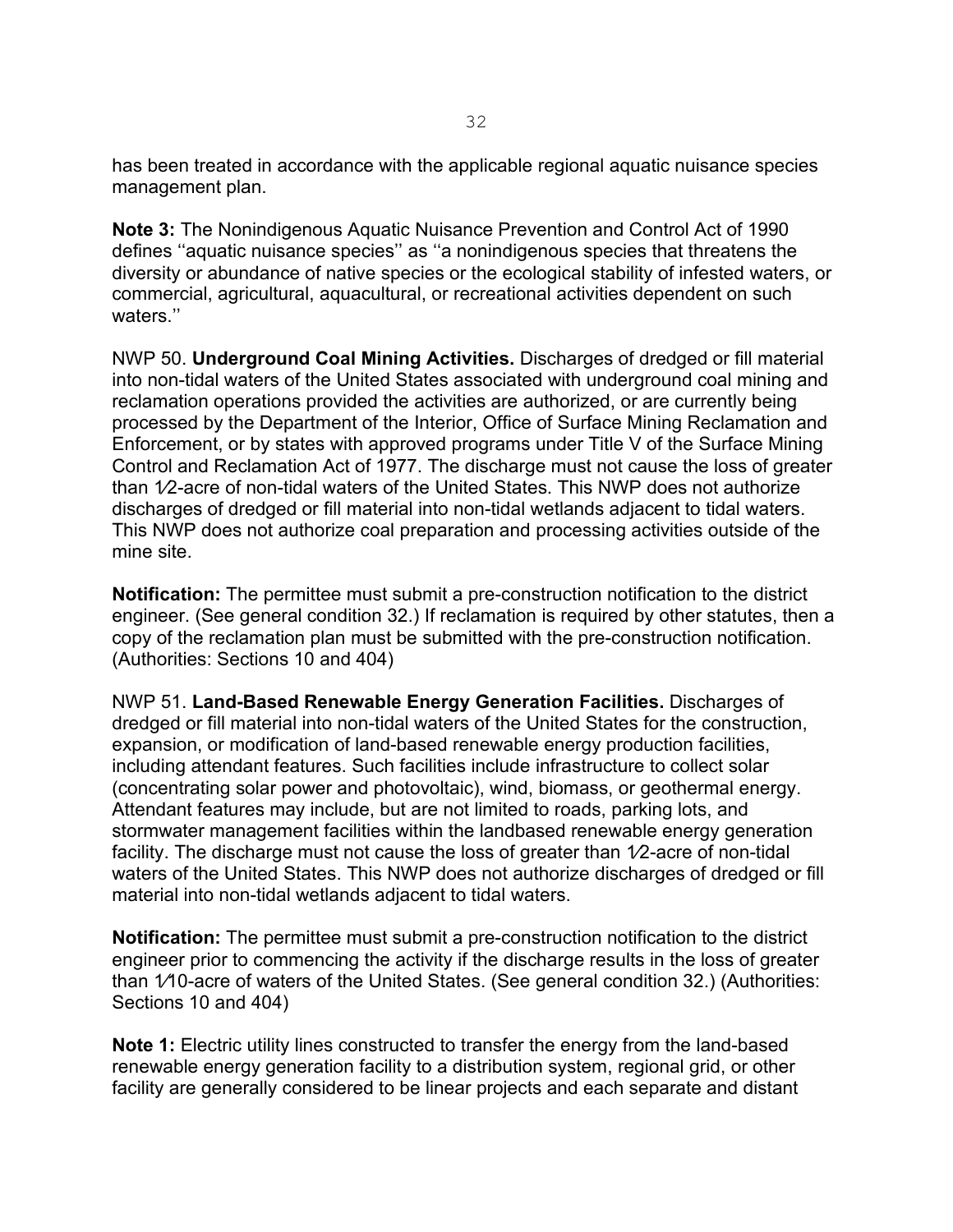has been treated in accordance with the applicable regional aquatic nuisance species management plan.

**Note 3:** The Nonindigenous Aquatic Nuisance Prevention and Control Act of 1990 defines ''aquatic nuisance species'' as ''a nonindigenous species that threatens the diversity or abundance of native species or the ecological stability of infested waters, or commercial, agricultural, aquacultural, or recreational activities dependent on such waters.''

NWP 50. **Underground Coal Mining Activities.** Discharges of dredged or fill material into non-tidal waters of the United States associated with underground coal mining and reclamation operations provided the activities are authorized, or are currently being processed by the Department of the Interior, Office of Surface Mining Reclamation and Enforcement, or by states with approved programs under Title V of the Surface Mining Control and Reclamation Act of 1977. The discharge must not cause the loss of greater than 1⁄2-acre of non-tidal waters of the United States. This NWP does not authorize discharges of dredged or fill material into non-tidal wetlands adjacent to tidal waters. This NWP does not authorize coal preparation and processing activities outside of the mine site.

**Notification:** The permittee must submit a pre-construction notification to the district engineer. (See general condition 32.) If reclamation is required by other statutes, then a copy of the reclamation plan must be submitted with the pre-construction notification. (Authorities: Sections 10 and 404)

NWP 51. **Land-Based Renewable Energy Generation Facilities.** Discharges of dredged or fill material into non-tidal waters of the United States for the construction, expansion, or modification of land-based renewable energy production facilities, including attendant features. Such facilities include infrastructure to collect solar (concentrating solar power and photovoltaic), wind, biomass, or geothermal energy. Attendant features may include, but are not limited to roads, parking lots, and stormwater management facilities within the landbased renewable energy generation facility. The discharge must not cause the loss of greater than  $1/2$ -acre of non-tidal waters of the United States. This NWP does not authorize discharges of dredged or fill material into non-tidal wetlands adjacent to tidal waters.

**Notification:** The permittee must submit a pre-construction notification to the district engineer prior to commencing the activity if the discharge results in the loss of greater than 1⁄10-acre of waters of the United States. (See general condition 32.) (Authorities: Sections 10 and 404)

**Note 1:** Electric utility lines constructed to transfer the energy from the land-based renewable energy generation facility to a distribution system, regional grid, or other facility are generally considered to be linear projects and each separate and distant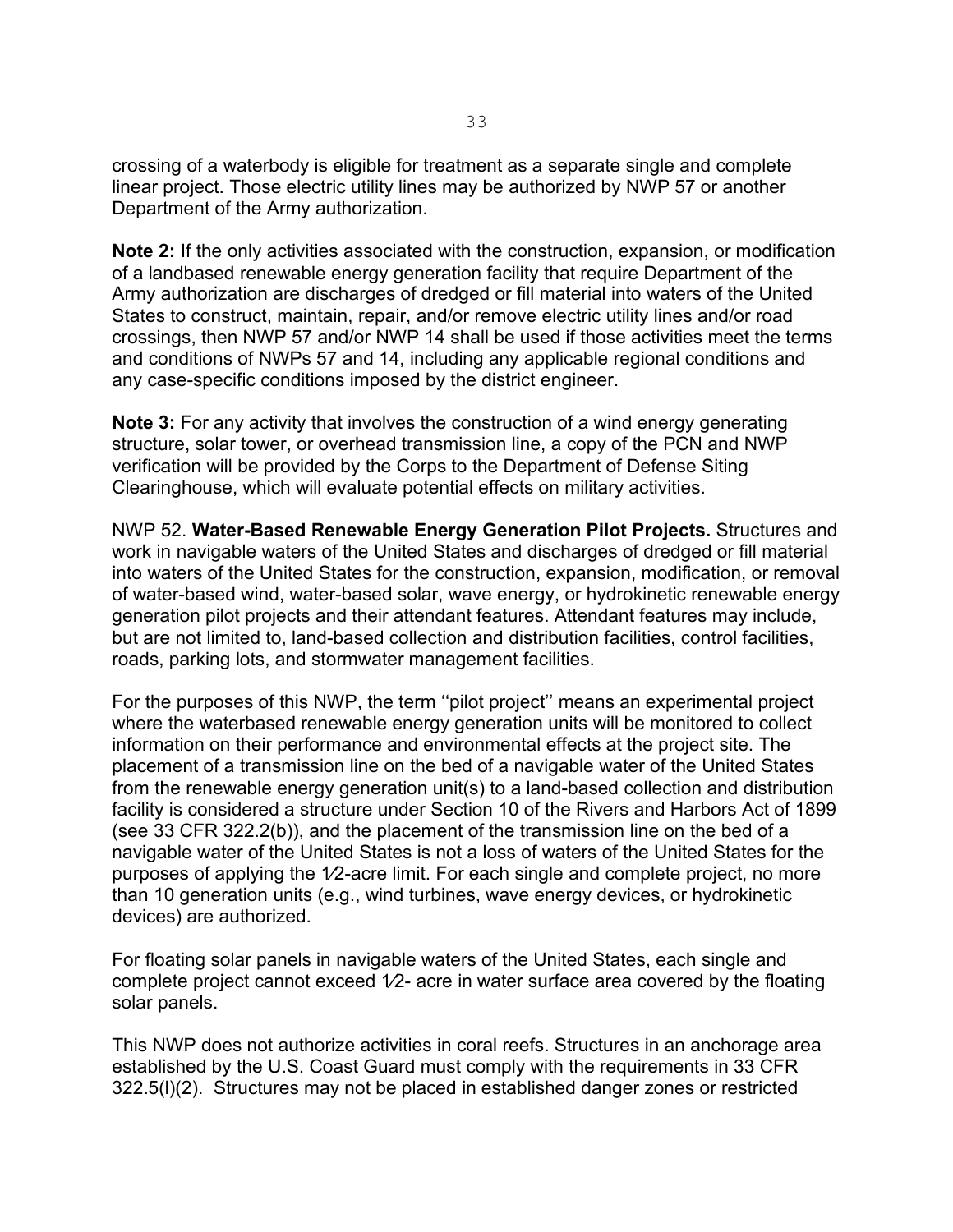crossing of a waterbody is eligible for treatment as a separate single and complete linear project. Those electric utility lines may be authorized by NWP 57 or another Department of the Army authorization.

**Note 2:** If the only activities associated with the construction, expansion, or modification of a landbased renewable energy generation facility that require Department of the Army authorization are discharges of dredged or fill material into waters of the United States to construct, maintain, repair, and/or remove electric utility lines and/or road crossings, then NWP 57 and/or NWP 14 shall be used if those activities meet the terms and conditions of NWPs 57 and 14, including any applicable regional conditions and any case-specific conditions imposed by the district engineer.

**Note 3:** For any activity that involves the construction of a wind energy generating structure, solar tower, or overhead transmission line, a copy of the PCN and NWP verification will be provided by the Corps to the Department of Defense Siting Clearinghouse, which will evaluate potential effects on military activities.

NWP 52. **Water-Based Renewable Energy Generation Pilot Projects.** Structures and work in navigable waters of the United States and discharges of dredged or fill material into waters of the United States for the construction, expansion, modification, or removal of water-based wind, water-based solar, wave energy, or hydrokinetic renewable energy generation pilot projects and their attendant features. Attendant features may include, but are not limited to, land-based collection and distribution facilities, control facilities, roads, parking lots, and stormwater management facilities.

For the purposes of this NWP, the term ''pilot project'' means an experimental project where the waterbased renewable energy generation units will be monitored to collect information on their performance and environmental effects at the project site. The placement of a transmission line on the bed of a navigable water of the United States from the renewable energy generation unit(s) to a land-based collection and distribution facility is considered a structure under Section 10 of the Rivers and Harbors Act of 1899 (see 33 CFR 322.2(b)), and the placement of the transmission line on the bed of a navigable water of the United States is not a loss of waters of the United States for the purposes of applying the 1⁄2-acre limit. For each single and complete project, no more than 10 generation units (e.g., wind turbines, wave energy devices, or hydrokinetic devices) are authorized.

For floating solar panels in navigable waters of the United States, each single and complete project cannot exceed  $1/2$ - acre in water surface area covered by the floating solar panels.

This NWP does not authorize activities in coral reefs. Structures in an anchorage area established by the U.S. Coast Guard must comply with the requirements in 33 CFR 322.5(l)(2). Structures may not be placed in established danger zones or restricted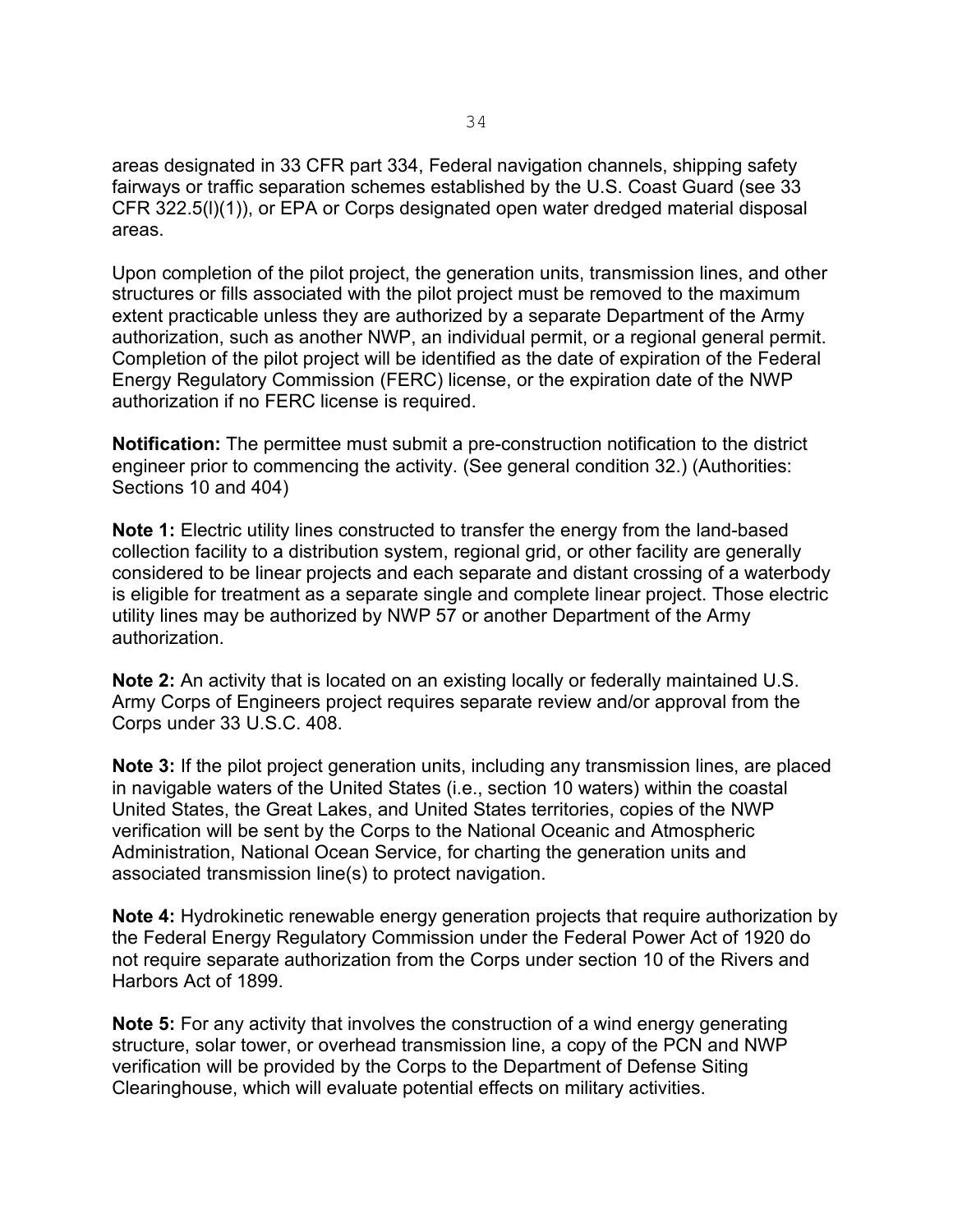areas designated in 33 CFR part 334, Federal navigation channels, shipping safety fairways or traffic separation schemes established by the U.S. Coast Guard (see 33 CFR 322.5(l)(1)), or EPA or Corps designated open water dredged material disposal areas.

Upon completion of the pilot project, the generation units, transmission lines, and other structures or fills associated with the pilot project must be removed to the maximum extent practicable unless they are authorized by a separate Department of the Army authorization, such as another NWP, an individual permit, or a regional general permit. Completion of the pilot project will be identified as the date of expiration of the Federal Energy Regulatory Commission (FERC) license, or the expiration date of the NWP authorization if no FERC license is required.

**Notification:** The permittee must submit a pre-construction notification to the district engineer prior to commencing the activity. (See general condition 32.) (Authorities: Sections 10 and 404)

**Note 1:** Electric utility lines constructed to transfer the energy from the land-based collection facility to a distribution system, regional grid, or other facility are generally considered to be linear projects and each separate and distant crossing of a waterbody is eligible for treatment as a separate single and complete linear project. Those electric utility lines may be authorized by NWP 57 or another Department of the Army authorization.

**Note 2:** An activity that is located on an existing locally or federally maintained U.S. Army Corps of Engineers project requires separate review and/or approval from the Corps under 33 U.S.C. 408.

**Note 3:** If the pilot project generation units, including any transmission lines, are placed in navigable waters of the United States (i.e., section 10 waters) within the coastal United States, the Great Lakes, and United States territories, copies of the NWP verification will be sent by the Corps to the National Oceanic and Atmospheric Administration, National Ocean Service, for charting the generation units and associated transmission line(s) to protect navigation.

**Note 4:** Hydrokinetic renewable energy generation projects that require authorization by the Federal Energy Regulatory Commission under the Federal Power Act of 1920 do not require separate authorization from the Corps under section 10 of the Rivers and Harbors Act of 1899.

**Note 5:** For any activity that involves the construction of a wind energy generating structure, solar tower, or overhead transmission line, a copy of the PCN and NWP verification will be provided by the Corps to the Department of Defense Siting Clearinghouse, which will evaluate potential effects on military activities.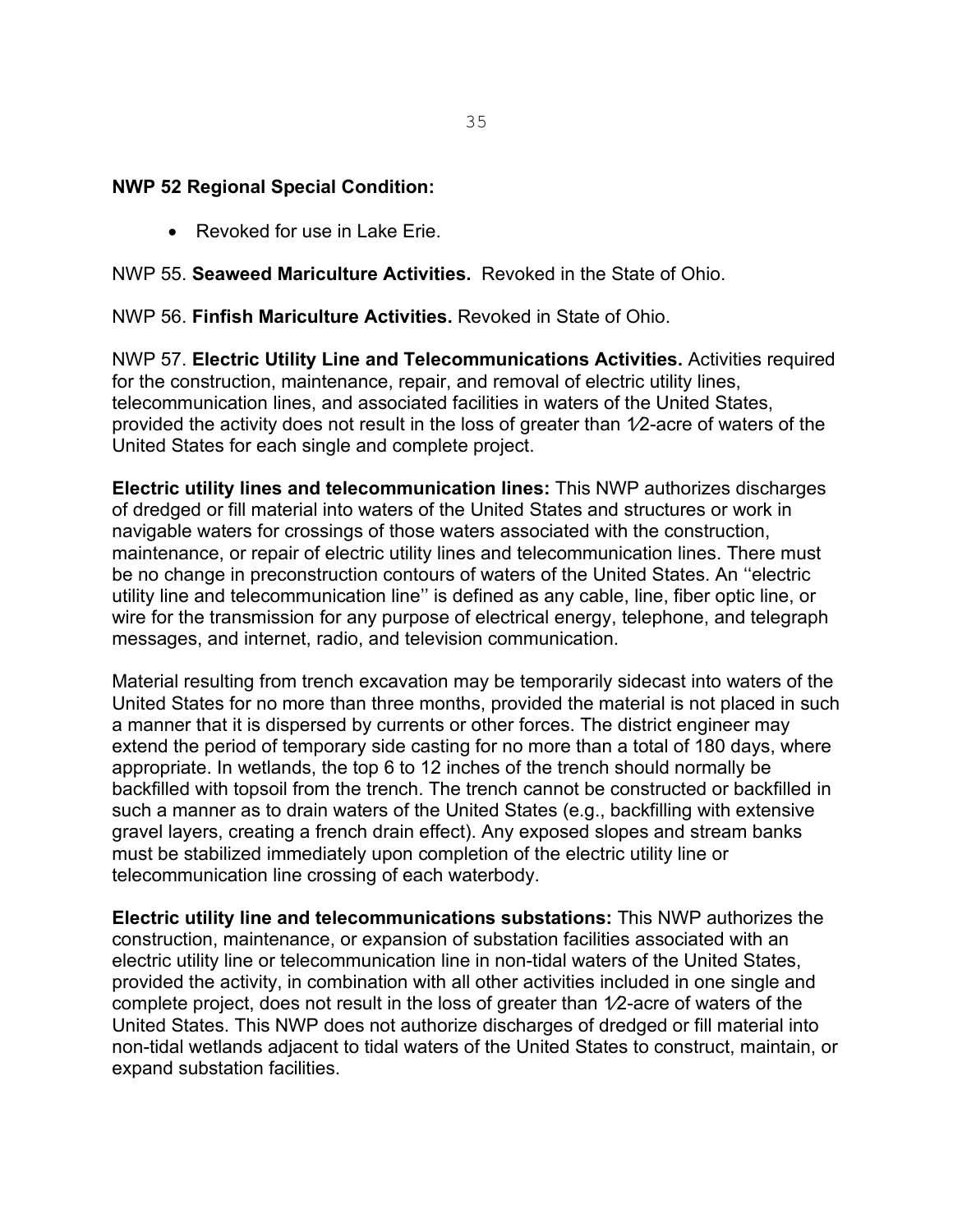#### **NWP 52 Regional Special Condition:**

• Revoked for use in Lake Erie.

#### NWP 55. **Seaweed Mariculture Activities.** Revoked in the State of Ohio.

NWP 56. **Finfish Mariculture Activities.** Revoked in State of Ohio.

NWP 57. **Electric Utility Line and Telecommunications Activities.** Activities required for the construction, maintenance, repair, and removal of electric utility lines, telecommunication lines, and associated facilities in waters of the United States, provided the activity does not result in the loss of greater than 1⁄2-acre of waters of the United States for each single and complete project.

**Electric utility lines and telecommunication lines:** This NWP authorizes discharges of dredged or fill material into waters of the United States and structures or work in navigable waters for crossings of those waters associated with the construction, maintenance, or repair of electric utility lines and telecommunication lines. There must be no change in preconstruction contours of waters of the United States. An ''electric utility line and telecommunication line'' is defined as any cable, line, fiber optic line, or wire for the transmission for any purpose of electrical energy, telephone, and telegraph messages, and internet, radio, and television communication.

Material resulting from trench excavation may be temporarily sidecast into waters of the United States for no more than three months, provided the material is not placed in such a manner that it is dispersed by currents or other forces. The district engineer may extend the period of temporary side casting for no more than a total of 180 days, where appropriate. In wetlands, the top 6 to 12 inches of the trench should normally be backfilled with topsoil from the trench. The trench cannot be constructed or backfilled in such a manner as to drain waters of the United States (e.g., backfilling with extensive gravel layers, creating a french drain effect). Any exposed slopes and stream banks must be stabilized immediately upon completion of the electric utility line or telecommunication line crossing of each waterbody.

**Electric utility line and telecommunications substations:** This NWP authorizes the construction, maintenance, or expansion of substation facilities associated with an electric utility line or telecommunication line in non-tidal waters of the United States, provided the activity, in combination with all other activities included in one single and complete project, does not result in the loss of greater than 1⁄2-acre of waters of the United States. This NWP does not authorize discharges of dredged or fill material into non-tidal wetlands adjacent to tidal waters of the United States to construct, maintain, or expand substation facilities.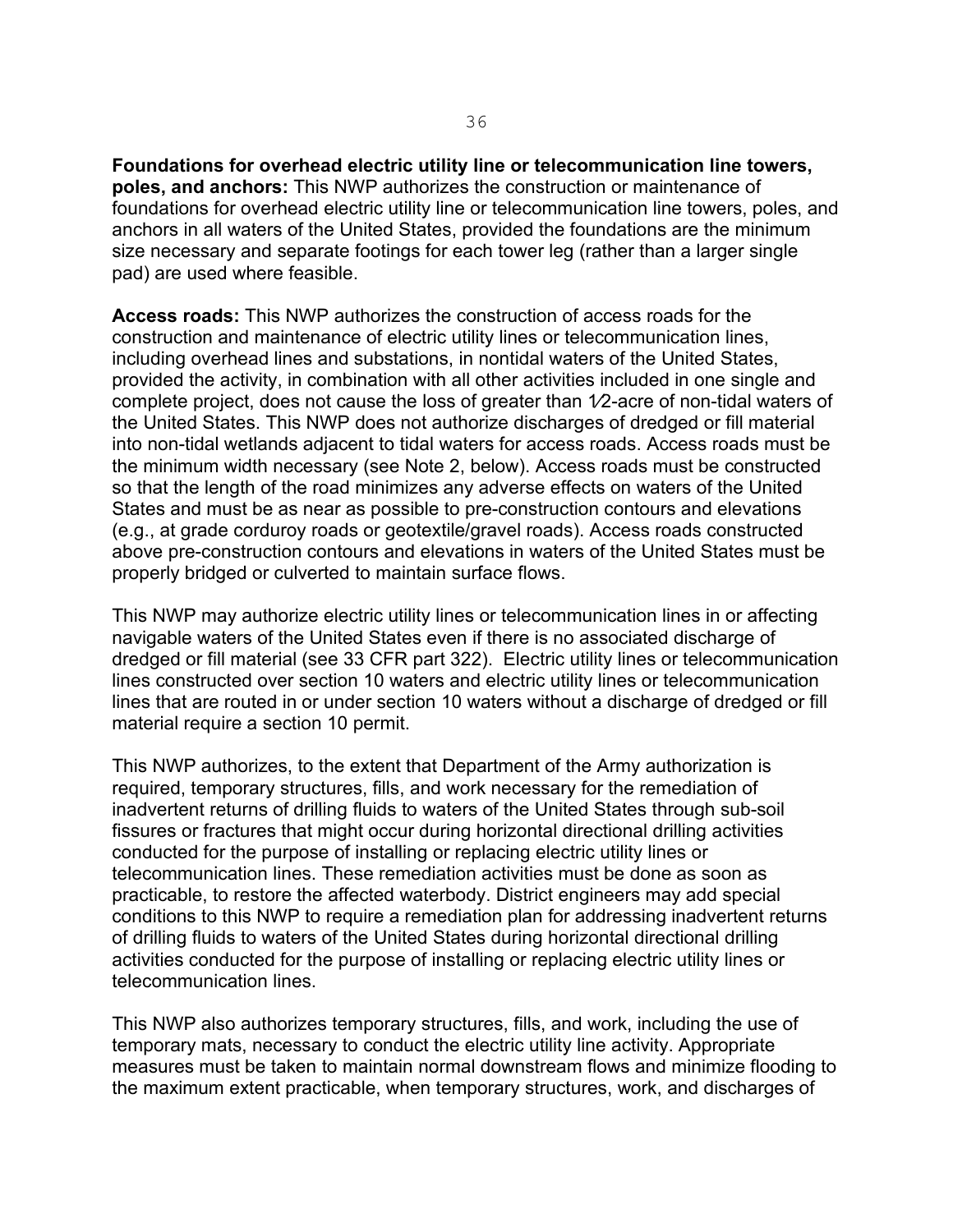**Foundations for overhead electric utility line or telecommunication line towers, poles, and anchors:** This NWP authorizes the construction or maintenance of foundations for overhead electric utility line or telecommunication line towers, poles, and anchors in all waters of the United States, provided the foundations are the minimum size necessary and separate footings for each tower leg (rather than a larger single pad) are used where feasible.

**Access roads:** This NWP authorizes the construction of access roads for the construction and maintenance of electric utility lines or telecommunication lines, including overhead lines and substations, in nontidal waters of the United States, provided the activity, in combination with all other activities included in one single and complete project, does not cause the loss of greater than 1⁄2-acre of non-tidal waters of the United States. This NWP does not authorize discharges of dredged or fill material into non-tidal wetlands adjacent to tidal waters for access roads. Access roads must be the minimum width necessary (see Note 2, below). Access roads must be constructed so that the length of the road minimizes any adverse effects on waters of the United States and must be as near as possible to pre-construction contours and elevations (e.g., at grade corduroy roads or geotextile/gravel roads). Access roads constructed above pre-construction contours and elevations in waters of the United States must be properly bridged or culverted to maintain surface flows.

This NWP may authorize electric utility lines or telecommunication lines in or affecting navigable waters of the United States even if there is no associated discharge of dredged or fill material (see 33 CFR part 322). Electric utility lines or telecommunication lines constructed over section 10 waters and electric utility lines or telecommunication lines that are routed in or under section 10 waters without a discharge of dredged or fill material require a section 10 permit.

This NWP authorizes, to the extent that Department of the Army authorization is required, temporary structures, fills, and work necessary for the remediation of inadvertent returns of drilling fluids to waters of the United States through sub-soil fissures or fractures that might occur during horizontal directional drilling activities conducted for the purpose of installing or replacing electric utility lines or telecommunication lines. These remediation activities must be done as soon as practicable, to restore the affected waterbody. District engineers may add special conditions to this NWP to require a remediation plan for addressing inadvertent returns of drilling fluids to waters of the United States during horizontal directional drilling activities conducted for the purpose of installing or replacing electric utility lines or telecommunication lines.

This NWP also authorizes temporary structures, fills, and work, including the use of temporary mats, necessary to conduct the electric utility line activity. Appropriate measures must be taken to maintain normal downstream flows and minimize flooding to the maximum extent practicable, when temporary structures, work, and discharges of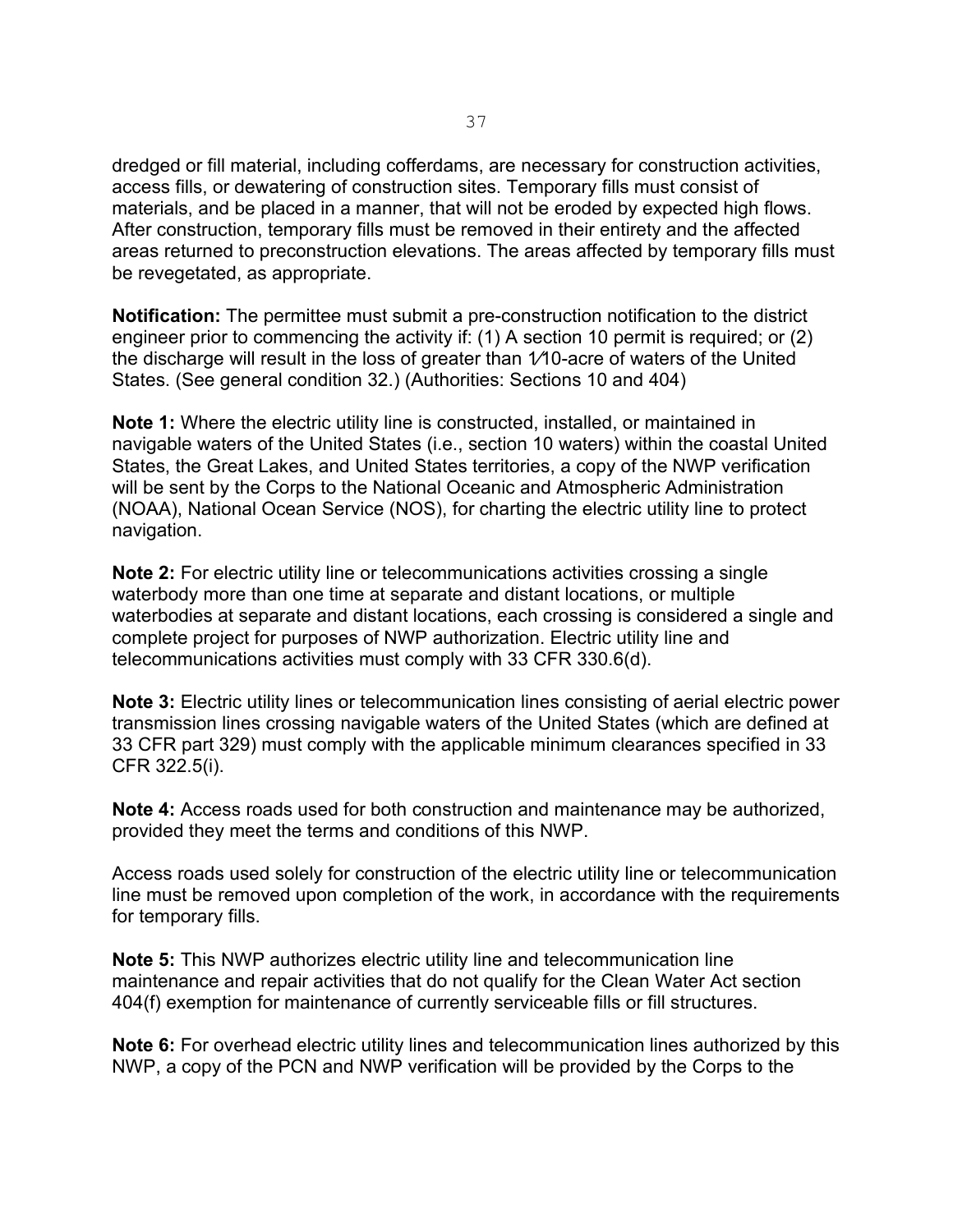dredged or fill material, including cofferdams, are necessary for construction activities, access fills, or dewatering of construction sites. Temporary fills must consist of materials, and be placed in a manner, that will not be eroded by expected high flows. After construction, temporary fills must be removed in their entirety and the affected areas returned to preconstruction elevations. The areas affected by temporary fills must be revegetated, as appropriate.

**Notification:** The permittee must submit a pre-construction notification to the district engineer prior to commencing the activity if: (1) A section 10 permit is required; or (2) the discharge will result in the loss of greater than 1⁄10-acre of waters of the United States. (See general condition 32.) (Authorities: Sections 10 and 404)

**Note 1:** Where the electric utility line is constructed, installed, or maintained in navigable waters of the United States (i.e., section 10 waters) within the coastal United States, the Great Lakes, and United States territories, a copy of the NWP verification will be sent by the Corps to the National Oceanic and Atmospheric Administration (NOAA), National Ocean Service (NOS), for charting the electric utility line to protect navigation.

**Note 2:** For electric utility line or telecommunications activities crossing a single waterbody more than one time at separate and distant locations, or multiple waterbodies at separate and distant locations, each crossing is considered a single and complete project for purposes of NWP authorization. Electric utility line and telecommunications activities must comply with 33 CFR 330.6(d).

**Note 3:** Electric utility lines or telecommunication lines consisting of aerial electric power transmission lines crossing navigable waters of the United States (which are defined at 33 CFR part 329) must comply with the applicable minimum clearances specified in 33 CFR 322.5(i).

**Note 4:** Access roads used for both construction and maintenance may be authorized, provided they meet the terms and conditions of this NWP.

Access roads used solely for construction of the electric utility line or telecommunication line must be removed upon completion of the work, in accordance with the requirements for temporary fills.

**Note 5:** This NWP authorizes electric utility line and telecommunication line maintenance and repair activities that do not qualify for the Clean Water Act section 404(f) exemption for maintenance of currently serviceable fills or fill structures.

**Note 6:** For overhead electric utility lines and telecommunication lines authorized by this NWP, a copy of the PCN and NWP verification will be provided by the Corps to the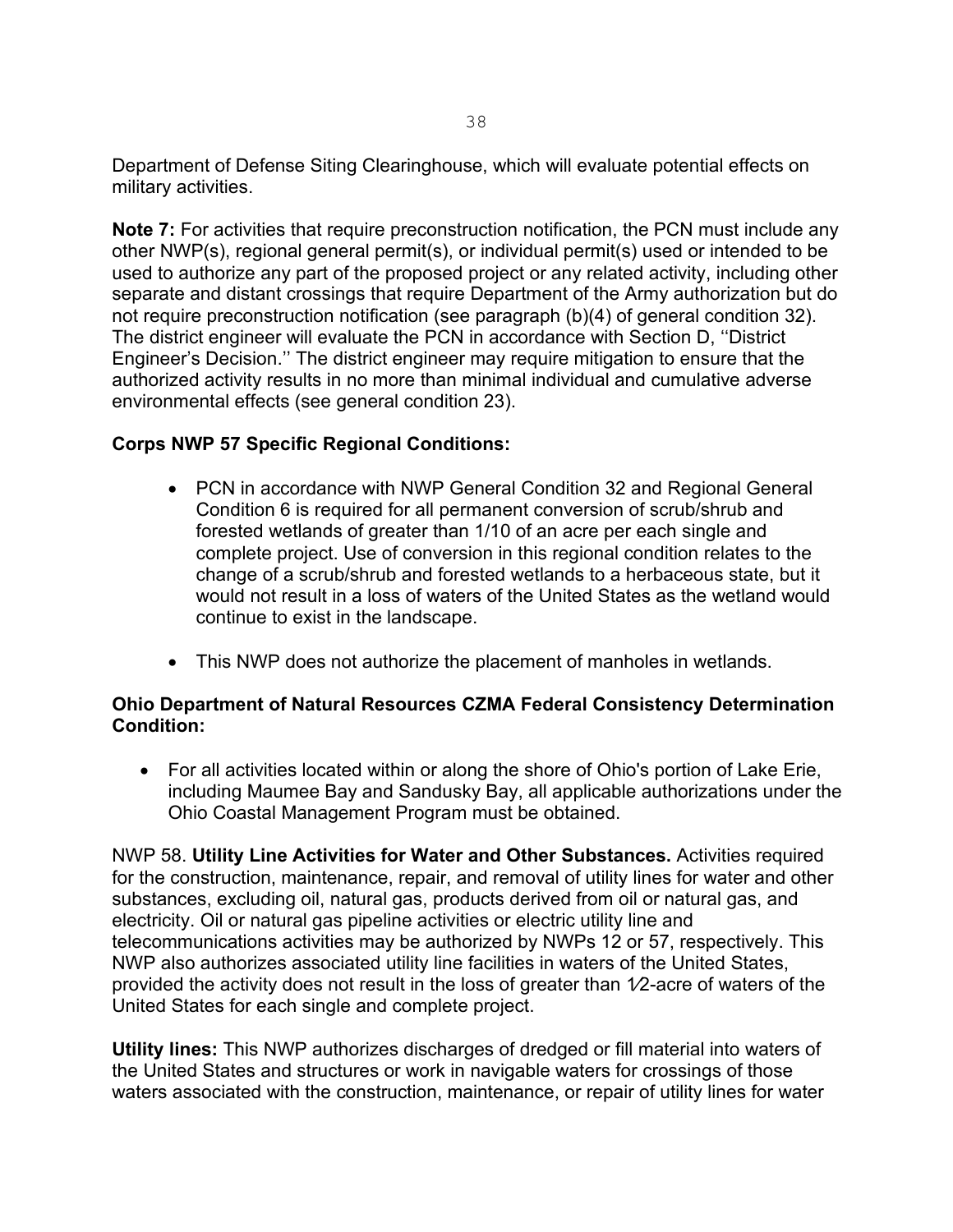Department of Defense Siting Clearinghouse, which will evaluate potential effects on military activities.

**Note 7:** For activities that require preconstruction notification, the PCN must include any other NWP(s), regional general permit(s), or individual permit(s) used or intended to be used to authorize any part of the proposed project or any related activity, including other separate and distant crossings that require Department of the Army authorization but do not require preconstruction notification (see paragraph (b)(4) of general condition 32). The district engineer will evaluate the PCN in accordance with Section D, ''District Engineer's Decision.'' The district engineer may require mitigation to ensure that the authorized activity results in no more than minimal individual and cumulative adverse environmental effects (see general condition 23).

#### **Corps NWP 57 Specific Regional Conditions:**

- PCN in accordance with NWP General Condition 32 and Regional General Condition 6 is required for all permanent conversion of scrub/shrub and forested wetlands of greater than 1/10 of an acre per each single and complete project. Use of conversion in this regional condition relates to the change of a scrub/shrub and forested wetlands to a herbaceous state, but it would not result in a loss of waters of the United States as the wetland would continue to exist in the landscape.
- This NWP does not authorize the placement of manholes in wetlands.

#### **Ohio Department of Natural Resources CZMA Federal Consistency Determination Condition:**

• For all activities located within or along the shore of Ohio's portion of Lake Erie, including Maumee Bay and Sandusky Bay, all applicable authorizations under the Ohio Coastal Management Program must be obtained.

NWP 58. **Utility Line Activities for Water and Other Substances.** Activities required for the construction, maintenance, repair, and removal of utility lines for water and other substances, excluding oil, natural gas, products derived from oil or natural gas, and electricity. Oil or natural gas pipeline activities or electric utility line and telecommunications activities may be authorized by NWPs 12 or 57, respectively. This NWP also authorizes associated utility line facilities in waters of the United States, provided the activity does not result in the loss of greater than  $1/2$ -acre of waters of the United States for each single and complete project.

**Utility lines:** This NWP authorizes discharges of dredged or fill material into waters of the United States and structures or work in navigable waters for crossings of those waters associated with the construction, maintenance, or repair of utility lines for water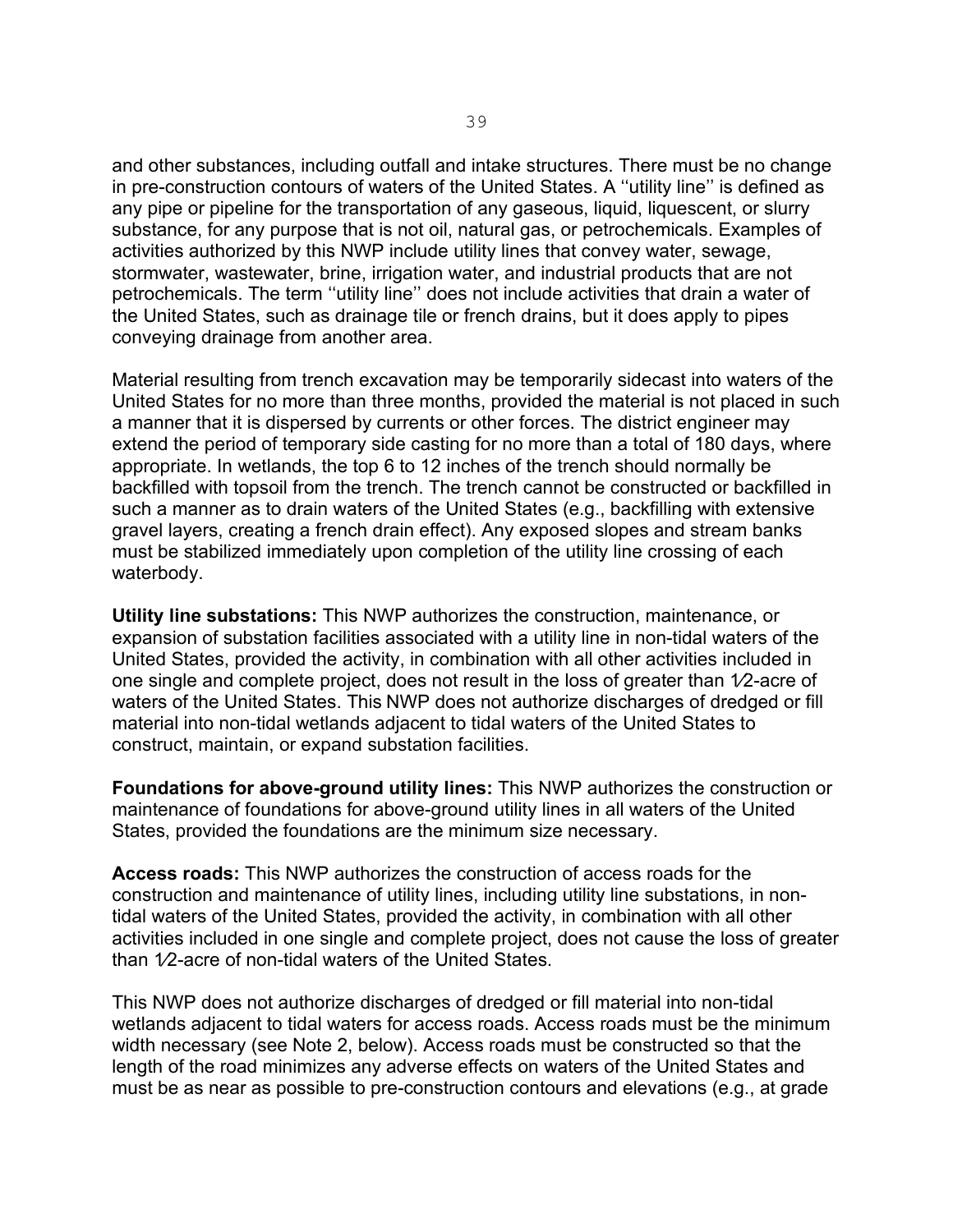and other substances, including outfall and intake structures. There must be no change in pre-construction contours of waters of the United States. A ''utility line'' is defined as any pipe or pipeline for the transportation of any gaseous, liquid, liquescent, or slurry substance, for any purpose that is not oil, natural gas, or petrochemicals. Examples of activities authorized by this NWP include utility lines that convey water, sewage, stormwater, wastewater, brine, irrigation water, and industrial products that are not petrochemicals. The term ''utility line'' does not include activities that drain a water of the United States, such as drainage tile or french drains, but it does apply to pipes conveying drainage from another area.

Material resulting from trench excavation may be temporarily sidecast into waters of the United States for no more than three months, provided the material is not placed in such a manner that it is dispersed by currents or other forces. The district engineer may extend the period of temporary side casting for no more than a total of 180 days, where appropriate. In wetlands, the top 6 to 12 inches of the trench should normally be backfilled with topsoil from the trench. The trench cannot be constructed or backfilled in such a manner as to drain waters of the United States (e.g., backfilling with extensive gravel layers, creating a french drain effect). Any exposed slopes and stream banks must be stabilized immediately upon completion of the utility line crossing of each waterbody.

**Utility line substations:** This NWP authorizes the construction, maintenance, or expansion of substation facilities associated with a utility line in non-tidal waters of the United States, provided the activity, in combination with all other activities included in one single and complete project, does not result in the loss of greater than 1⁄2-acre of waters of the United States. This NWP does not authorize discharges of dredged or fill material into non-tidal wetlands adjacent to tidal waters of the United States to construct, maintain, or expand substation facilities.

**Foundations for above-ground utility lines:** This NWP authorizes the construction or maintenance of foundations for above-ground utility lines in all waters of the United States, provided the foundations are the minimum size necessary.

**Access roads:** This NWP authorizes the construction of access roads for the construction and maintenance of utility lines, including utility line substations, in nontidal waters of the United States, provided the activity, in combination with all other activities included in one single and complete project, does not cause the loss of greater than 1⁄2-acre of non-tidal waters of the United States.

This NWP does not authorize discharges of dredged or fill material into non-tidal wetlands adjacent to tidal waters for access roads. Access roads must be the minimum width necessary (see Note 2, below). Access roads must be constructed so that the length of the road minimizes any adverse effects on waters of the United States and must be as near as possible to pre-construction contours and elevations (e.g., at grade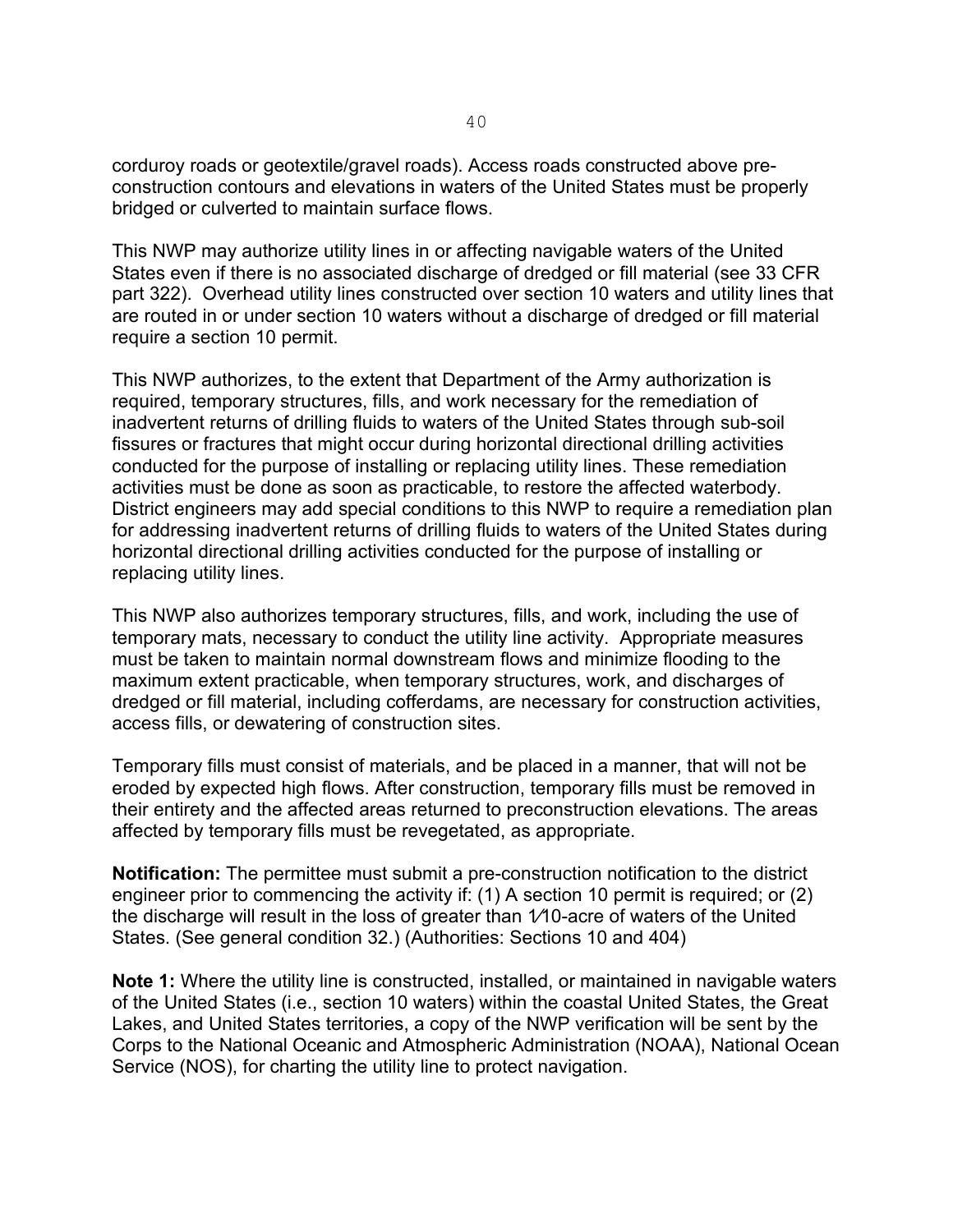corduroy roads or geotextile/gravel roads). Access roads constructed above preconstruction contours and elevations in waters of the United States must be properly bridged or culverted to maintain surface flows.

This NWP may authorize utility lines in or affecting navigable waters of the United States even if there is no associated discharge of dredged or fill material (see 33 CFR part 322). Overhead utility lines constructed over section 10 waters and utility lines that are routed in or under section 10 waters without a discharge of dredged or fill material require a section 10 permit.

This NWP authorizes, to the extent that Department of the Army authorization is required, temporary structures, fills, and work necessary for the remediation of inadvertent returns of drilling fluids to waters of the United States through sub-soil fissures or fractures that might occur during horizontal directional drilling activities conducted for the purpose of installing or replacing utility lines. These remediation activities must be done as soon as practicable, to restore the affected waterbody. District engineers may add special conditions to this NWP to require a remediation plan for addressing inadvertent returns of drilling fluids to waters of the United States during horizontal directional drilling activities conducted for the purpose of installing or replacing utility lines.

This NWP also authorizes temporary structures, fills, and work, including the use of temporary mats, necessary to conduct the utility line activity. Appropriate measures must be taken to maintain normal downstream flows and minimize flooding to the maximum extent practicable, when temporary structures, work, and discharges of dredged or fill material, including cofferdams, are necessary for construction activities, access fills, or dewatering of construction sites.

Temporary fills must consist of materials, and be placed in a manner, that will not be eroded by expected high flows. After construction, temporary fills must be removed in their entirety and the affected areas returned to preconstruction elevations. The areas affected by temporary fills must be revegetated, as appropriate.

**Notification:** The permittee must submit a pre-construction notification to the district engineer prior to commencing the activity if: (1) A section 10 permit is required; or (2) the discharge will result in the loss of greater than 1⁄10-acre of waters of the United States. (See general condition 32.) (Authorities: Sections 10 and 404)

**Note 1:** Where the utility line is constructed, installed, or maintained in navigable waters of the United States (i.e., section 10 waters) within the coastal United States, the Great Lakes, and United States territories, a copy of the NWP verification will be sent by the Corps to the National Oceanic and Atmospheric Administration (NOAA), National Ocean Service (NOS), for charting the utility line to protect navigation.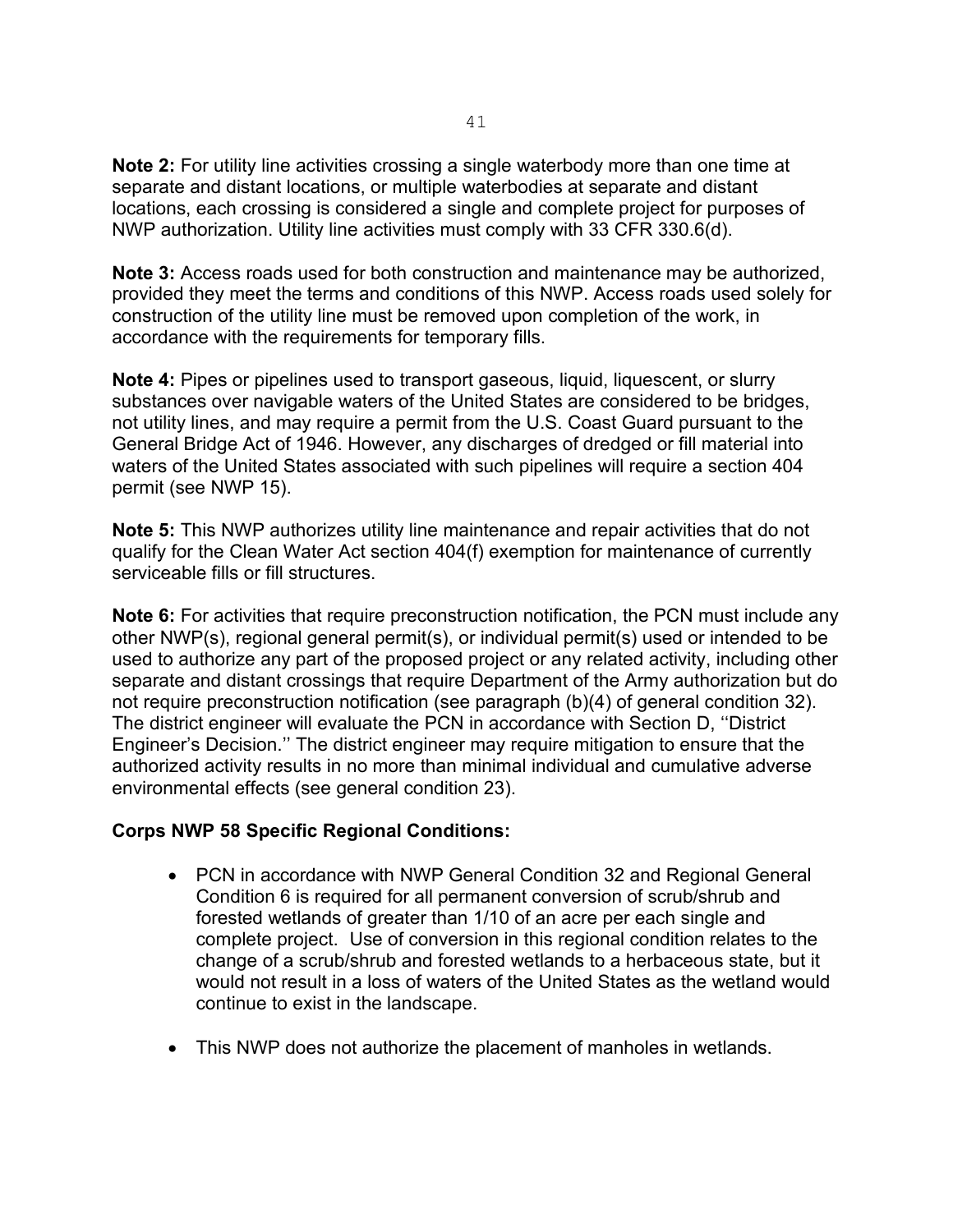**Note 2:** For utility line activities crossing a single waterbody more than one time at separate and distant locations, or multiple waterbodies at separate and distant locations, each crossing is considered a single and complete project for purposes of NWP authorization. Utility line activities must comply with 33 CFR 330.6(d).

**Note 3:** Access roads used for both construction and maintenance may be authorized, provided they meet the terms and conditions of this NWP. Access roads used solely for construction of the utility line must be removed upon completion of the work, in accordance with the requirements for temporary fills.

**Note 4:** Pipes or pipelines used to transport gaseous, liquid, liquescent, or slurry substances over navigable waters of the United States are considered to be bridges, not utility lines, and may require a permit from the U.S. Coast Guard pursuant to the General Bridge Act of 1946. However, any discharges of dredged or fill material into waters of the United States associated with such pipelines will require a section 404 permit (see NWP 15).

**Note 5:** This NWP authorizes utility line maintenance and repair activities that do not qualify for the Clean Water Act section 404(f) exemption for maintenance of currently serviceable fills or fill structures.

**Note 6:** For activities that require preconstruction notification, the PCN must include any other NWP(s), regional general permit(s), or individual permit(s) used or intended to be used to authorize any part of the proposed project or any related activity, including other separate and distant crossings that require Department of the Army authorization but do not require preconstruction notification (see paragraph (b)(4) of general condition 32). The district engineer will evaluate the PCN in accordance with Section D, ''District Engineer's Decision.'' The district engineer may require mitigation to ensure that the authorized activity results in no more than minimal individual and cumulative adverse environmental effects (see general condition 23).

#### **Corps NWP 58 Specific Regional Conditions:**

- PCN in accordance with NWP General Condition 32 and Regional General Condition 6 is required for all permanent conversion of scrub/shrub and forested wetlands of greater than 1/10 of an acre per each single and complete project. Use of conversion in this regional condition relates to the change of a scrub/shrub and forested wetlands to a herbaceous state, but it would not result in a loss of waters of the United States as the wetland would continue to exist in the landscape.
- This NWP does not authorize the placement of manholes in wetlands.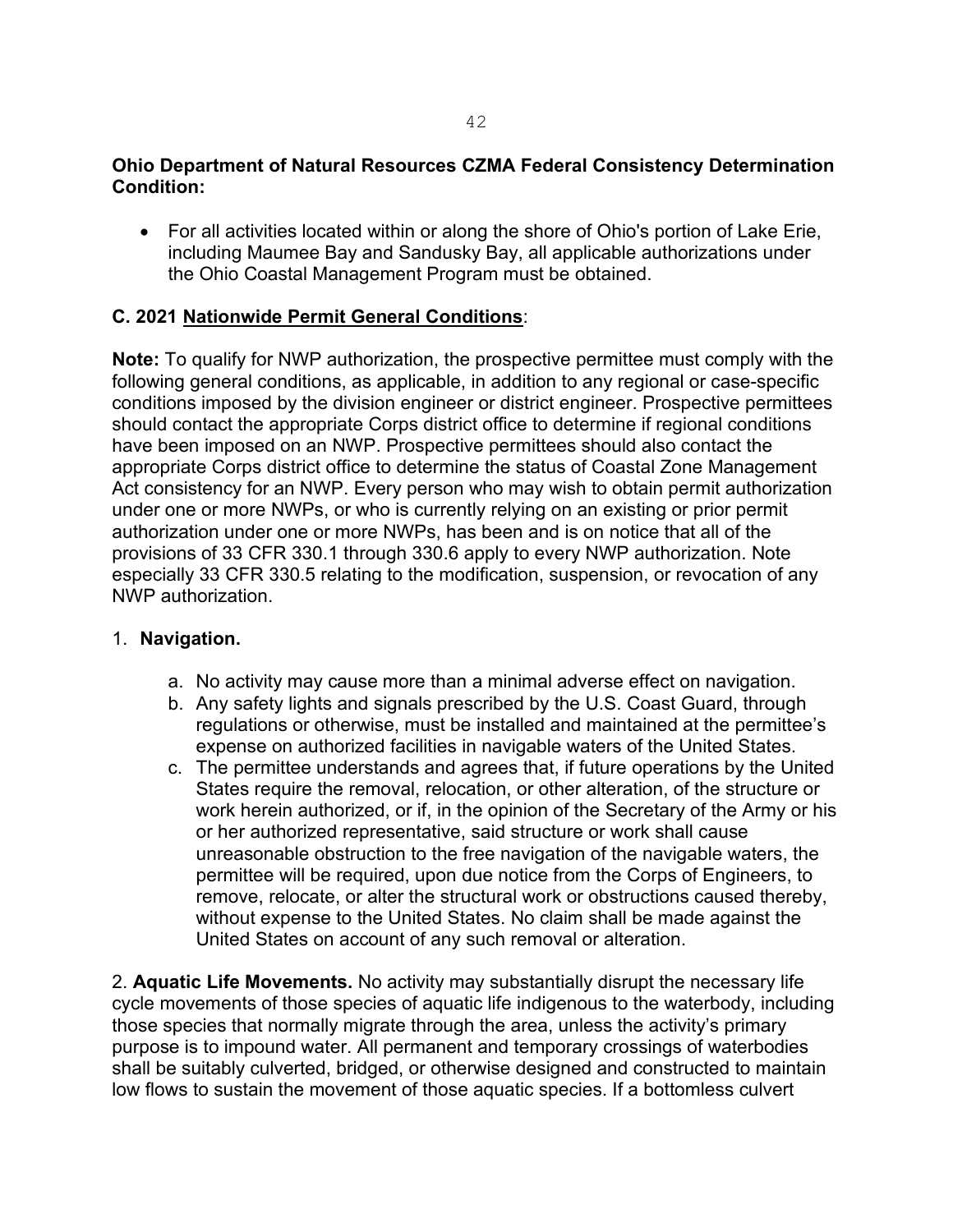#### **Ohio Department of Natural Resources CZMA Federal Consistency Determination Condition:**

• For all activities located within or along the shore of Ohio's portion of Lake Erie, including Maumee Bay and Sandusky Bay, all applicable authorizations under the Ohio Coastal Management Program must be obtained.

#### **C. 2021 Nationwide Permit General Conditions**:

**Note:** To qualify for NWP authorization, the prospective permittee must comply with the following general conditions, as applicable, in addition to any regional or case-specific conditions imposed by the division engineer or district engineer. Prospective permittees should contact the appropriate Corps district office to determine if regional conditions have been imposed on an NWP. Prospective permittees should also contact the appropriate Corps district office to determine the status of Coastal Zone Management Act consistency for an NWP. Every person who may wish to obtain permit authorization under one or more NWPs, or who is currently relying on an existing or prior permit authorization under one or more NWPs, has been and is on notice that all of the provisions of 33 CFR 330.1 through 330.6 apply to every NWP authorization. Note especially 33 CFR 330.5 relating to the modification, suspension, or revocation of any NWP authorization.

#### 1. **Navigation.**

- a. No activity may cause more than a minimal adverse effect on navigation.
- b. Any safety lights and signals prescribed by the U.S. Coast Guard, through regulations or otherwise, must be installed and maintained at the permittee's expense on authorized facilities in navigable waters of the United States.
- c. The permittee understands and agrees that, if future operations by the United States require the removal, relocation, or other alteration, of the structure or work herein authorized, or if, in the opinion of the Secretary of the Army or his or her authorized representative, said structure or work shall cause unreasonable obstruction to the free navigation of the navigable waters, the permittee will be required, upon due notice from the Corps of Engineers, to remove, relocate, or alter the structural work or obstructions caused thereby, without expense to the United States. No claim shall be made against the United States on account of any such removal or alteration.

2. **Aquatic Life Movements.** No activity may substantially disrupt the necessary life cycle movements of those species of aquatic life indigenous to the waterbody, including those species that normally migrate through the area, unless the activity's primary purpose is to impound water. All permanent and temporary crossings of waterbodies shall be suitably culverted, bridged, or otherwise designed and constructed to maintain low flows to sustain the movement of those aquatic species. If a bottomless culvert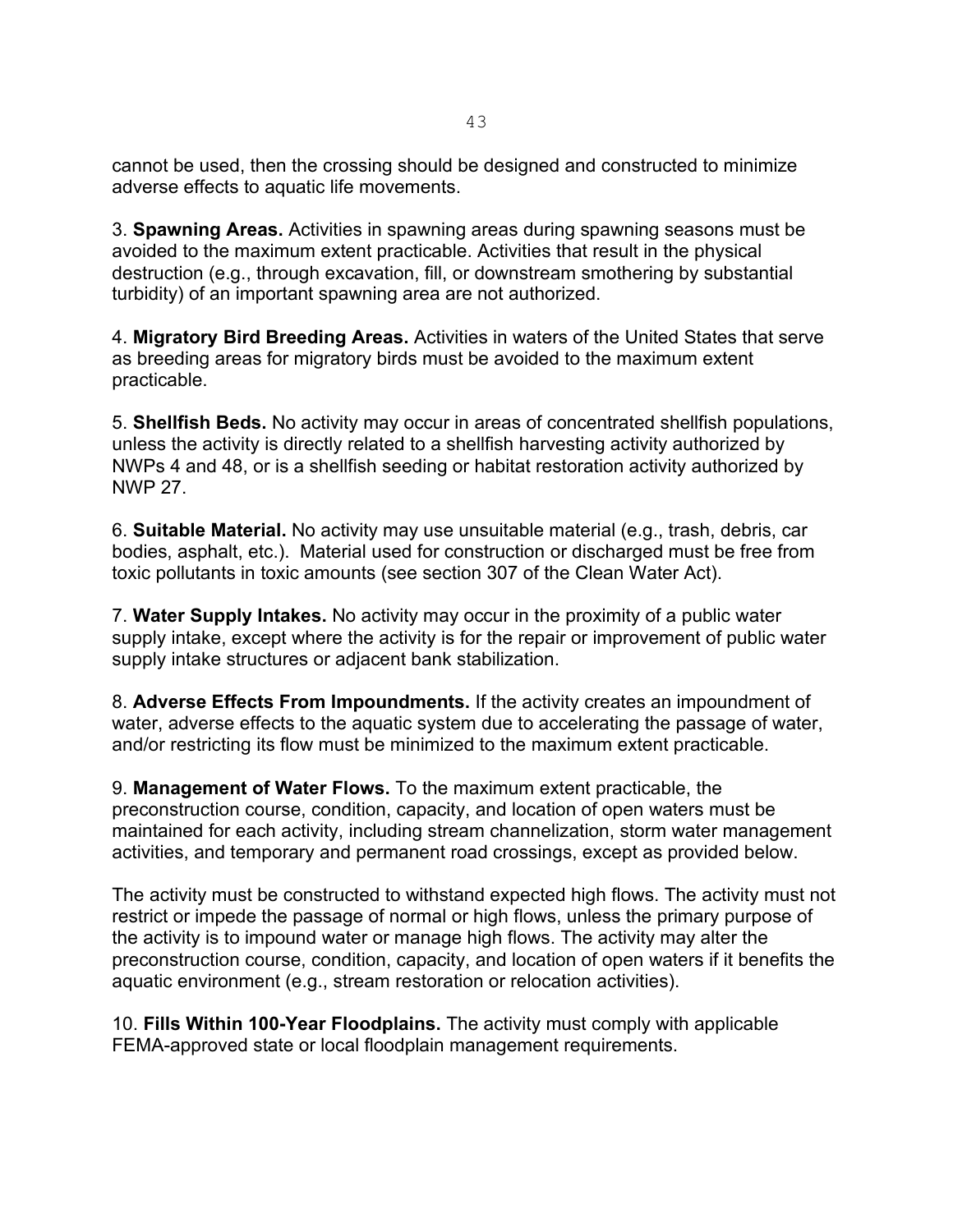cannot be used, then the crossing should be designed and constructed to minimize adverse effects to aquatic life movements.

3. **Spawning Areas.** Activities in spawning areas during spawning seasons must be avoided to the maximum extent practicable. Activities that result in the physical destruction (e.g., through excavation, fill, or downstream smothering by substantial turbidity) of an important spawning area are not authorized.

4. **Migratory Bird Breeding Areas.** Activities in waters of the United States that serve as breeding areas for migratory birds must be avoided to the maximum extent practicable.

5. **Shellfish Beds.** No activity may occur in areas of concentrated shellfish populations, unless the activity is directly related to a shellfish harvesting activity authorized by NWPs 4 and 48, or is a shellfish seeding or habitat restoration activity authorized by NWP 27.

6. **Suitable Material.** No activity may use unsuitable material (e.g., trash, debris, car bodies, asphalt, etc.). Material used for construction or discharged must be free from toxic pollutants in toxic amounts (see section 307 of the Clean Water Act).

7. **Water Supply Intakes.** No activity may occur in the proximity of a public water supply intake, except where the activity is for the repair or improvement of public water supply intake structures or adjacent bank stabilization.

8. **Adverse Effects From Impoundments.** If the activity creates an impoundment of water, adverse effects to the aquatic system due to accelerating the passage of water, and/or restricting its flow must be minimized to the maximum extent practicable.

9. **Management of Water Flows.** To the maximum extent practicable, the preconstruction course, condition, capacity, and location of open waters must be maintained for each activity, including stream channelization, storm water management activities, and temporary and permanent road crossings, except as provided below.

The activity must be constructed to withstand expected high flows. The activity must not restrict or impede the passage of normal or high flows, unless the primary purpose of the activity is to impound water or manage high flows. The activity may alter the preconstruction course, condition, capacity, and location of open waters if it benefits the aquatic environment (e.g., stream restoration or relocation activities).

10. **Fills Within 100-Year Floodplains.** The activity must comply with applicable FEMA-approved state or local floodplain management requirements.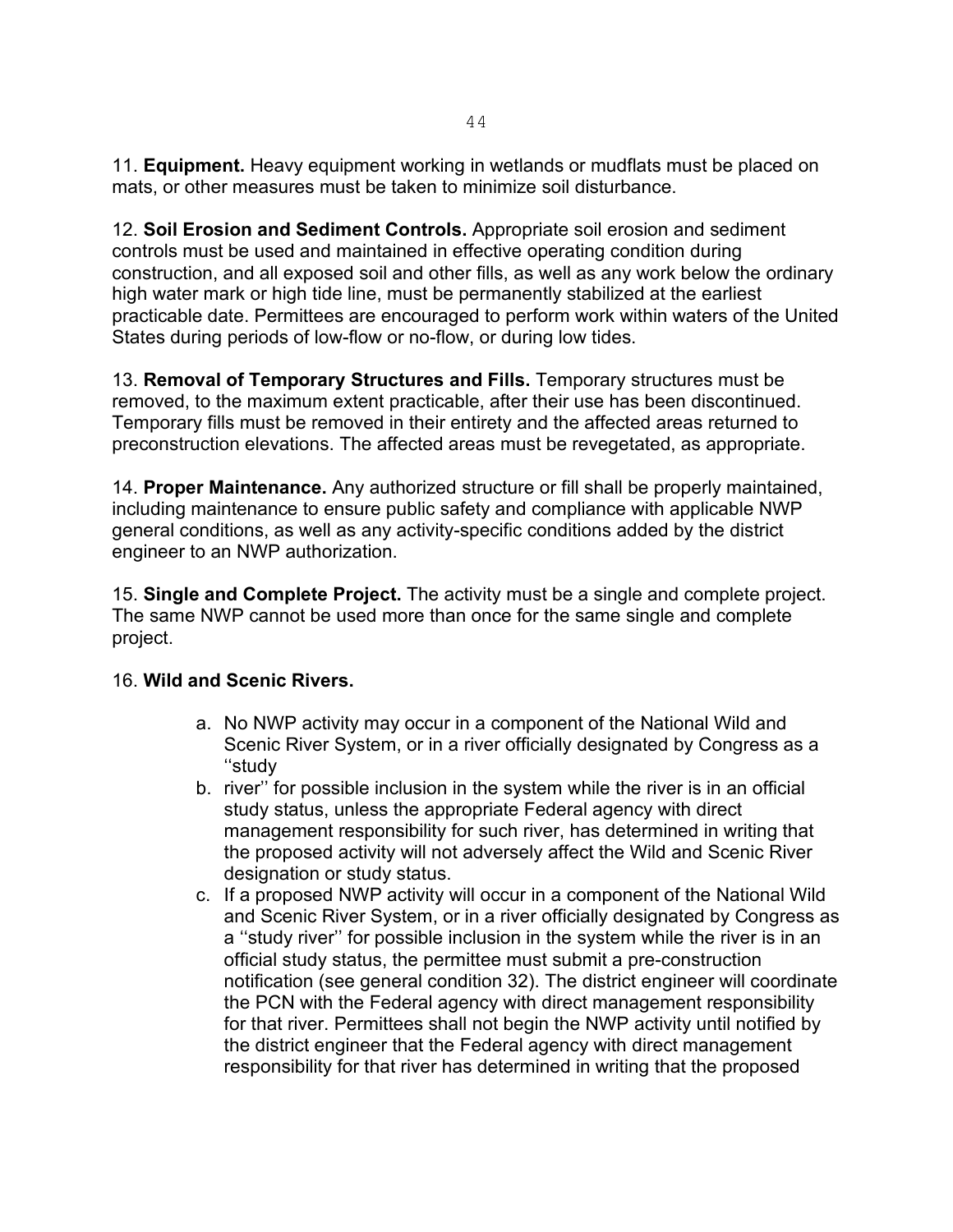11. **Equipment.** Heavy equipment working in wetlands or mudflats must be placed on mats, or other measures must be taken to minimize soil disturbance.

12. **Soil Erosion and Sediment Controls.** Appropriate soil erosion and sediment controls must be used and maintained in effective operating condition during construction, and all exposed soil and other fills, as well as any work below the ordinary high water mark or high tide line, must be permanently stabilized at the earliest practicable date. Permittees are encouraged to perform work within waters of the United States during periods of low-flow or no-flow, or during low tides.

13. **Removal of Temporary Structures and Fills.** Temporary structures must be removed, to the maximum extent practicable, after their use has been discontinued. Temporary fills must be removed in their entirety and the affected areas returned to preconstruction elevations. The affected areas must be revegetated, as appropriate.

14. **Proper Maintenance.** Any authorized structure or fill shall be properly maintained, including maintenance to ensure public safety and compliance with applicable NWP general conditions, as well as any activity-specific conditions added by the district engineer to an NWP authorization.

15. **Single and Complete Project.** The activity must be a single and complete project. The same NWP cannot be used more than once for the same single and complete project.

# 16. **Wild and Scenic Rivers.**

- a. No NWP activity may occur in a component of the National Wild and Scenic River System, or in a river officially designated by Congress as a ''study
- b. river'' for possible inclusion in the system while the river is in an official study status, unless the appropriate Federal agency with direct management responsibility for such river, has determined in writing that the proposed activity will not adversely affect the Wild and Scenic River designation or study status.
- c. If a proposed NWP activity will occur in a component of the National Wild and Scenic River System, or in a river officially designated by Congress as a ''study river'' for possible inclusion in the system while the river is in an official study status, the permittee must submit a pre-construction notification (see general condition 32). The district engineer will coordinate the PCN with the Federal agency with direct management responsibility for that river. Permittees shall not begin the NWP activity until notified by the district engineer that the Federal agency with direct management responsibility for that river has determined in writing that the proposed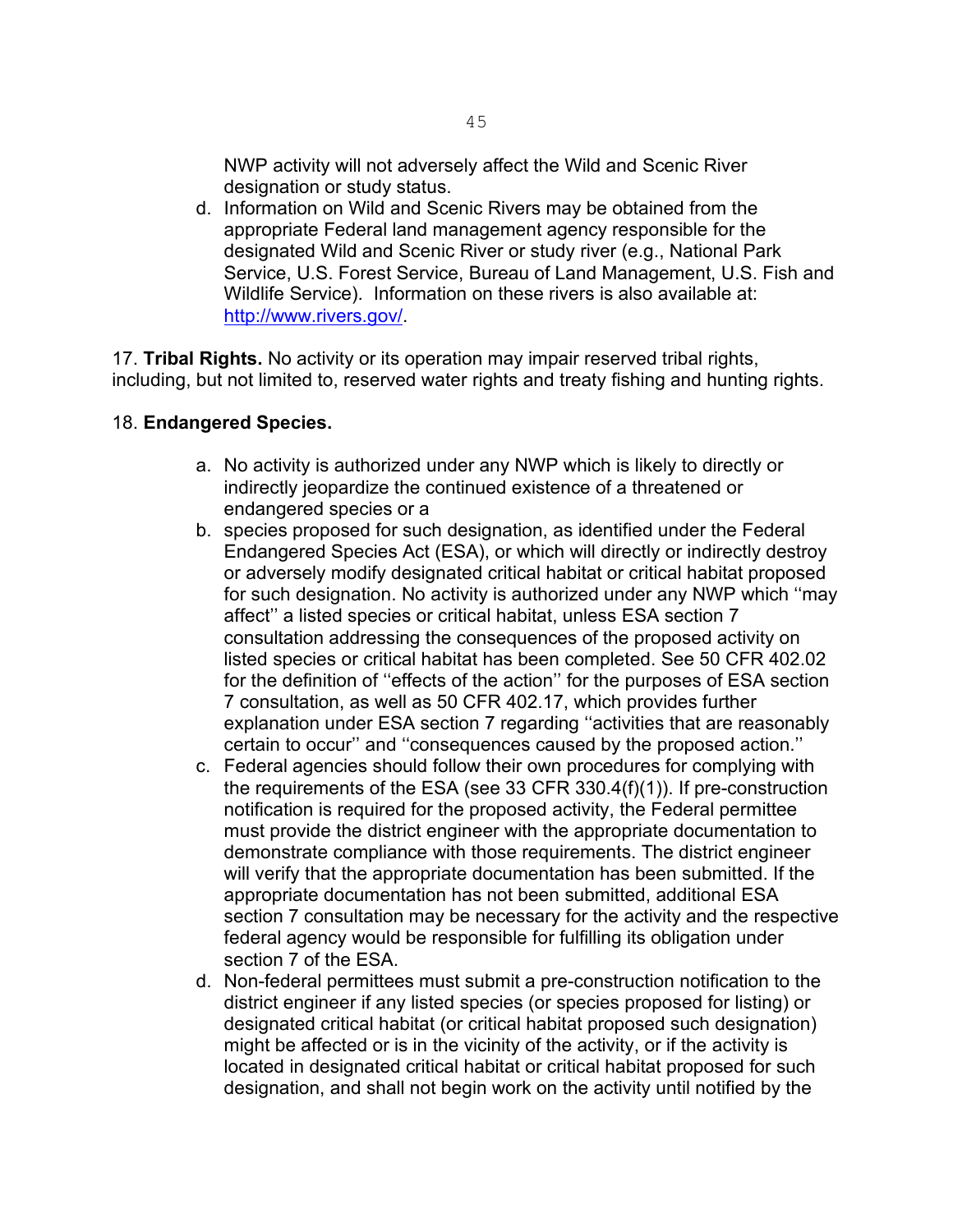NWP activity will not adversely affect the Wild and Scenic River designation or study status.

d. Information on Wild and Scenic Rivers may be obtained from the appropriate Federal land management agency responsible for the designated Wild and Scenic River or study river (e.g., National Park Service, U.S. Forest Service, Bureau of Land Management, U.S. Fish and Wildlife Service). Information on these rivers is also available at: [http://www.rivers.gov/.](http://www.rivers.gov/)

17. **Tribal Rights.** No activity or its operation may impair reserved tribal rights, including, but not limited to, reserved water rights and treaty fishing and hunting rights.

#### 18. **Endangered Species.**

- a. No activity is authorized under any NWP which is likely to directly or indirectly jeopardize the continued existence of a threatened or endangered species or a
- b. species proposed for such designation, as identified under the Federal Endangered Species Act (ESA), or which will directly or indirectly destroy or adversely modify designated critical habitat or critical habitat proposed for such designation. No activity is authorized under any NWP which ''may affect'' a listed species or critical habitat, unless ESA section 7 consultation addressing the consequences of the proposed activity on listed species or critical habitat has been completed. See 50 CFR 402.02 for the definition of ''effects of the action'' for the purposes of ESA section 7 consultation, as well as 50 CFR 402.17, which provides further explanation under ESA section 7 regarding ''activities that are reasonably certain to occur'' and ''consequences caused by the proposed action.''
- c. Federal agencies should follow their own procedures for complying with the requirements of the ESA (see 33 CFR 330.4(f)(1)). If pre-construction notification is required for the proposed activity, the Federal permittee must provide the district engineer with the appropriate documentation to demonstrate compliance with those requirements. The district engineer will verify that the appropriate documentation has been submitted. If the appropriate documentation has not been submitted, additional ESA section 7 consultation may be necessary for the activity and the respective federal agency would be responsible for fulfilling its obligation under section 7 of the ESA.
- d. Non-federal permittees must submit a pre-construction notification to the district engineer if any listed species (or species proposed for listing) or designated critical habitat (or critical habitat proposed such designation) might be affected or is in the vicinity of the activity, or if the activity is located in designated critical habitat or critical habitat proposed for such designation, and shall not begin work on the activity until notified by the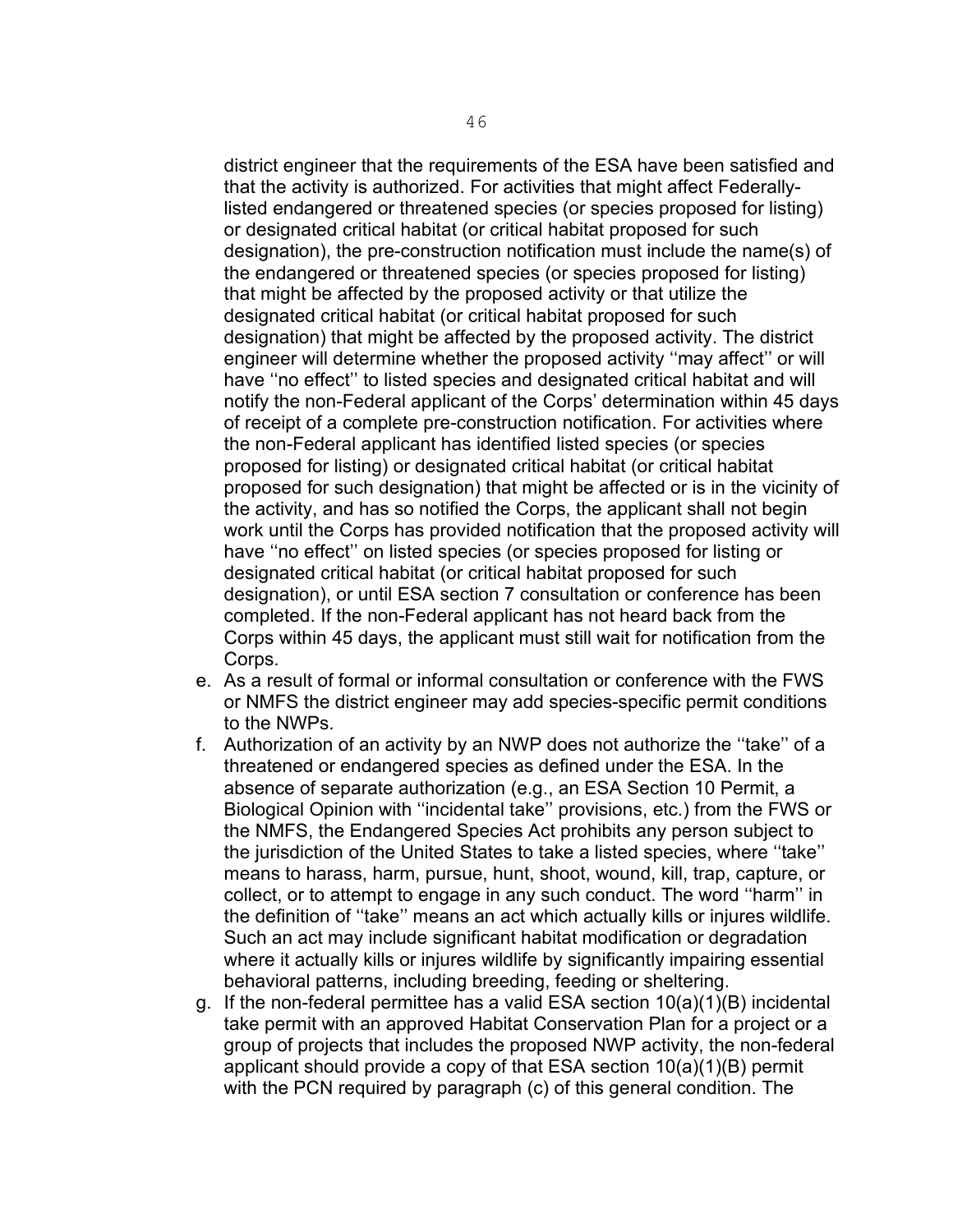district engineer that the requirements of the ESA have been satisfied and that the activity is authorized. For activities that might affect Federallylisted endangered or threatened species (or species proposed for listing) or designated critical habitat (or critical habitat proposed for such designation), the pre-construction notification must include the name(s) of the endangered or threatened species (or species proposed for listing) that might be affected by the proposed activity or that utilize the designated critical habitat (or critical habitat proposed for such designation) that might be affected by the proposed activity. The district engineer will determine whether the proposed activity ''may affect'' or will have ''no effect'' to listed species and designated critical habitat and will notify the non-Federal applicant of the Corps' determination within 45 days of receipt of a complete pre-construction notification. For activities where the non-Federal applicant has identified listed species (or species proposed for listing) or designated critical habitat (or critical habitat proposed for such designation) that might be affected or is in the vicinity of the activity, and has so notified the Corps, the applicant shall not begin work until the Corps has provided notification that the proposed activity will have ''no effect'' on listed species (or species proposed for listing or designated critical habitat (or critical habitat proposed for such designation), or until ESA section 7 consultation or conference has been completed. If the non-Federal applicant has not heard back from the Corps within 45 days, the applicant must still wait for notification from the Corps.

- e. As a result of formal or informal consultation or conference with the FWS or NMFS the district engineer may add species-specific permit conditions to the NWPs.
- f. Authorization of an activity by an NWP does not authorize the ''take'' of a threatened or endangered species as defined under the ESA. In the absence of separate authorization (e.g., an ESA Section 10 Permit, a Biological Opinion with ''incidental take'' provisions, etc.) from the FWS or the NMFS, the Endangered Species Act prohibits any person subject to the jurisdiction of the United States to take a listed species, where ''take'' means to harass, harm, pursue, hunt, shoot, wound, kill, trap, capture, or collect, or to attempt to engage in any such conduct. The word ''harm'' in the definition of ''take'' means an act which actually kills or injures wildlife. Such an act may include significant habitat modification or degradation where it actually kills or injures wildlife by significantly impairing essential behavioral patterns, including breeding, feeding or sheltering.
- g. If the non-federal permittee has a valid ESA section 10(a)(1)(B) incidental take permit with an approved Habitat Conservation Plan for a project or a group of projects that includes the proposed NWP activity, the non-federal applicant should provide a copy of that ESA section 10(a)(1)(B) permit with the PCN required by paragraph (c) of this general condition. The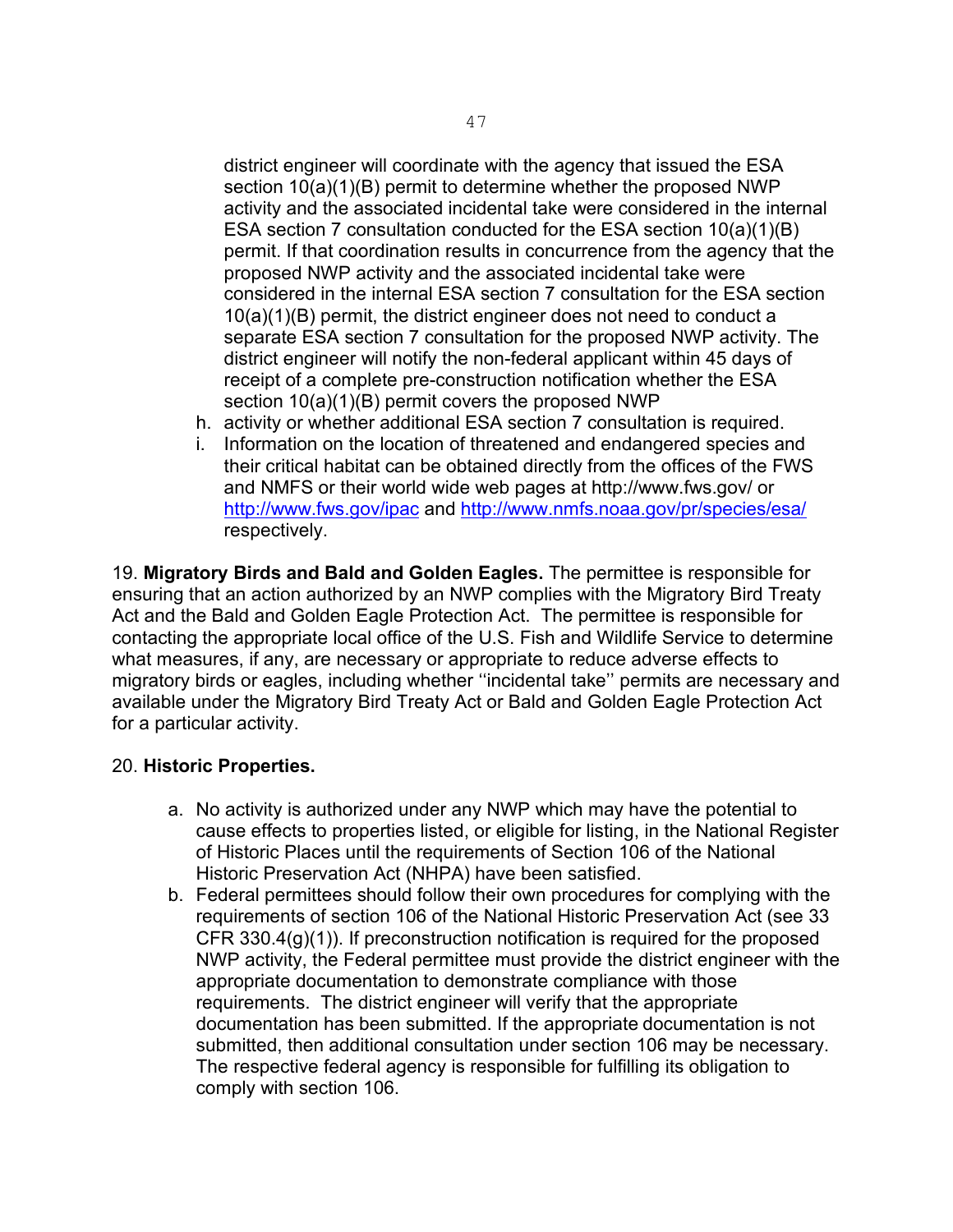district engineer will coordinate with the agency that issued the ESA section  $10(a)(1)(B)$  permit to determine whether the proposed NWP activity and the associated incidental take were considered in the internal ESA section 7 consultation conducted for the ESA section 10(a)(1)(B) permit. If that coordination results in concurrence from the agency that the proposed NWP activity and the associated incidental take were considered in the internal ESA section 7 consultation for the ESA section 10(a)(1)(B) permit, the district engineer does not need to conduct a separate ESA section 7 consultation for the proposed NWP activity. The district engineer will notify the non-federal applicant within 45 days of receipt of a complete pre-construction notification whether the ESA section 10(a)(1)(B) permit covers the proposed NWP

- h. activity or whether additional ESA section 7 consultation is required.
- i. Information on the location of threatened and endangered species and their critical habitat can be obtained directly from the offices of the FWS and NMFS or their world wide web pages at http://www.fws.gov/ or <http://www.fws.gov/ipac> and<http://www.nmfs.noaa.gov/pr/species/esa/> respectively.

19. **Migratory Birds and Bald and Golden Eagles.** The permittee is responsible for ensuring that an action authorized by an NWP complies with the Migratory Bird Treaty Act and the Bald and Golden Eagle Protection Act. The permittee is responsible for contacting the appropriate local office of the U.S. Fish and Wildlife Service to determine what measures, if any, are necessary or appropriate to reduce adverse effects to migratory birds or eagles, including whether ''incidental take'' permits are necessary and available under the Migratory Bird Treaty Act or Bald and Golden Eagle Protection Act for a particular activity.

#### 20. **Historic Properties.**

- a. No activity is authorized under any NWP which may have the potential to cause effects to properties listed, or eligible for listing, in the National Register of Historic Places until the requirements of Section 106 of the National Historic Preservation Act (NHPA) have been satisfied.
- b. Federal permittees should follow their own procedures for complying with the requirements of section 106 of the National Historic Preservation Act (see 33 CFR 330.4 $(g)(1)$ ). If preconstruction notification is required for the proposed NWP activity, the Federal permittee must provide the district engineer with the appropriate documentation to demonstrate compliance with those requirements. The district engineer will verify that the appropriate documentation has been submitted. If the appropriate documentation is not submitted, then additional consultation under section 106 may be necessary. The respective federal agency is responsible for fulfilling its obligation to comply with section 106.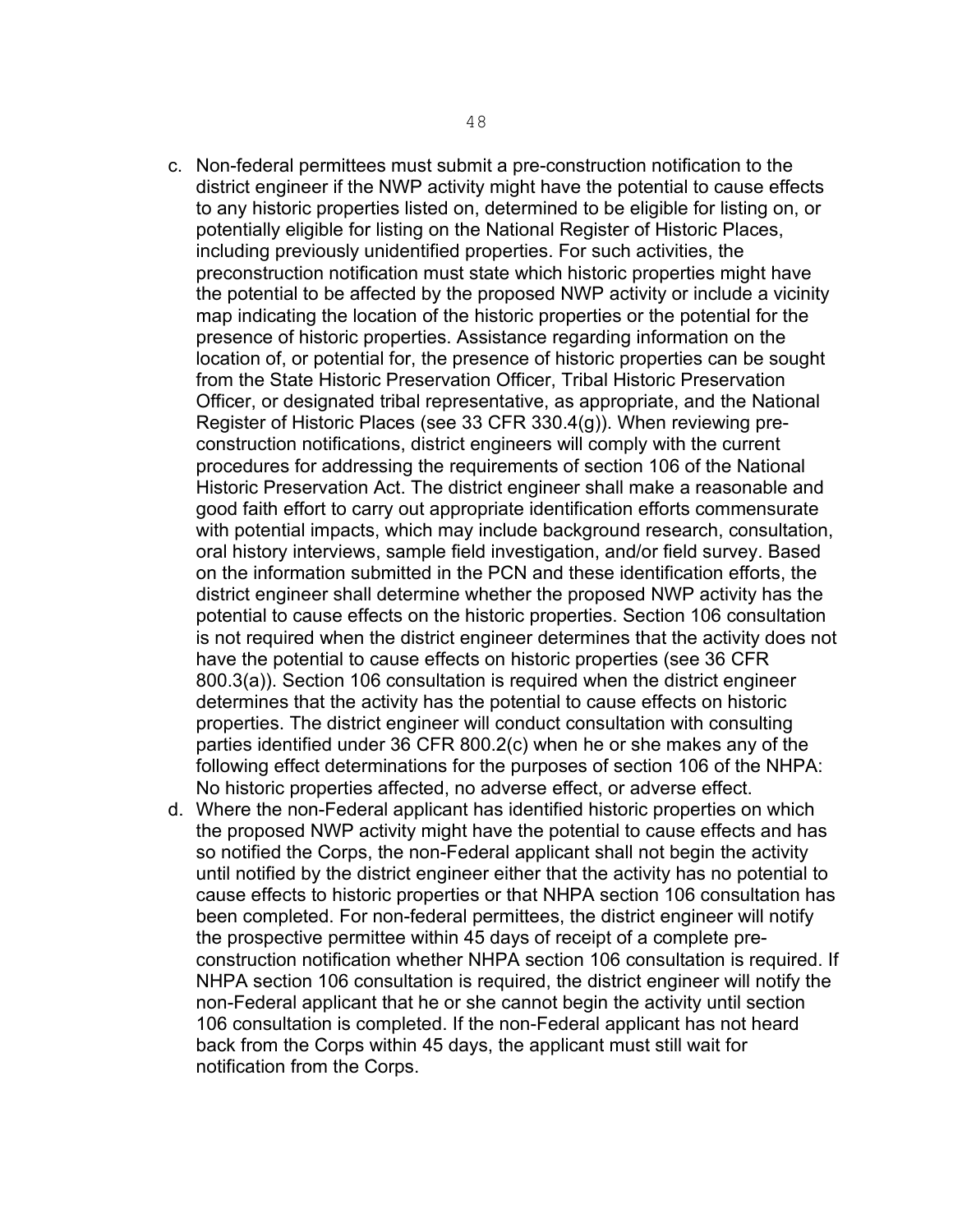- c. Non-federal permittees must submit a pre-construction notification to the district engineer if the NWP activity might have the potential to cause effects to any historic properties listed on, determined to be eligible for listing on, or potentially eligible for listing on the National Register of Historic Places, including previously unidentified properties. For such activities, the preconstruction notification must state which historic properties might have the potential to be affected by the proposed NWP activity or include a vicinity map indicating the location of the historic properties or the potential for the presence of historic properties. Assistance regarding information on the location of, or potential for, the presence of historic properties can be sought from the State Historic Preservation Officer, Tribal Historic Preservation Officer, or designated tribal representative, as appropriate, and the National Register of Historic Places (see 33 CFR 330.4(g)). When reviewing preconstruction notifications, district engineers will comply with the current procedures for addressing the requirements of section 106 of the National Historic Preservation Act. The district engineer shall make a reasonable and good faith effort to carry out appropriate identification efforts commensurate with potential impacts, which may include background research, consultation, oral history interviews, sample field investigation, and/or field survey. Based on the information submitted in the PCN and these identification efforts, the district engineer shall determine whether the proposed NWP activity has the potential to cause effects on the historic properties. Section 106 consultation is not required when the district engineer determines that the activity does not have the potential to cause effects on historic properties (see 36 CFR 800.3(a)). Section 106 consultation is required when the district engineer determines that the activity has the potential to cause effects on historic properties. The district engineer will conduct consultation with consulting parties identified under 36 CFR 800.2(c) when he or she makes any of the following effect determinations for the purposes of section 106 of the NHPA: No historic properties affected, no adverse effect, or adverse effect.
- d. Where the non-Federal applicant has identified historic properties on which the proposed NWP activity might have the potential to cause effects and has so notified the Corps, the non-Federal applicant shall not begin the activity until notified by the district engineer either that the activity has no potential to cause effects to historic properties or that NHPA section 106 consultation has been completed. For non-federal permittees, the district engineer will notify the prospective permittee within 45 days of receipt of a complete preconstruction notification whether NHPA section 106 consultation is required. If NHPA section 106 consultation is required, the district engineer will notify the non-Federal applicant that he or she cannot begin the activity until section 106 consultation is completed. If the non-Federal applicant has not heard back from the Corps within 45 days, the applicant must still wait for notification from the Corps.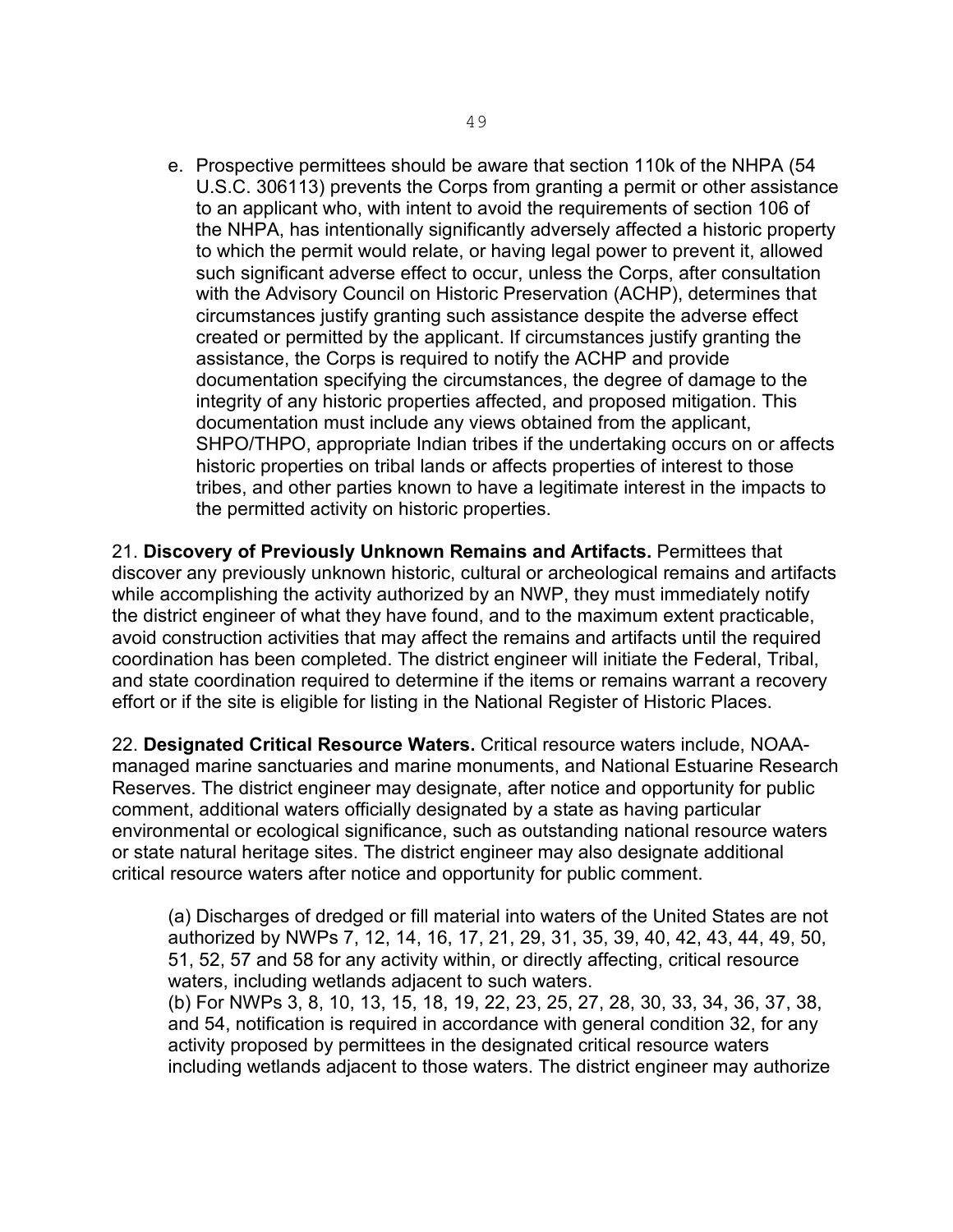e. Prospective permittees should be aware that section 110k of the NHPA (54 U.S.C. 306113) prevents the Corps from granting a permit or other assistance to an applicant who, with intent to avoid the requirements of section 106 of the NHPA, has intentionally significantly adversely affected a historic property to which the permit would relate, or having legal power to prevent it, allowed such significant adverse effect to occur, unless the Corps, after consultation with the Advisory Council on Historic Preservation (ACHP), determines that circumstances justify granting such assistance despite the adverse effect created or permitted by the applicant. If circumstances justify granting the assistance, the Corps is required to notify the ACHP and provide documentation specifying the circumstances, the degree of damage to the integrity of any historic properties affected, and proposed mitigation. This documentation must include any views obtained from the applicant, SHPO/THPO, appropriate Indian tribes if the undertaking occurs on or affects historic properties on tribal lands or affects properties of interest to those tribes, and other parties known to have a legitimate interest in the impacts to the permitted activity on historic properties.

21. **Discovery of Previously Unknown Remains and Artifacts.** Permittees that discover any previously unknown historic, cultural or archeological remains and artifacts while accomplishing the activity authorized by an NWP, they must immediately notify the district engineer of what they have found, and to the maximum extent practicable, avoid construction activities that may affect the remains and artifacts until the required coordination has been completed. The district engineer will initiate the Federal, Tribal, and state coordination required to determine if the items or remains warrant a recovery effort or if the site is eligible for listing in the National Register of Historic Places.

22. **Designated Critical Resource Waters.** Critical resource waters include, NOAAmanaged marine sanctuaries and marine monuments, and National Estuarine Research Reserves. The district engineer may designate, after notice and opportunity for public comment, additional waters officially designated by a state as having particular environmental or ecological significance, such as outstanding national resource waters or state natural heritage sites. The district engineer may also designate additional critical resource waters after notice and opportunity for public comment.

(a) Discharges of dredged or fill material into waters of the United States are not authorized by NWPs 7, 12, 14, 16, 17, 21, 29, 31, 35, 39, 40, 42, 43, 44, 49, 50, 51, 52, 57 and 58 for any activity within, or directly affecting, critical resource waters, including wetlands adjacent to such waters.

(b) For NWPs 3, 8, 10, 13, 15, 18, 19, 22, 23, 25, 27, 28, 30, 33, 34, 36, 37, 38, and 54, notification is required in accordance with general condition 32, for any activity proposed by permittees in the designated critical resource waters including wetlands adjacent to those waters. The district engineer may authorize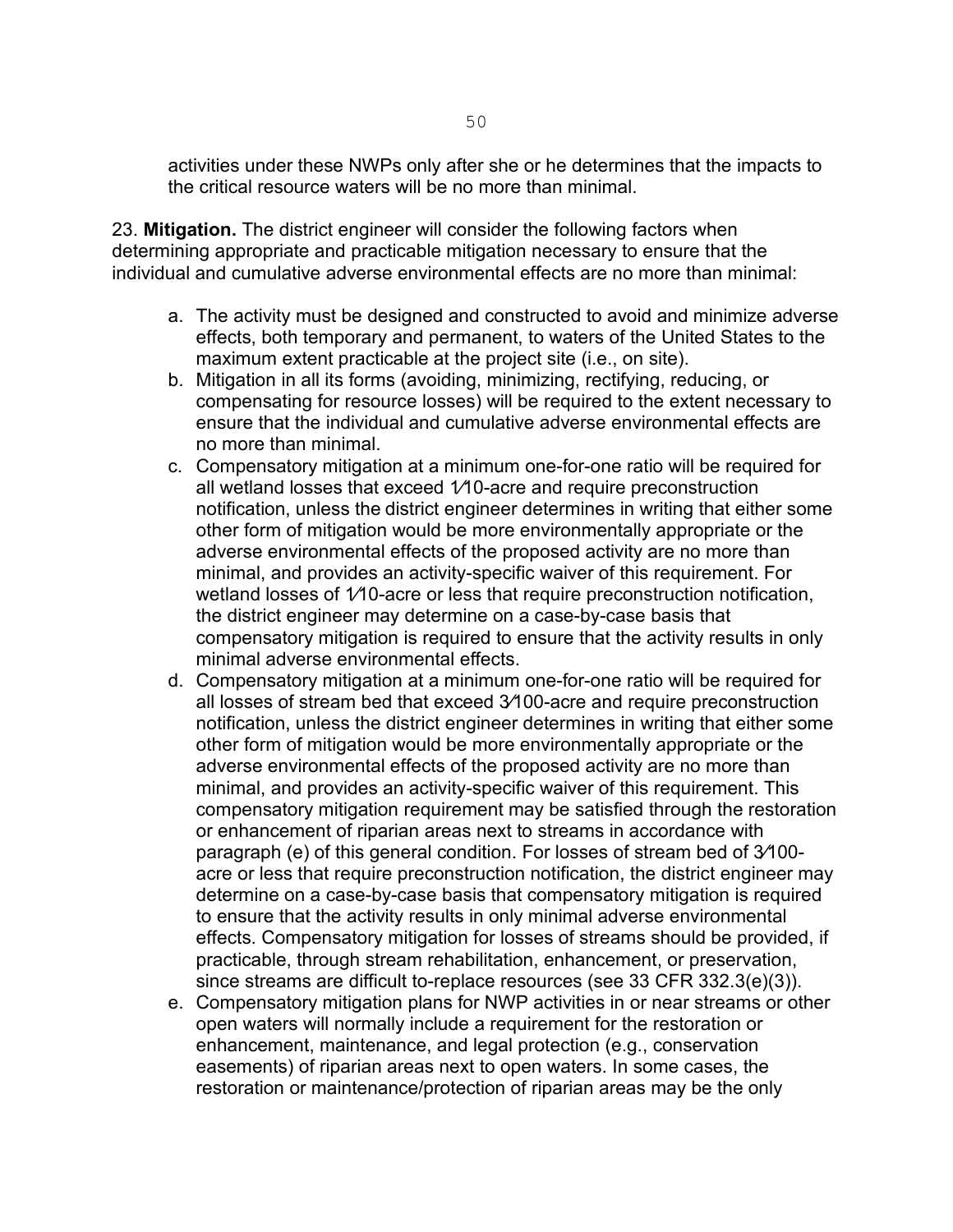activities under these NWPs only after she or he determines that the impacts to the critical resource waters will be no more than minimal.

23. **Mitigation.** The district engineer will consider the following factors when determining appropriate and practicable mitigation necessary to ensure that the individual and cumulative adverse environmental effects are no more than minimal:

- a. The activity must be designed and constructed to avoid and minimize adverse effects, both temporary and permanent, to waters of the United States to the maximum extent practicable at the project site (i.e., on site).
- b. Mitigation in all its forms (avoiding, minimizing, rectifying, reducing, or compensating for resource losses) will be required to the extent necessary to ensure that the individual and cumulative adverse environmental effects are no more than minimal.
- c. Compensatory mitigation at a minimum one-for-one ratio will be required for all wetland losses that exceed 1⁄10-acre and require preconstruction notification, unless the district engineer determines in writing that either some other form of mitigation would be more environmentally appropriate or the adverse environmental effects of the proposed activity are no more than minimal, and provides an activity-specific waiver of this requirement. For wetland losses of 1/10-acre or less that require preconstruction notification, the district engineer may determine on a case-by-case basis that compensatory mitigation is required to ensure that the activity results in only minimal adverse environmental effects.
- d. Compensatory mitigation at a minimum one-for-one ratio will be required for all losses of stream bed that exceed 3⁄100-acre and require preconstruction notification, unless the district engineer determines in writing that either some other form of mitigation would be more environmentally appropriate or the adverse environmental effects of the proposed activity are no more than minimal, and provides an activity-specific waiver of this requirement. This compensatory mitigation requirement may be satisfied through the restoration or enhancement of riparian areas next to streams in accordance with paragraph (e) of this general condition. For losses of stream bed of 3⁄100 acre or less that require preconstruction notification, the district engineer may determine on a case-by-case basis that compensatory mitigation is required to ensure that the activity results in only minimal adverse environmental effects. Compensatory mitigation for losses of streams should be provided, if practicable, through stream rehabilitation, enhancement, or preservation, since streams are difficult to-replace resources (see 33 CFR 332.3(e)(3)).
- e. Compensatory mitigation plans for NWP activities in or near streams or other open waters will normally include a requirement for the restoration or enhancement, maintenance, and legal protection (e.g., conservation easements) of riparian areas next to open waters. In some cases, the restoration or maintenance/protection of riparian areas may be the only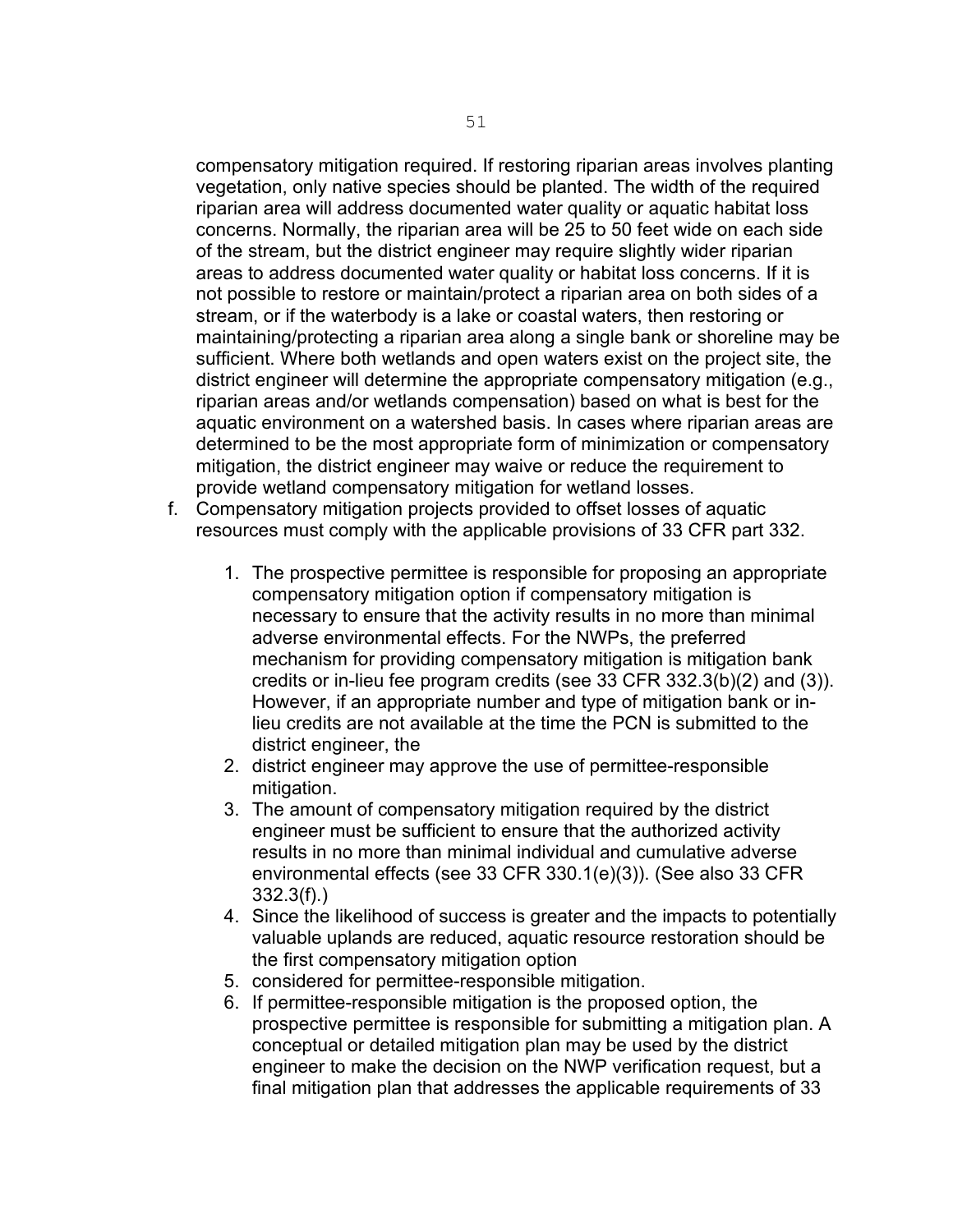compensatory mitigation required. If restoring riparian areas involves planting vegetation, only native species should be planted. The width of the required riparian area will address documented water quality or aquatic habitat loss concerns. Normally, the riparian area will be 25 to 50 feet wide on each side of the stream, but the district engineer may require slightly wider riparian areas to address documented water quality or habitat loss concerns. If it is not possible to restore or maintain/protect a riparian area on both sides of a stream, or if the waterbody is a lake or coastal waters, then restoring or maintaining/protecting a riparian area along a single bank or shoreline may be sufficient. Where both wetlands and open waters exist on the project site, the district engineer will determine the appropriate compensatory mitigation (e.g., riparian areas and/or wetlands compensation) based on what is best for the aquatic environment on a watershed basis. In cases where riparian areas are determined to be the most appropriate form of minimization or compensatory mitigation, the district engineer may waive or reduce the requirement to provide wetland compensatory mitigation for wetland losses.

- f. Compensatory mitigation projects provided to offset losses of aquatic resources must comply with the applicable provisions of 33 CFR part 332.
	- 1. The prospective permittee is responsible for proposing an appropriate compensatory mitigation option if compensatory mitigation is necessary to ensure that the activity results in no more than minimal adverse environmental effects. For the NWPs, the preferred mechanism for providing compensatory mitigation is mitigation bank credits or in-lieu fee program credits (see 33 CFR 332.3(b)(2) and (3)). However, if an appropriate number and type of mitigation bank or inlieu credits are not available at the time the PCN is submitted to the district engineer, the
	- 2. district engineer may approve the use of permittee-responsible mitigation.
	- 3. The amount of compensatory mitigation required by the district engineer must be sufficient to ensure that the authorized activity results in no more than minimal individual and cumulative adverse environmental effects (see 33 CFR 330.1(e)(3)). (See also 33 CFR 332.3(f).)
	- 4. Since the likelihood of success is greater and the impacts to potentially valuable uplands are reduced, aquatic resource restoration should be the first compensatory mitigation option
	- 5. considered for permittee-responsible mitigation.
	- 6. If permittee-responsible mitigation is the proposed option, the prospective permittee is responsible for submitting a mitigation plan. A conceptual or detailed mitigation plan may be used by the district engineer to make the decision on the NWP verification request, but a final mitigation plan that addresses the applicable requirements of 33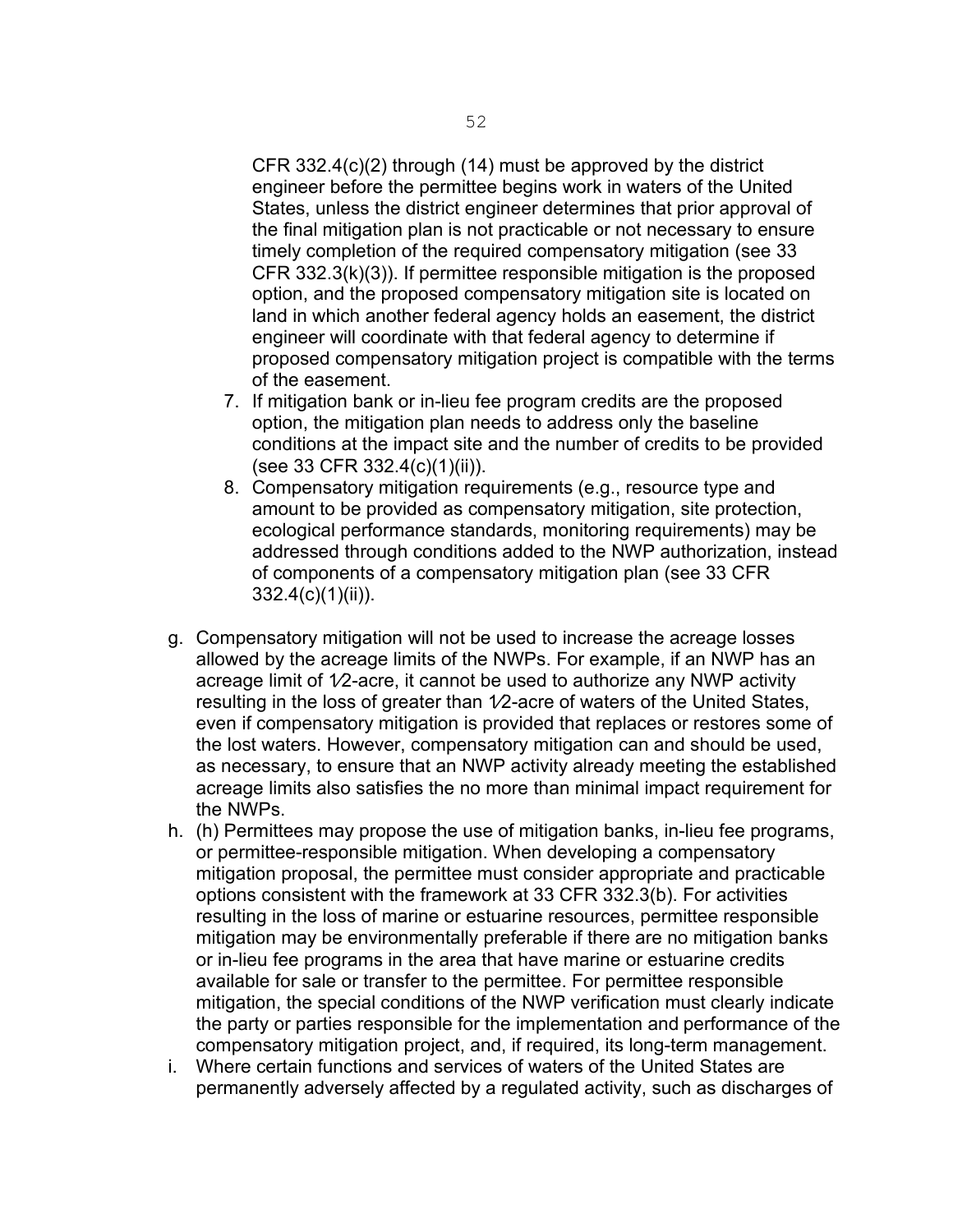CFR 332.4(c)(2) through (14) must be approved by the district engineer before the permittee begins work in waters of the United States, unless the district engineer determines that prior approval of the final mitigation plan is not practicable or not necessary to ensure timely completion of the required compensatory mitigation (see 33 CFR 332.3(k)(3)). If permittee responsible mitigation is the proposed option, and the proposed compensatory mitigation site is located on land in which another federal agency holds an easement, the district engineer will coordinate with that federal agency to determine if proposed compensatory mitigation project is compatible with the terms of the easement.

- 7. If mitigation bank or in-lieu fee program credits are the proposed option, the mitigation plan needs to address only the baseline conditions at the impact site and the number of credits to be provided (see 33 CFR 332.4(c)(1)(ii)).
- 8. Compensatory mitigation requirements (e.g., resource type and amount to be provided as compensatory mitigation, site protection, ecological performance standards, monitoring requirements) may be addressed through conditions added to the NWP authorization, instead of components of a compensatory mitigation plan (see 33 CFR 332.4(c)(1)(ii)).
- g. Compensatory mitigation will not be used to increase the acreage losses allowed by the acreage limits of the NWPs. For example, if an NWP has an acreage limit of  $1/2$ -acre, it cannot be used to authorize any NWP activity resulting in the loss of greater than 1⁄2-acre of waters of the United States, even if compensatory mitigation is provided that replaces or restores some of the lost waters. However, compensatory mitigation can and should be used, as necessary, to ensure that an NWP activity already meeting the established acreage limits also satisfies the no more than minimal impact requirement for the NWPs.
- h. (h) Permittees may propose the use of mitigation banks, in-lieu fee programs, or permittee-responsible mitigation. When developing a compensatory mitigation proposal, the permittee must consider appropriate and practicable options consistent with the framework at 33 CFR 332.3(b). For activities resulting in the loss of marine or estuarine resources, permittee responsible mitigation may be environmentally preferable if there are no mitigation banks or in-lieu fee programs in the area that have marine or estuarine credits available for sale or transfer to the permittee. For permittee responsible mitigation, the special conditions of the NWP verification must clearly indicate the party or parties responsible for the implementation and performance of the compensatory mitigation project, and, if required, its long-term management.
- i. Where certain functions and services of waters of the United States are permanently adversely affected by a regulated activity, such as discharges of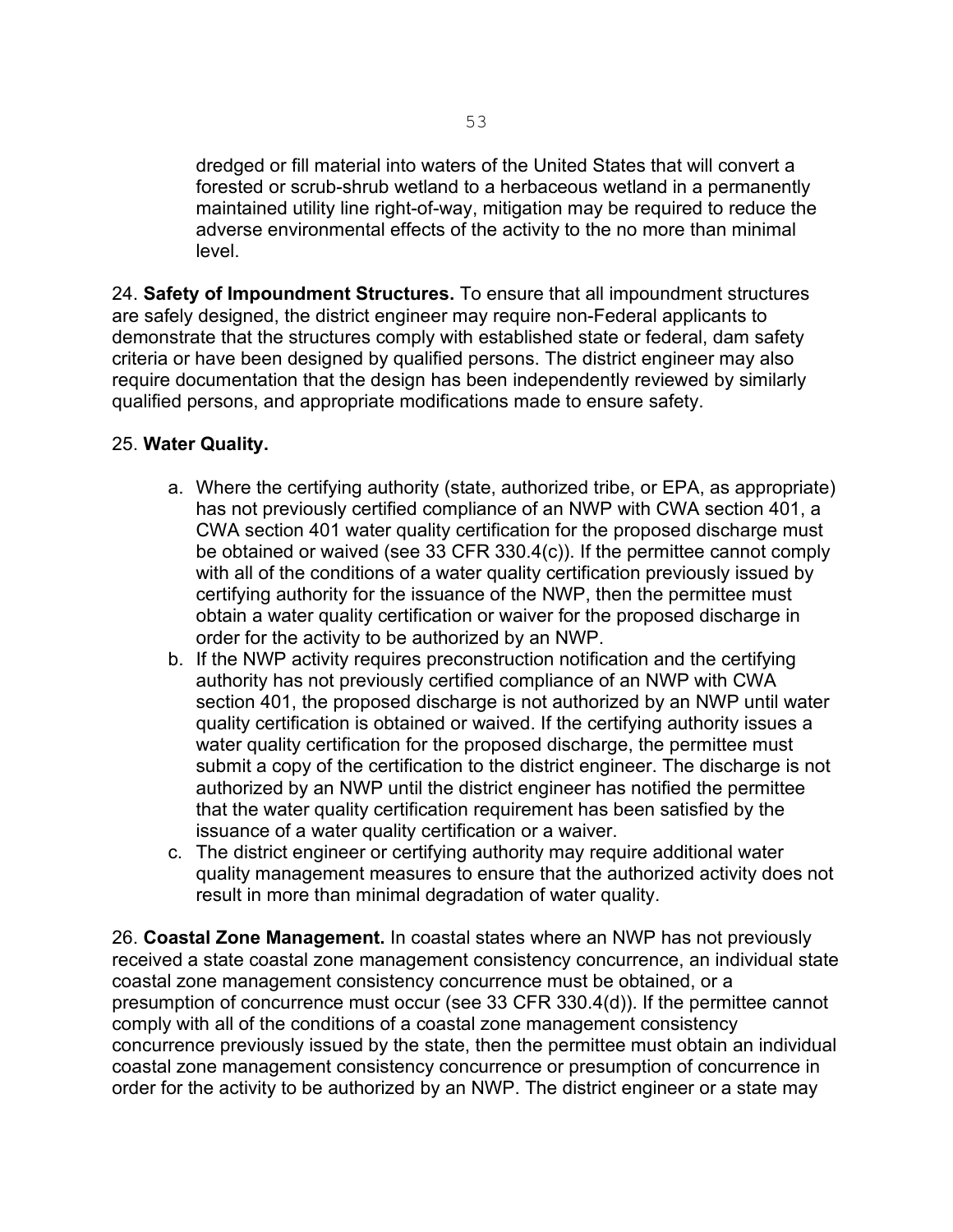dredged or fill material into waters of the United States that will convert a forested or scrub-shrub wetland to a herbaceous wetland in a permanently maintained utility line right-of-way, mitigation may be required to reduce the adverse environmental effects of the activity to the no more than minimal level.

24. **Safety of Impoundment Structures.** To ensure that all impoundment structures are safely designed, the district engineer may require non-Federal applicants to demonstrate that the structures comply with established state or federal, dam safety criteria or have been designed by qualified persons. The district engineer may also require documentation that the design has been independently reviewed by similarly qualified persons, and appropriate modifications made to ensure safety.

#### 25. **Water Quality.**

- a. Where the certifying authority (state, authorized tribe, or EPA, as appropriate) has not previously certified compliance of an NWP with CWA section 401, a CWA section 401 water quality certification for the proposed discharge must be obtained or waived (see 33 CFR 330.4(c)). If the permittee cannot comply with all of the conditions of a water quality certification previously issued by certifying authority for the issuance of the NWP, then the permittee must obtain a water quality certification or waiver for the proposed discharge in order for the activity to be authorized by an NWP.
- b. If the NWP activity requires preconstruction notification and the certifying authority has not previously certified compliance of an NWP with CWA section 401, the proposed discharge is not authorized by an NWP until water quality certification is obtained or waived. If the certifying authority issues a water quality certification for the proposed discharge, the permittee must submit a copy of the certification to the district engineer. The discharge is not authorized by an NWP until the district engineer has notified the permittee that the water quality certification requirement has been satisfied by the issuance of a water quality certification or a waiver.
- c. The district engineer or certifying authority may require additional water quality management measures to ensure that the authorized activity does not result in more than minimal degradation of water quality.

26. **Coastal Zone Management.** In coastal states where an NWP has not previously received a state coastal zone management consistency concurrence, an individual state coastal zone management consistency concurrence must be obtained, or a presumption of concurrence must occur (see 33 CFR 330.4(d)). If the permittee cannot comply with all of the conditions of a coastal zone management consistency concurrence previously issued by the state, then the permittee must obtain an individual coastal zone management consistency concurrence or presumption of concurrence in order for the activity to be authorized by an NWP. The district engineer or a state may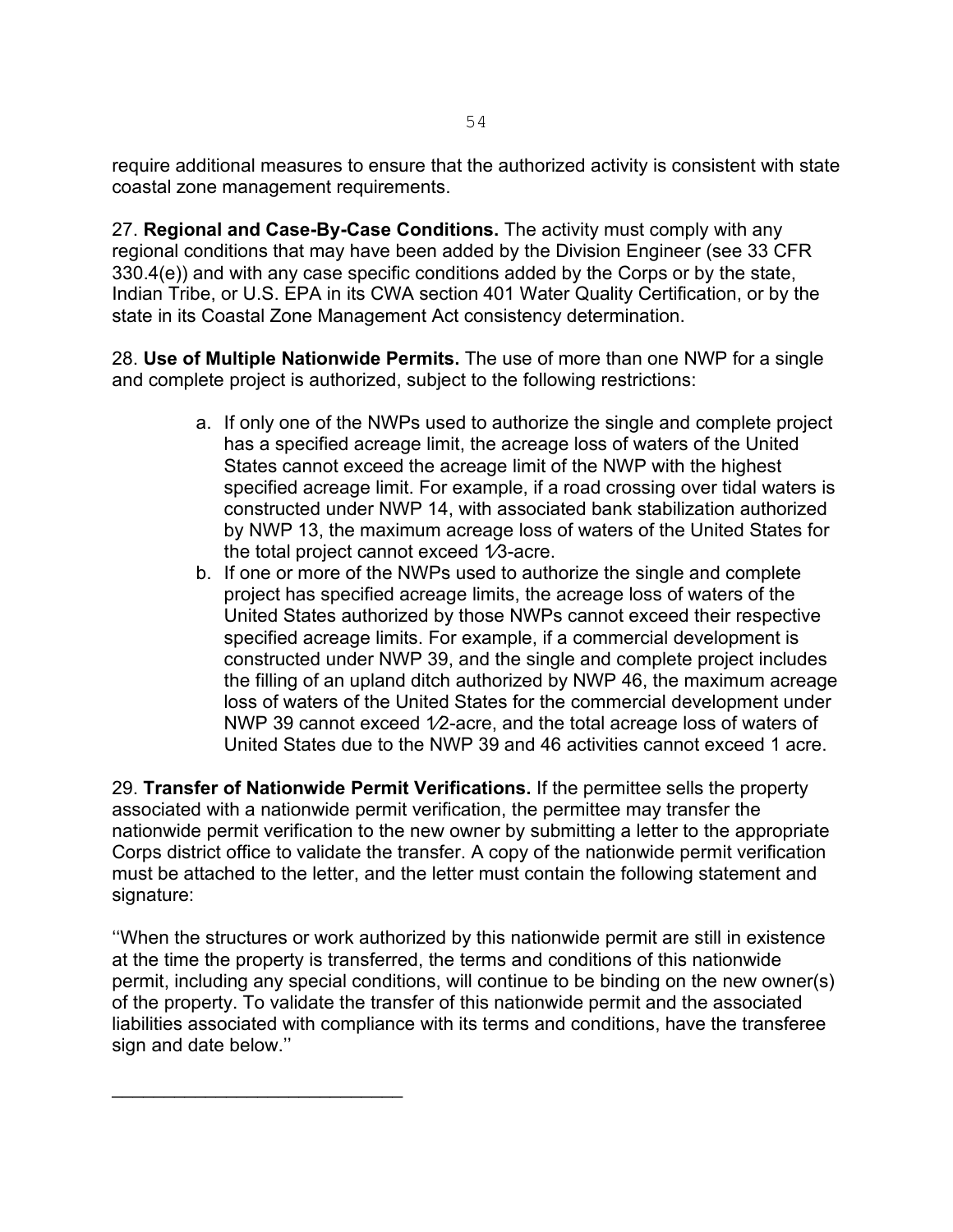require additional measures to ensure that the authorized activity is consistent with state coastal zone management requirements.

27. **Regional and Case-By-Case Conditions.** The activity must comply with any regional conditions that may have been added by the Division Engineer (see 33 CFR 330.4(e)) and with any case specific conditions added by the Corps or by the state, Indian Tribe, or U.S. EPA in its CWA section 401 Water Quality Certification, or by the state in its Coastal Zone Management Act consistency determination.

28. **Use of Multiple Nationwide Permits.** The use of more than one NWP for a single and complete project is authorized, subject to the following restrictions:

- a. If only one of the NWPs used to authorize the single and complete project has a specified acreage limit, the acreage loss of waters of the United States cannot exceed the acreage limit of the NWP with the highest specified acreage limit. For example, if a road crossing over tidal waters is constructed under NWP 14, with associated bank stabilization authorized by NWP 13, the maximum acreage loss of waters of the United States for the total project cannot exceed 1⁄3-acre.
- b. If one or more of the NWPs used to authorize the single and complete project has specified acreage limits, the acreage loss of waters of the United States authorized by those NWPs cannot exceed their respective specified acreage limits. For example, if a commercial development is constructed under NWP 39, and the single and complete project includes the filling of an upland ditch authorized by NWP 46, the maximum acreage loss of waters of the United States for the commercial development under NWP 39 cannot exceed 1/2-acre, and the total acreage loss of waters of United States due to the NWP 39 and 46 activities cannot exceed 1 acre.

29. **Transfer of Nationwide Permit Verifications.** If the permittee sells the property associated with a nationwide permit verification, the permittee may transfer the nationwide permit verification to the new owner by submitting a letter to the appropriate Corps district office to validate the transfer. A copy of the nationwide permit verification must be attached to the letter, and the letter must contain the following statement and signature:

''When the structures or work authorized by this nationwide permit are still in existence at the time the property is transferred, the terms and conditions of this nationwide permit, including any special conditions, will continue to be binding on the new owner(s) of the property. To validate the transfer of this nationwide permit and the associated liabilities associated with compliance with its terms and conditions, have the transferee sign and date below.''

\_\_\_\_\_\_\_\_\_\_\_\_\_\_\_\_\_\_\_\_\_\_\_\_\_\_\_\_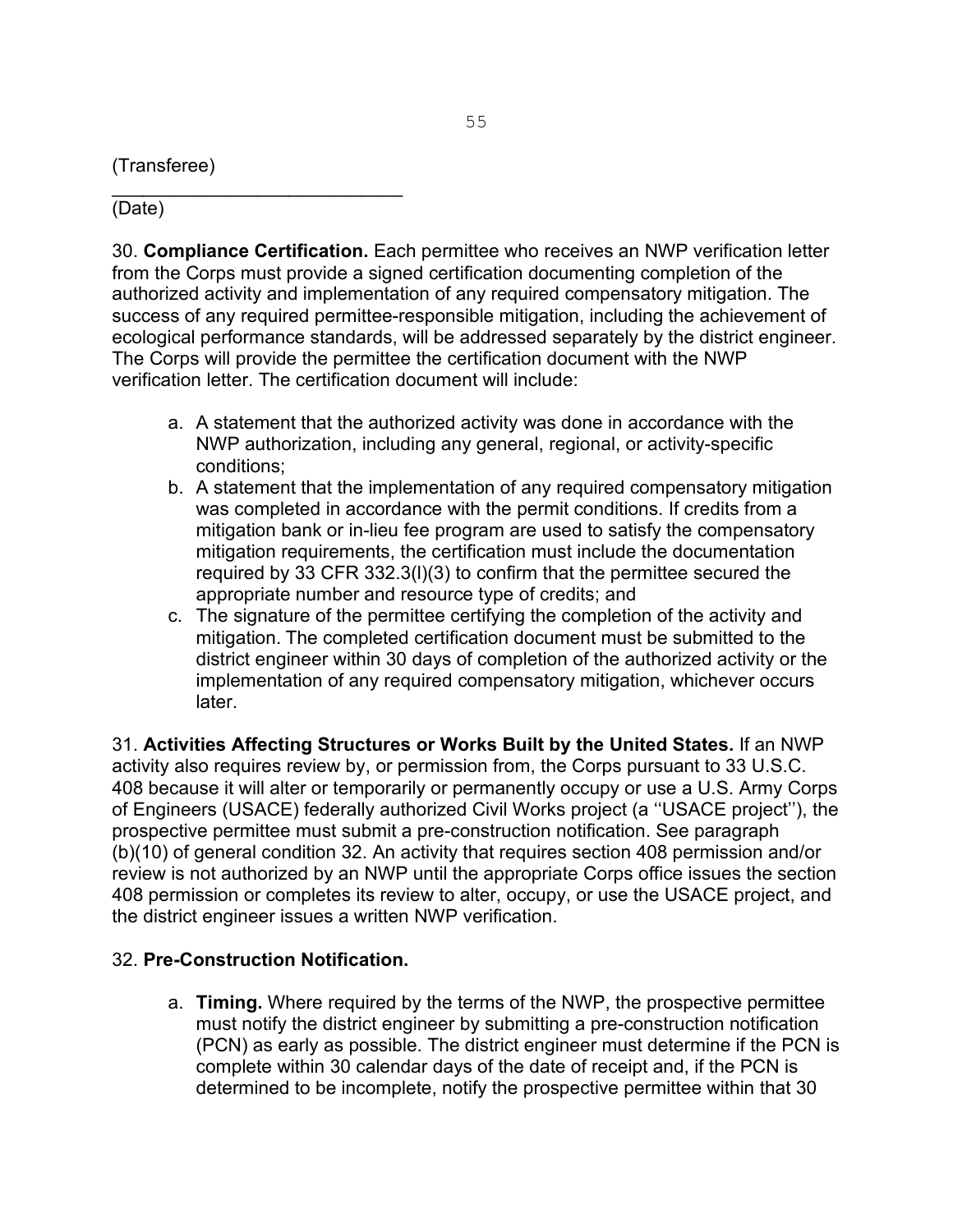(Transferee)

\_\_\_\_\_\_\_\_\_\_\_\_\_\_\_\_\_\_\_\_\_\_\_\_\_\_\_\_ (Date)

30. **Compliance Certification.** Each permittee who receives an NWP verification letter from the Corps must provide a signed certification documenting completion of the authorized activity and implementation of any required compensatory mitigation. The success of any required permittee-responsible mitigation, including the achievement of ecological performance standards, will be addressed separately by the district engineer. The Corps will provide the permittee the certification document with the NWP verification letter. The certification document will include:

- a. A statement that the authorized activity was done in accordance with the NWP authorization, including any general, regional, or activity-specific conditions;
- b. A statement that the implementation of any required compensatory mitigation was completed in accordance with the permit conditions. If credits from a mitigation bank or in-lieu fee program are used to satisfy the compensatory mitigation requirements, the certification must include the documentation required by 33 CFR 332.3(l)(3) to confirm that the permittee secured the appropriate number and resource type of credits; and
- c. The signature of the permittee certifying the completion of the activity and mitigation. The completed certification document must be submitted to the district engineer within 30 days of completion of the authorized activity or the implementation of any required compensatory mitigation, whichever occurs later.

31. **Activities Affecting Structures or Works Built by the United States.** If an NWP activity also requires review by, or permission from, the Corps pursuant to 33 U.S.C. 408 because it will alter or temporarily or permanently occupy or use a U.S. Army Corps of Engineers (USACE) federally authorized Civil Works project (a ''USACE project''), the prospective permittee must submit a pre-construction notification. See paragraph (b)(10) of general condition 32. An activity that requires section 408 permission and/or review is not authorized by an NWP until the appropriate Corps office issues the section 408 permission or completes its review to alter, occupy, or use the USACE project, and the district engineer issues a written NWP verification.

#### 32. **Pre-Construction Notification.**

a. **Timing.** Where required by the terms of the NWP, the prospective permittee must notify the district engineer by submitting a pre-construction notification (PCN) as early as possible. The district engineer must determine if the PCN is complete within 30 calendar days of the date of receipt and, if the PCN is determined to be incomplete, notify the prospective permittee within that 30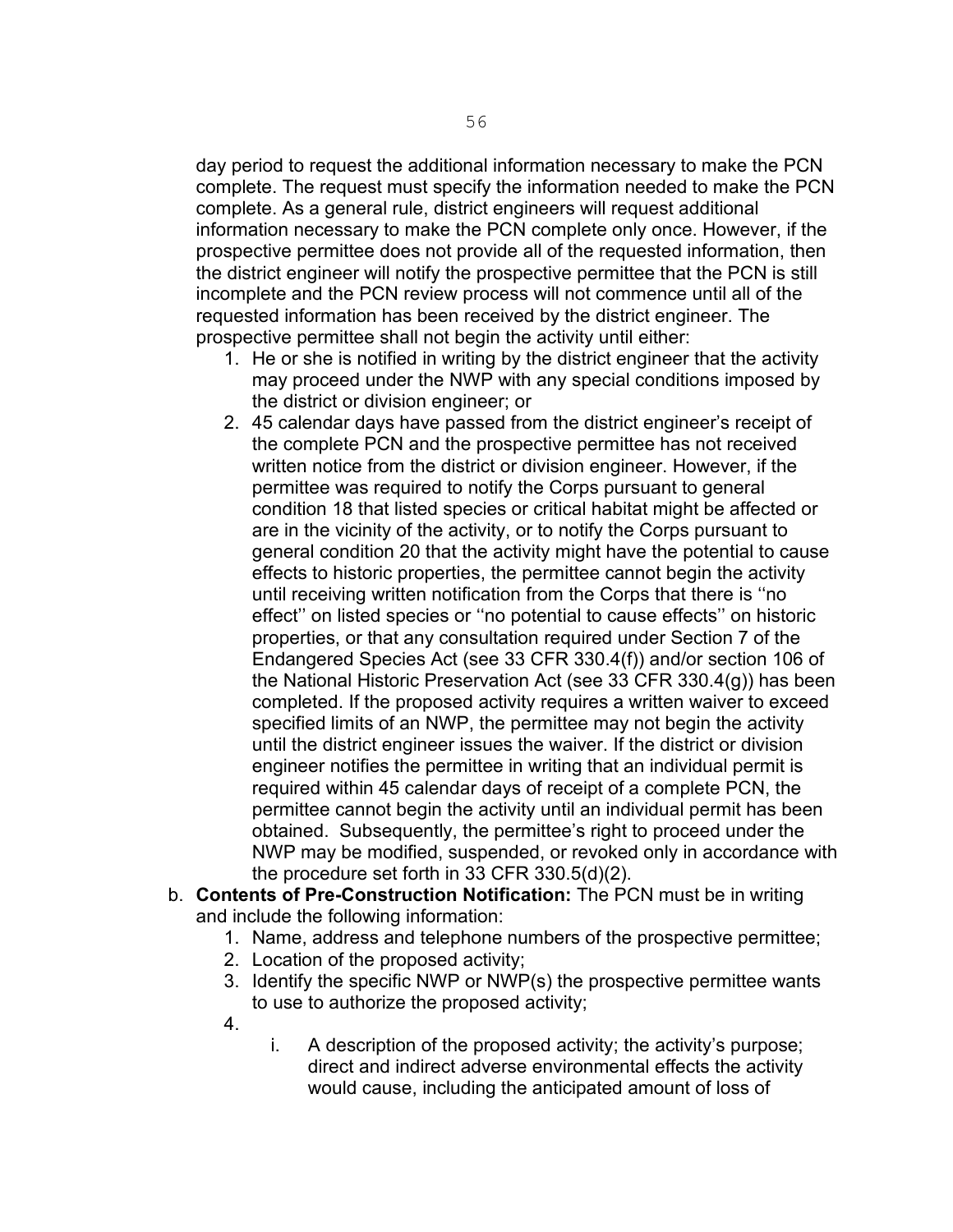day period to request the additional information necessary to make the PCN complete. The request must specify the information needed to make the PCN complete. As a general rule, district engineers will request additional information necessary to make the PCN complete only once. However, if the prospective permittee does not provide all of the requested information, then the district engineer will notify the prospective permittee that the PCN is still incomplete and the PCN review process will not commence until all of the requested information has been received by the district engineer. The prospective permittee shall not begin the activity until either:

- 1. He or she is notified in writing by the district engineer that the activity may proceed under the NWP with any special conditions imposed by the district or division engineer; or
- 2. 45 calendar days have passed from the district engineer's receipt of the complete PCN and the prospective permittee has not received written notice from the district or division engineer. However, if the permittee was required to notify the Corps pursuant to general condition 18 that listed species or critical habitat might be affected or are in the vicinity of the activity, or to notify the Corps pursuant to general condition 20 that the activity might have the potential to cause effects to historic properties, the permittee cannot begin the activity until receiving written notification from the Corps that there is ''no effect'' on listed species or ''no potential to cause effects'' on historic properties, or that any consultation required under Section 7 of the Endangered Species Act (see 33 CFR 330.4(f)) and/or section 106 of the National Historic Preservation Act (see 33 CFR 330.4(g)) has been completed. If the proposed activity requires a written waiver to exceed specified limits of an NWP, the permittee may not begin the activity until the district engineer issues the waiver. If the district or division engineer notifies the permittee in writing that an individual permit is required within 45 calendar days of receipt of a complete PCN, the permittee cannot begin the activity until an individual permit has been obtained. Subsequently, the permittee's right to proceed under the NWP may be modified, suspended, or revoked only in accordance with the procedure set forth in 33 CFR 330.5(d)(2).
- b. **Contents of Pre-Construction Notification:** The PCN must be in writing and include the following information:
	- 1. Name, address and telephone numbers of the prospective permittee;
	- 2. Location of the proposed activity;
	- 3. Identify the specific NWP or NWP(s) the prospective permittee wants to use to authorize the proposed activity;
	- 4.
- i. A description of the proposed activity; the activity's purpose; direct and indirect adverse environmental effects the activity would cause, including the anticipated amount of loss of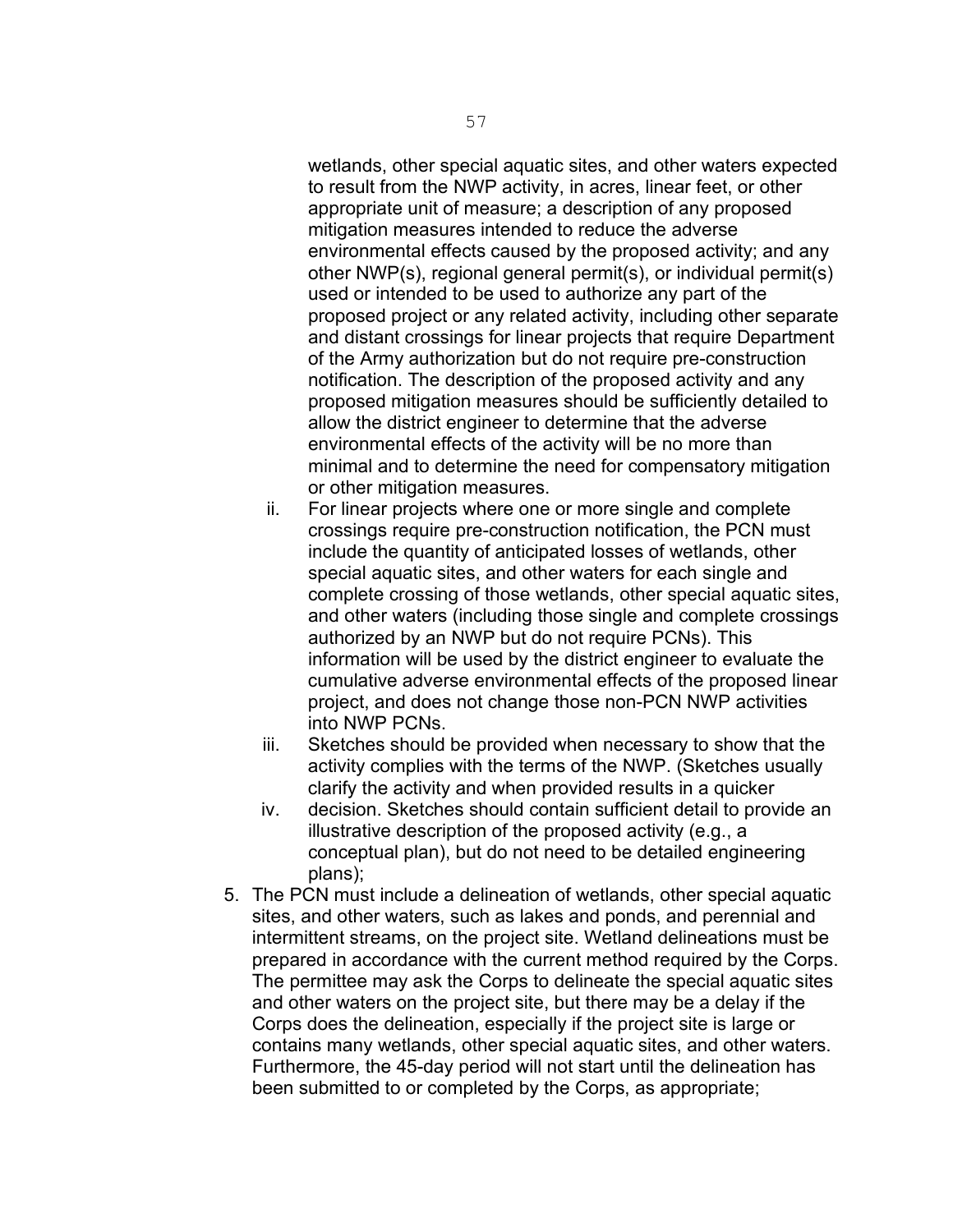wetlands, other special aquatic sites, and other waters expected to result from the NWP activity, in acres, linear feet, or other appropriate unit of measure; a description of any proposed mitigation measures intended to reduce the adverse environmental effects caused by the proposed activity; and any other NWP(s), regional general permit(s), or individual permit(s) used or intended to be used to authorize any part of the proposed project or any related activity, including other separate and distant crossings for linear projects that require Department of the Army authorization but do not require pre-construction notification. The description of the proposed activity and any proposed mitigation measures should be sufficiently detailed to allow the district engineer to determine that the adverse environmental effects of the activity will be no more than minimal and to determine the need for compensatory mitigation or other mitigation measures.

- ii. For linear projects where one or more single and complete crossings require pre-construction notification, the PCN must include the quantity of anticipated losses of wetlands, other special aquatic sites, and other waters for each single and complete crossing of those wetlands, other special aquatic sites, and other waters (including those single and complete crossings authorized by an NWP but do not require PCNs). This information will be used by the district engineer to evaluate the cumulative adverse environmental effects of the proposed linear project, and does not change those non-PCN NWP activities into NWP PCNs.
- iii. Sketches should be provided when necessary to show that the activity complies with the terms of the NWP. (Sketches usually clarify the activity and when provided results in a quicker
- iv. decision. Sketches should contain sufficient detail to provide an illustrative description of the proposed activity (e.g., a conceptual plan), but do not need to be detailed engineering plans);
- 5. The PCN must include a delineation of wetlands, other special aquatic sites, and other waters, such as lakes and ponds, and perennial and intermittent streams, on the project site. Wetland delineations must be prepared in accordance with the current method required by the Corps. The permittee may ask the Corps to delineate the special aquatic sites and other waters on the project site, but there may be a delay if the Corps does the delineation, especially if the project site is large or contains many wetlands, other special aquatic sites, and other waters. Furthermore, the 45-day period will not start until the delineation has been submitted to or completed by the Corps, as appropriate;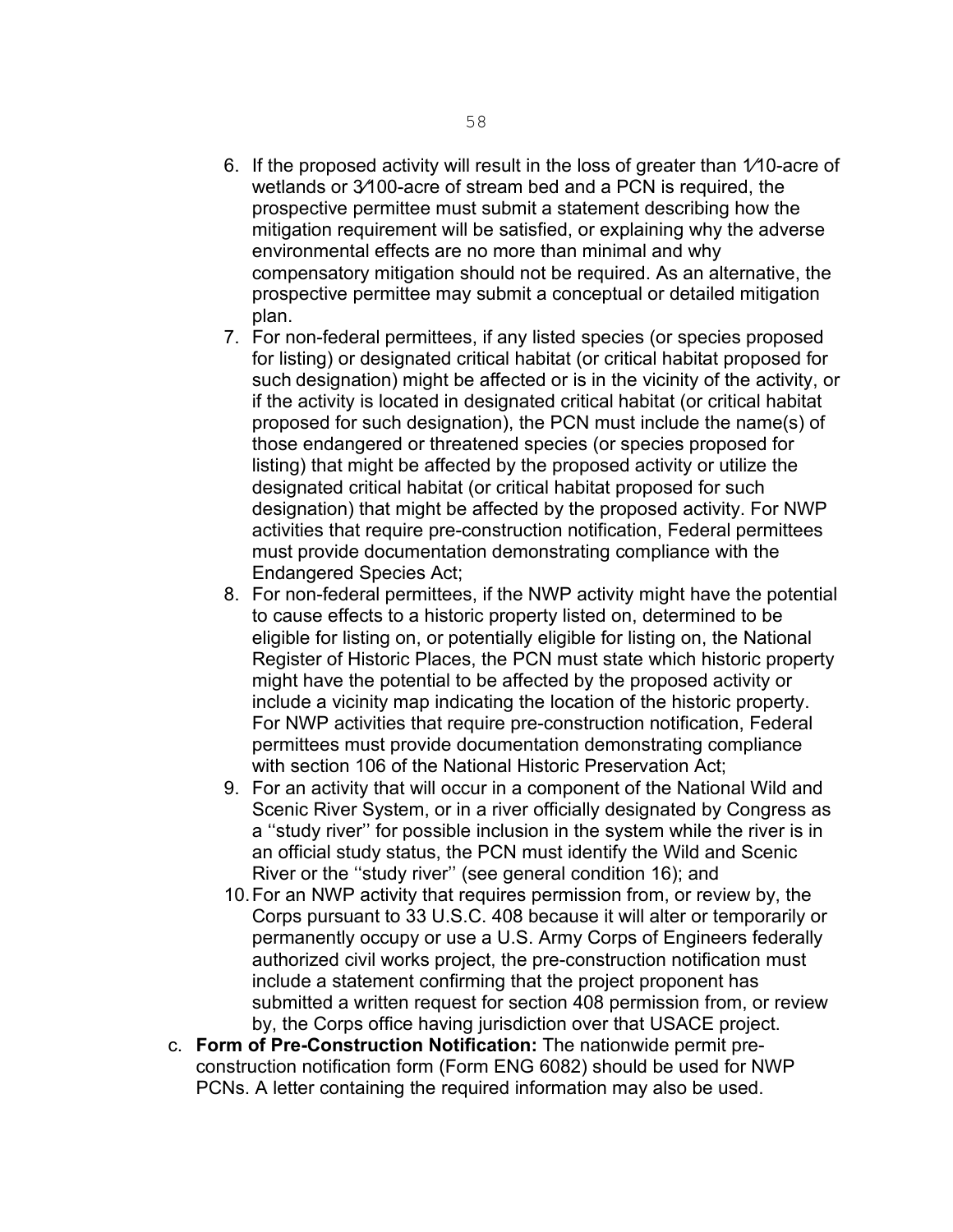- 6. If the proposed activity will result in the loss of greater than 1⁄10-acre of wetlands or 3⁄100-acre of stream bed and a PCN is required, the prospective permittee must submit a statement describing how the mitigation requirement will be satisfied, or explaining why the adverse environmental effects are no more than minimal and why compensatory mitigation should not be required. As an alternative, the prospective permittee may submit a conceptual or detailed mitigation plan.
- 7. For non-federal permittees, if any listed species (or species proposed for listing) or designated critical habitat (or critical habitat proposed for such designation) might be affected or is in the vicinity of the activity, or if the activity is located in designated critical habitat (or critical habitat proposed for such designation), the PCN must include the name(s) of those endangered or threatened species (or species proposed for listing) that might be affected by the proposed activity or utilize the designated critical habitat (or critical habitat proposed for such designation) that might be affected by the proposed activity. For NWP activities that require pre-construction notification, Federal permittees must provide documentation demonstrating compliance with the Endangered Species Act;
- 8. For non-federal permittees, if the NWP activity might have the potential to cause effects to a historic property listed on, determined to be eligible for listing on, or potentially eligible for listing on, the National Register of Historic Places, the PCN must state which historic property might have the potential to be affected by the proposed activity or include a vicinity map indicating the location of the historic property. For NWP activities that require pre-construction notification, Federal permittees must provide documentation demonstrating compliance with section 106 of the National Historic Preservation Act;
- 9. For an activity that will occur in a component of the National Wild and Scenic River System, or in a river officially designated by Congress as a ''study river'' for possible inclusion in the system while the river is in an official study status, the PCN must identify the Wild and Scenic River or the ''study river'' (see general condition 16); and
- 10.For an NWP activity that requires permission from, or review by, the Corps pursuant to 33 U.S.C. 408 because it will alter or temporarily or permanently occupy or use a U.S. Army Corps of Engineers federally authorized civil works project, the pre-construction notification must include a statement confirming that the project proponent has submitted a written request for section 408 permission from, or review by, the Corps office having jurisdiction over that USACE project.
- c. **Form of Pre-Construction Notification:** The nationwide permit preconstruction notification form (Form ENG 6082) should be used for NWP PCNs. A letter containing the required information may also be used.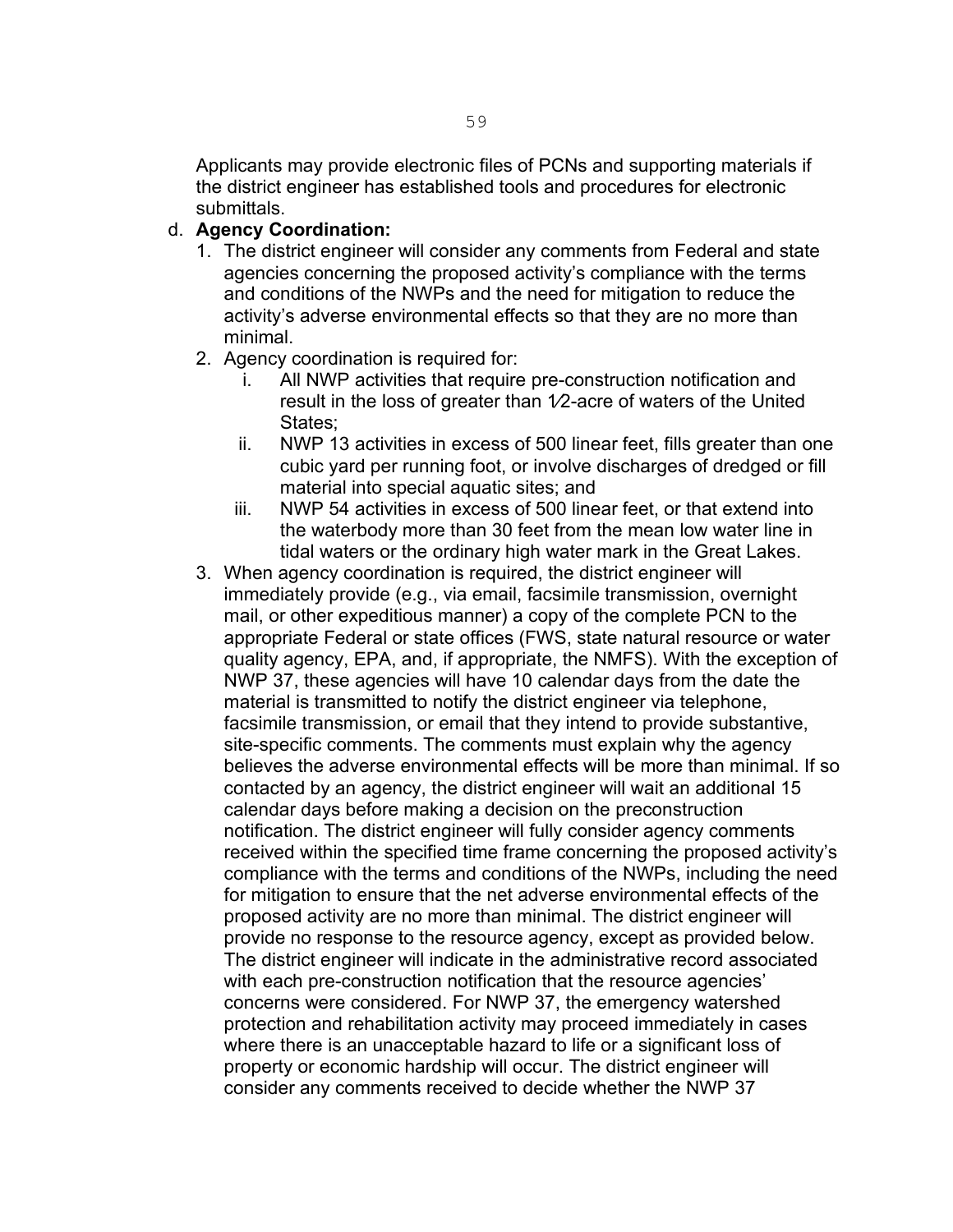Applicants may provide electronic files of PCNs and supporting materials if the district engineer has established tools and procedures for electronic submittals.

#### d. **Agency Coordination:**

- 1. The district engineer will consider any comments from Federal and state agencies concerning the proposed activity's compliance with the terms and conditions of the NWPs and the need for mitigation to reduce the activity's adverse environmental effects so that they are no more than minimal.
- 2. Agency coordination is required for:
	- i. All NWP activities that require pre-construction notification and result in the loss of greater than 1⁄2-acre of waters of the United States:
	- ii. NWP 13 activities in excess of 500 linear feet, fills greater than one cubic yard per running foot, or involve discharges of dredged or fill material into special aquatic sites; and
	- iii. NWP 54 activities in excess of 500 linear feet, or that extend into the waterbody more than 30 feet from the mean low water line in tidal waters or the ordinary high water mark in the Great Lakes.
- 3. When agency coordination is required, the district engineer will immediately provide (e.g., via email, facsimile transmission, overnight mail, or other expeditious manner) a copy of the complete PCN to the appropriate Federal or state offices (FWS, state natural resource or water quality agency, EPA, and, if appropriate, the NMFS). With the exception of NWP 37, these agencies will have 10 calendar days from the date the material is transmitted to notify the district engineer via telephone, facsimile transmission, or email that they intend to provide substantive, site-specific comments. The comments must explain why the agency believes the adverse environmental effects will be more than minimal. If so contacted by an agency, the district engineer will wait an additional 15 calendar days before making a decision on the preconstruction notification. The district engineer will fully consider agency comments received within the specified time frame concerning the proposed activity's compliance with the terms and conditions of the NWPs, including the need for mitigation to ensure that the net adverse environmental effects of the proposed activity are no more than minimal. The district engineer will provide no response to the resource agency, except as provided below. The district engineer will indicate in the administrative record associated with each pre-construction notification that the resource agencies' concerns were considered. For NWP 37, the emergency watershed protection and rehabilitation activity may proceed immediately in cases where there is an unacceptable hazard to life or a significant loss of property or economic hardship will occur. The district engineer will consider any comments received to decide whether the NWP 37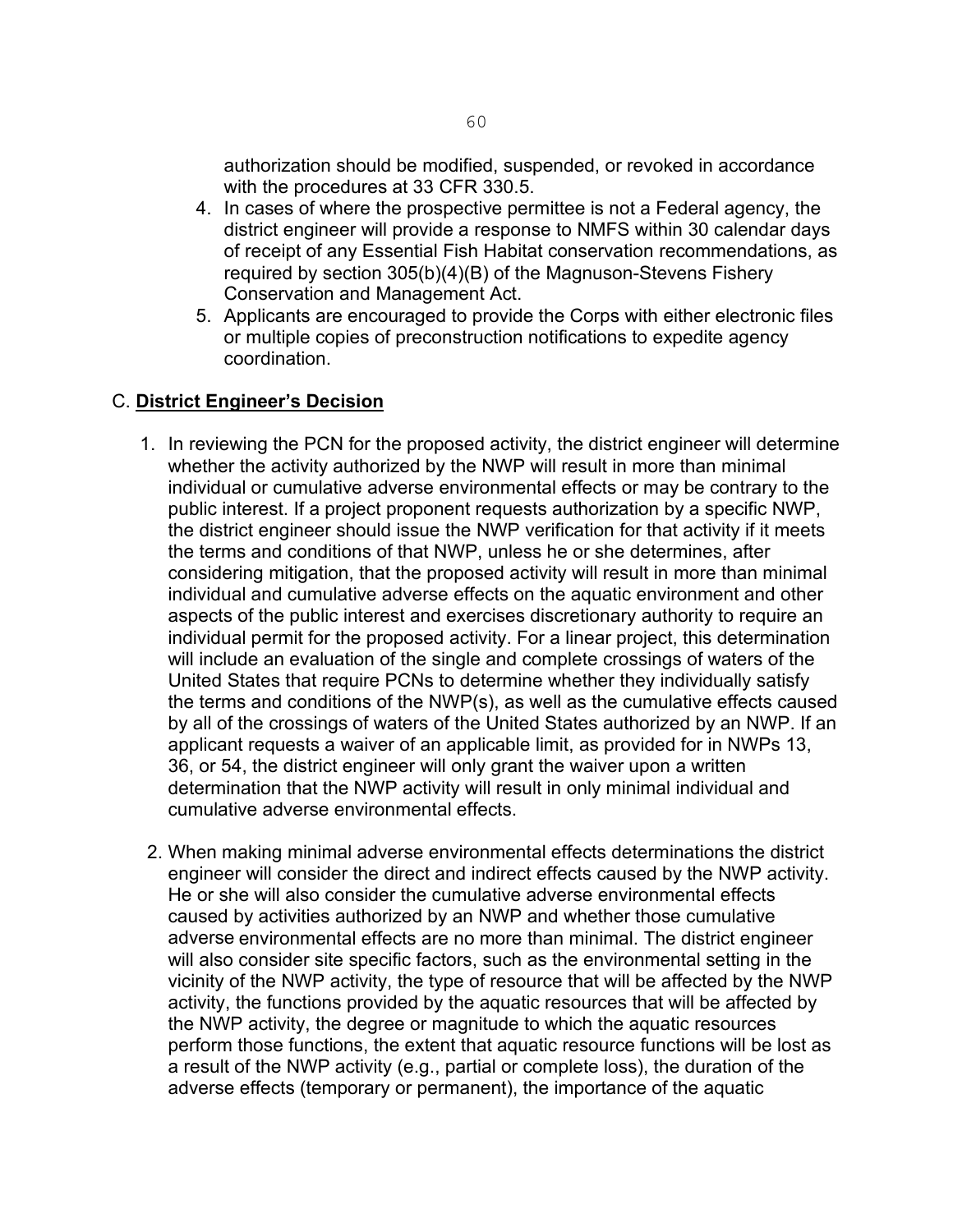authorization should be modified, suspended, or revoked in accordance with the procedures at 33 CFR 330.5.

- 4. In cases of where the prospective permittee is not a Federal agency, the district engineer will provide a response to NMFS within 30 calendar days of receipt of any Essential Fish Habitat conservation recommendations, as required by section 305(b)(4)(B) of the Magnuson-Stevens Fishery Conservation and Management Act.
- 5. Applicants are encouraged to provide the Corps with either electronic files or multiple copies of preconstruction notifications to expedite agency coordination.

#### C. **District Engineer's Decision**

- 1. In reviewing the PCN for the proposed activity, the district engineer will determine whether the activity authorized by the NWP will result in more than minimal individual or cumulative adverse environmental effects or may be contrary to the public interest. If a project proponent requests authorization by a specific NWP, the district engineer should issue the NWP verification for that activity if it meets the terms and conditions of that NWP, unless he or she determines, after considering mitigation, that the proposed activity will result in more than minimal individual and cumulative adverse effects on the aquatic environment and other aspects of the public interest and exercises discretionary authority to require an individual permit for the proposed activity. For a linear project, this determination will include an evaluation of the single and complete crossings of waters of the United States that require PCNs to determine whether they individually satisfy the terms and conditions of the NWP(s), as well as the cumulative effects caused by all of the crossings of waters of the United States authorized by an NWP. If an applicant requests a waiver of an applicable limit, as provided for in NWPs 13, 36, or 54, the district engineer will only grant the waiver upon a written determination that the NWP activity will result in only minimal individual and cumulative adverse environmental effects.
- 2. When making minimal adverse environmental effects determinations the district engineer will consider the direct and indirect effects caused by the NWP activity. He or she will also consider the cumulative adverse environmental effects caused by activities authorized by an NWP and whether those cumulative adverse environmental effects are no more than minimal. The district engineer will also consider site specific factors, such as the environmental setting in the vicinity of the NWP activity, the type of resource that will be affected by the NWP activity, the functions provided by the aquatic resources that will be affected by the NWP activity, the degree or magnitude to which the aquatic resources perform those functions, the extent that aquatic resource functions will be lost as a result of the NWP activity (e.g., partial or complete loss), the duration of the adverse effects (temporary or permanent), the importance of the aquatic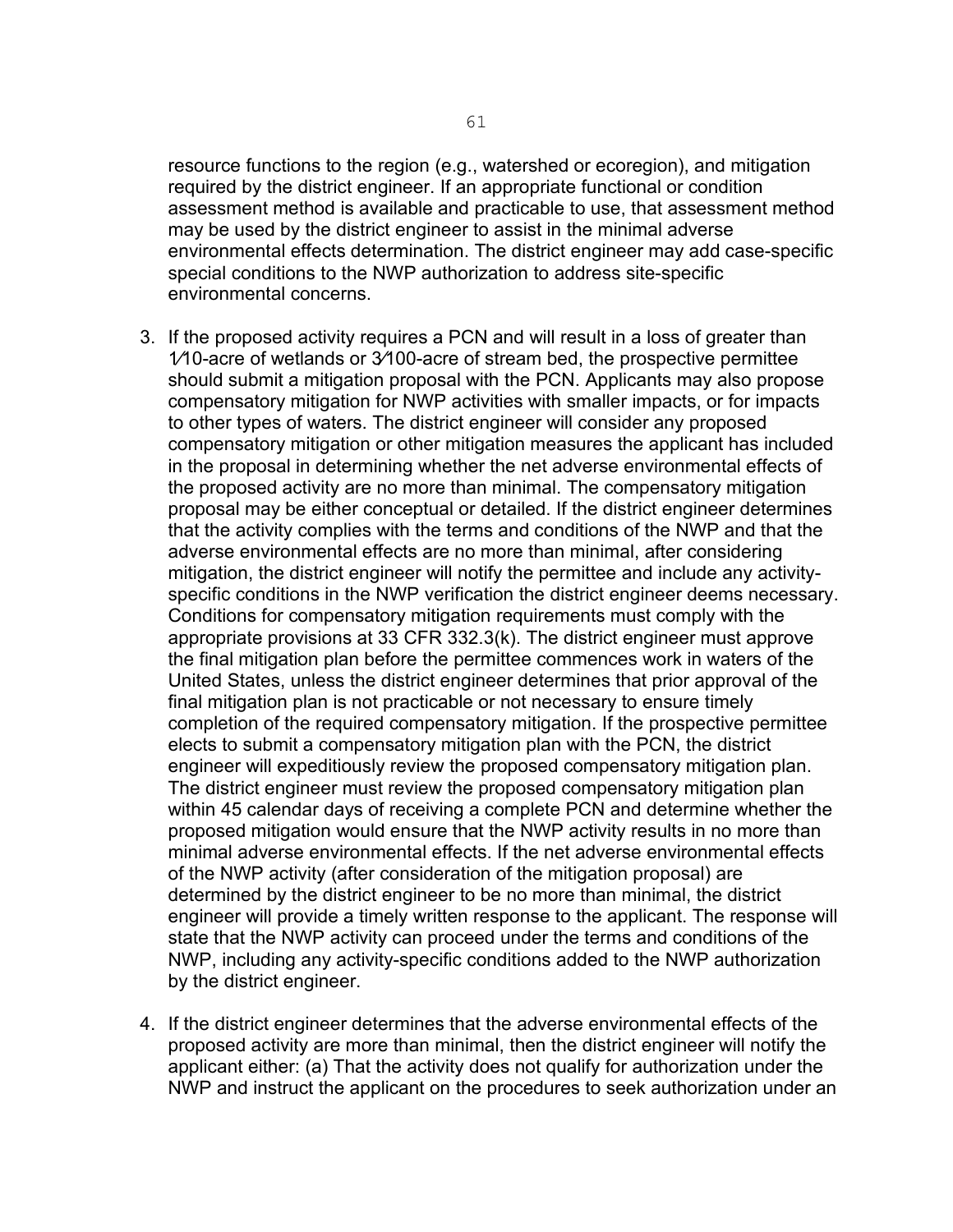resource functions to the region (e.g., watershed or ecoregion), and mitigation required by the district engineer. If an appropriate functional or condition assessment method is available and practicable to use, that assessment method may be used by the district engineer to assist in the minimal adverse environmental effects determination. The district engineer may add case-specific special conditions to the NWP authorization to address site-specific environmental concerns.

- 3. If the proposed activity requires a PCN and will result in a loss of greater than 1⁄10-acre of wetlands or 3⁄100-acre of stream bed, the prospective permittee should submit a mitigation proposal with the PCN. Applicants may also propose compensatory mitigation for NWP activities with smaller impacts, or for impacts to other types of waters. The district engineer will consider any proposed compensatory mitigation or other mitigation measures the applicant has included in the proposal in determining whether the net adverse environmental effects of the proposed activity are no more than minimal. The compensatory mitigation proposal may be either conceptual or detailed. If the district engineer determines that the activity complies with the terms and conditions of the NWP and that the adverse environmental effects are no more than minimal, after considering mitigation, the district engineer will notify the permittee and include any activityspecific conditions in the NWP verification the district engineer deems necessary. Conditions for compensatory mitigation requirements must comply with the appropriate provisions at 33 CFR 332.3(k). The district engineer must approve the final mitigation plan before the permittee commences work in waters of the United States, unless the district engineer determines that prior approval of the final mitigation plan is not practicable or not necessary to ensure timely completion of the required compensatory mitigation. If the prospective permittee elects to submit a compensatory mitigation plan with the PCN, the district engineer will expeditiously review the proposed compensatory mitigation plan. The district engineer must review the proposed compensatory mitigation plan within 45 calendar days of receiving a complete PCN and determine whether the proposed mitigation would ensure that the NWP activity results in no more than minimal adverse environmental effects. If the net adverse environmental effects of the NWP activity (after consideration of the mitigation proposal) are determined by the district engineer to be no more than minimal, the district engineer will provide a timely written response to the applicant. The response will state that the NWP activity can proceed under the terms and conditions of the NWP, including any activity-specific conditions added to the NWP authorization by the district engineer.
- 4. If the district engineer determines that the adverse environmental effects of the proposed activity are more than minimal, then the district engineer will notify the applicant either: (a) That the activity does not qualify for authorization under the NWP and instruct the applicant on the procedures to seek authorization under an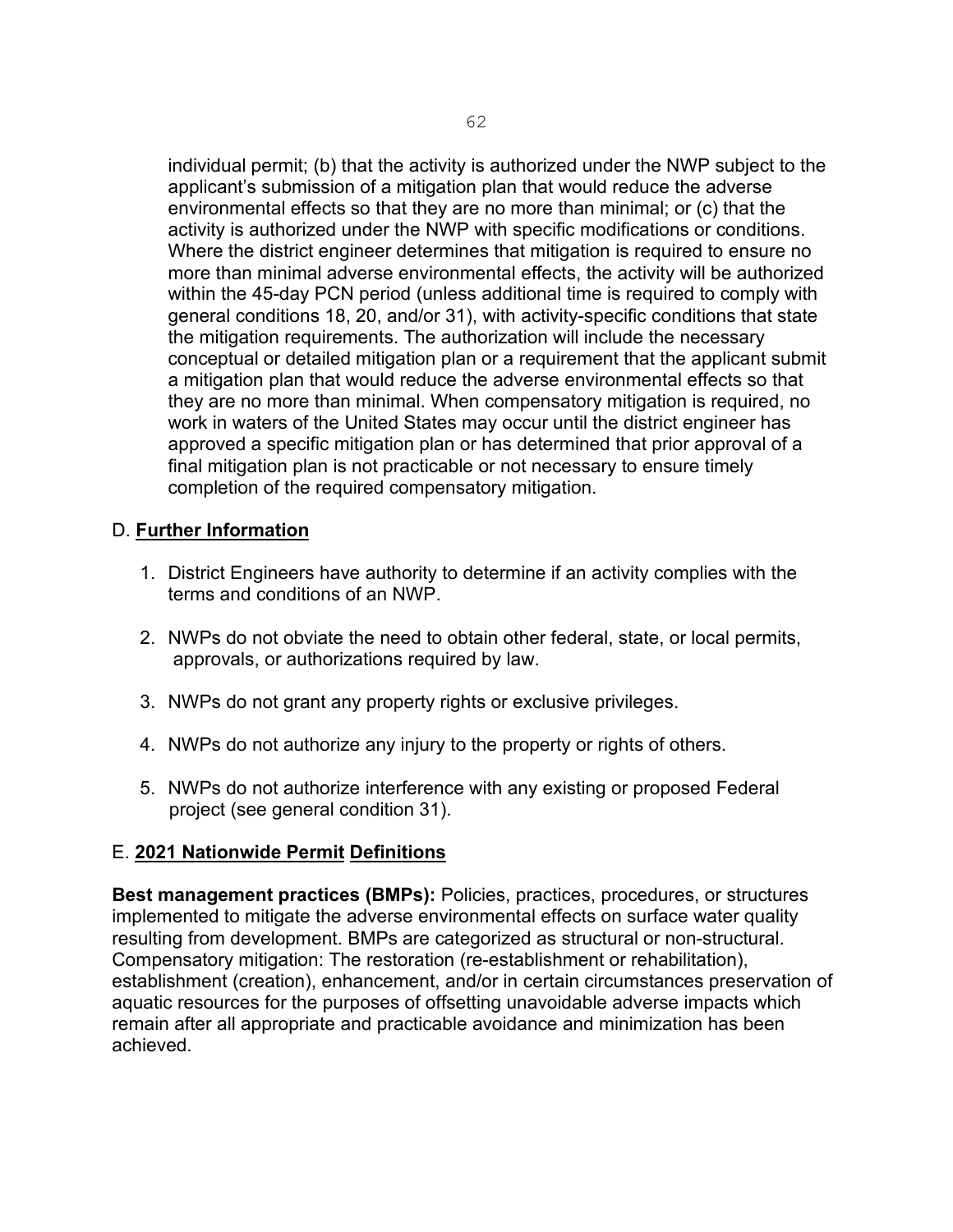individual permit; (b) that the activity is authorized under the NWP subject to the applicant's submission of a mitigation plan that would reduce the adverse environmental effects so that they are no more than minimal; or (c) that the activity is authorized under the NWP with specific modifications or conditions. Where the district engineer determines that mitigation is required to ensure no more than minimal adverse environmental effects, the activity will be authorized within the 45-day PCN period (unless additional time is required to comply with general conditions 18, 20, and/or 31), with activity-specific conditions that state the mitigation requirements. The authorization will include the necessary conceptual or detailed mitigation plan or a requirement that the applicant submit a mitigation plan that would reduce the adverse environmental effects so that they are no more than minimal. When compensatory mitigation is required, no work in waters of the United States may occur until the district engineer has approved a specific mitigation plan or has determined that prior approval of a final mitigation plan is not practicable or not necessary to ensure timely completion of the required compensatory mitigation.

#### D. **Further Information**

- 1. District Engineers have authority to determine if an activity complies with the terms and conditions of an NWP.
- 2. NWPs do not obviate the need to obtain other federal, state, or local permits, approvals, or authorizations required by law.
- 3. NWPs do not grant any property rights or exclusive privileges.
- 4. NWPs do not authorize any injury to the property or rights of others.
- 5. NWPs do not authorize interference with any existing or proposed Federal project (see general condition 31).

# E. **2021 Nationwide Permit Definitions**

**Best management practices (BMPs):** Policies, practices, procedures, or structures implemented to mitigate the adverse environmental effects on surface water quality resulting from development. BMPs are categorized as structural or non-structural. Compensatory mitigation: The restoration (re-establishment or rehabilitation), establishment (creation), enhancement, and/or in certain circumstances preservation of aquatic resources for the purposes of offsetting unavoidable adverse impacts which remain after all appropriate and practicable avoidance and minimization has been achieved.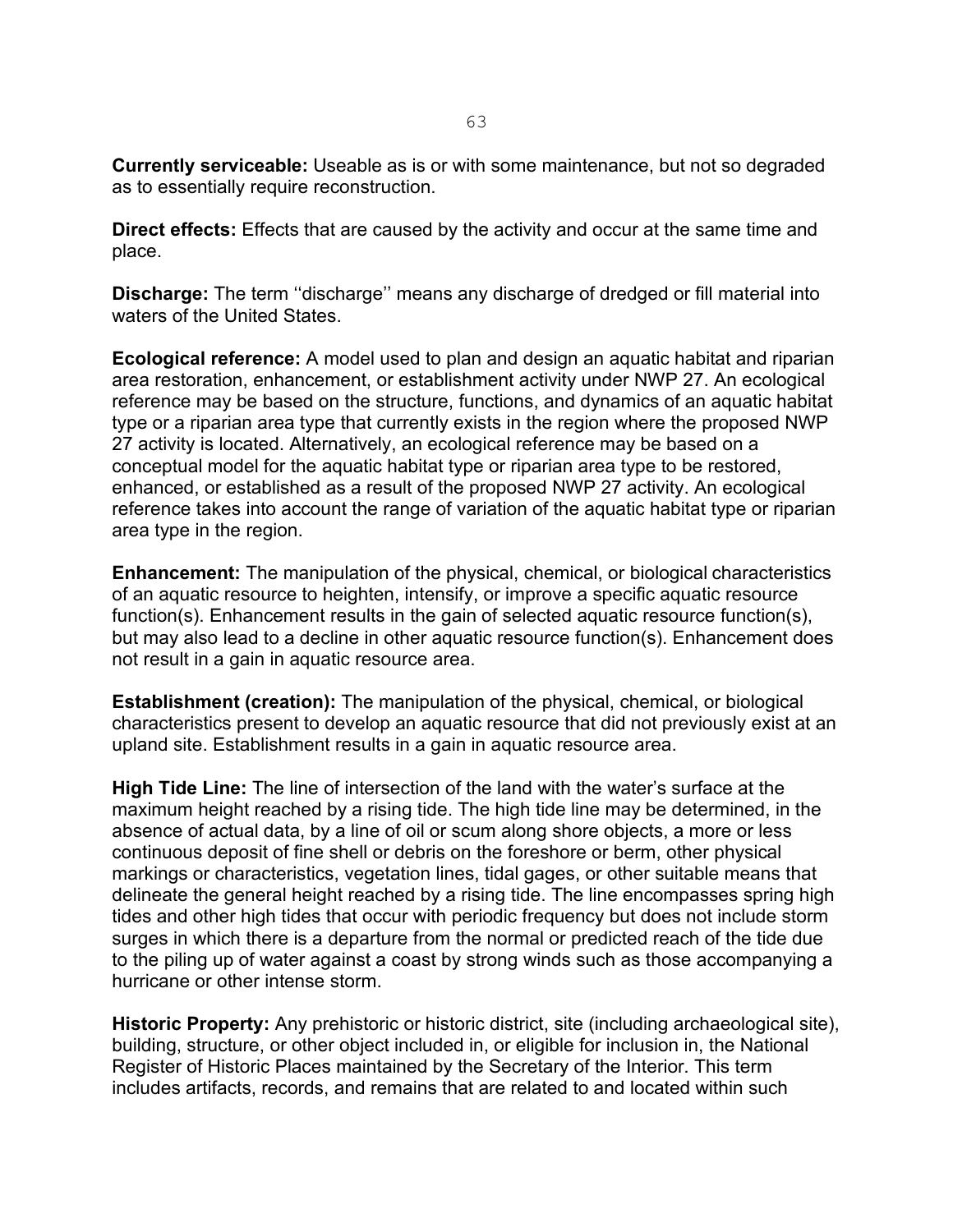**Currently serviceable:** Useable as is or with some maintenance, but not so degraded as to essentially require reconstruction.

**Direct effects:** Effects that are caused by the activity and occur at the same time and place.

**Discharge:** The term ''discharge'' means any discharge of dredged or fill material into waters of the United States.

**Ecological reference:** A model used to plan and design an aquatic habitat and riparian area restoration, enhancement, or establishment activity under NWP 27. An ecological reference may be based on the structure, functions, and dynamics of an aquatic habitat type or a riparian area type that currently exists in the region where the proposed NWP 27 activity is located. Alternatively, an ecological reference may be based on a conceptual model for the aquatic habitat type or riparian area type to be restored, enhanced, or established as a result of the proposed NWP 27 activity. An ecological reference takes into account the range of variation of the aquatic habitat type or riparian area type in the region.

**Enhancement:** The manipulation of the physical, chemical, or biological characteristics of an aquatic resource to heighten, intensify, or improve a specific aquatic resource function(s). Enhancement results in the gain of selected aquatic resource function(s), but may also lead to a decline in other aquatic resource function(s). Enhancement does not result in a gain in aquatic resource area.

**Establishment (creation):** The manipulation of the physical, chemical, or biological characteristics present to develop an aquatic resource that did not previously exist at an upland site. Establishment results in a gain in aquatic resource area.

**High Tide Line:** The line of intersection of the land with the water's surface at the maximum height reached by a rising tide. The high tide line may be determined, in the absence of actual data, by a line of oil or scum along shore objects, a more or less continuous deposit of fine shell or debris on the foreshore or berm, other physical markings or characteristics, vegetation lines, tidal gages, or other suitable means that delineate the general height reached by a rising tide. The line encompasses spring high tides and other high tides that occur with periodic frequency but does not include storm surges in which there is a departure from the normal or predicted reach of the tide due to the piling up of water against a coast by strong winds such as those accompanying a hurricane or other intense storm.

**Historic Property:** Any prehistoric or historic district, site (including archaeological site), building, structure, or other object included in, or eligible for inclusion in, the National Register of Historic Places maintained by the Secretary of the Interior. This term includes artifacts, records, and remains that are related to and located within such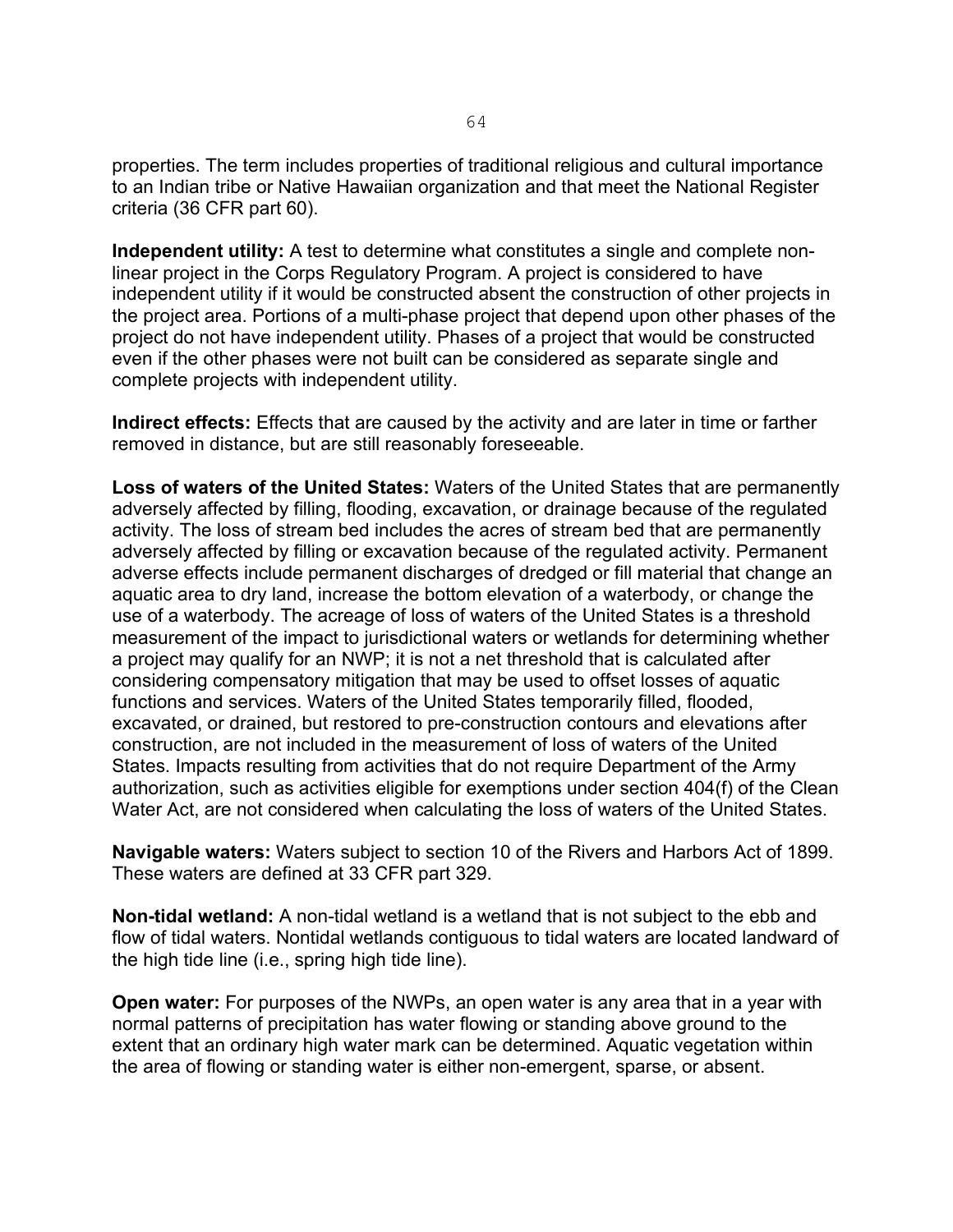properties. The term includes properties of traditional religious and cultural importance to an Indian tribe or Native Hawaiian organization and that meet the National Register criteria (36 CFR part 60).

**Independent utility:** A test to determine what constitutes a single and complete nonlinear project in the Corps Regulatory Program. A project is considered to have independent utility if it would be constructed absent the construction of other projects in the project area. Portions of a multi-phase project that depend upon other phases of the project do not have independent utility. Phases of a project that would be constructed even if the other phases were not built can be considered as separate single and complete projects with independent utility.

**Indirect effects:** Effects that are caused by the activity and are later in time or farther removed in distance, but are still reasonably foreseeable.

**Loss of waters of the United States:** Waters of the United States that are permanently adversely affected by filling, flooding, excavation, or drainage because of the regulated activity. The loss of stream bed includes the acres of stream bed that are permanently adversely affected by filling or excavation because of the regulated activity. Permanent adverse effects include permanent discharges of dredged or fill material that change an aquatic area to dry land, increase the bottom elevation of a waterbody, or change the use of a waterbody. The acreage of loss of waters of the United States is a threshold measurement of the impact to jurisdictional waters or wetlands for determining whether a project may qualify for an NWP; it is not a net threshold that is calculated after considering compensatory mitigation that may be used to offset losses of aquatic functions and services. Waters of the United States temporarily filled, flooded, excavated, or drained, but restored to pre-construction contours and elevations after construction, are not included in the measurement of loss of waters of the United States. Impacts resulting from activities that do not require Department of the Army authorization, such as activities eligible for exemptions under section 404(f) of the Clean Water Act, are not considered when calculating the loss of waters of the United States.

**Navigable waters:** Waters subject to section 10 of the Rivers and Harbors Act of 1899. These waters are defined at 33 CFR part 329.

**Non-tidal wetland:** A non-tidal wetland is a wetland that is not subject to the ebb and flow of tidal waters. Nontidal wetlands contiguous to tidal waters are located landward of the high tide line (i.e., spring high tide line).

**Open water:** For purposes of the NWPs, an open water is any area that in a year with normal patterns of precipitation has water flowing or standing above ground to the extent that an ordinary high water mark can be determined. Aquatic vegetation within the area of flowing or standing water is either non-emergent, sparse, or absent.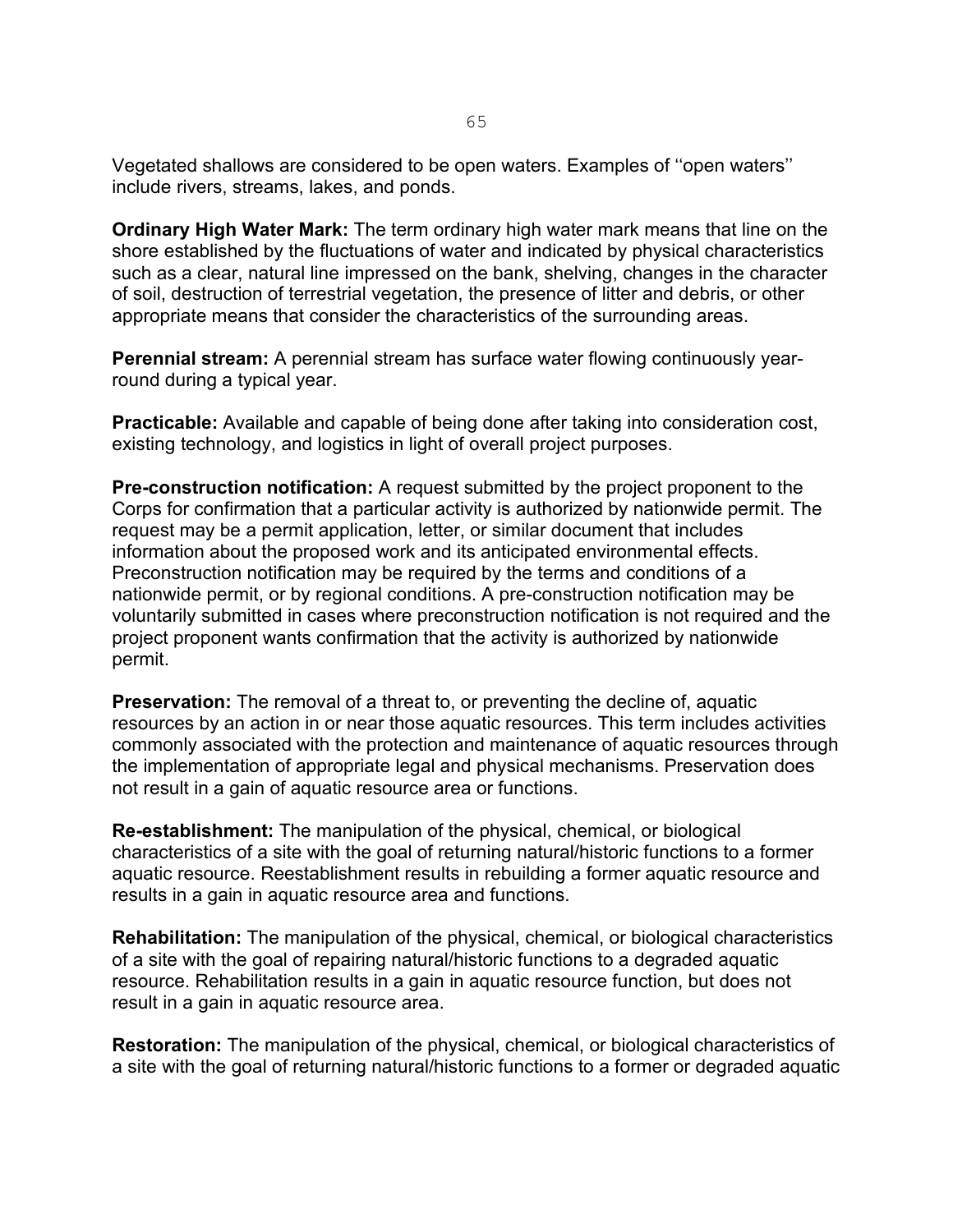Vegetated shallows are considered to be open waters. Examples of ''open waters'' include rivers, streams, lakes, and ponds.

**Ordinary High Water Mark:** The term ordinary high water mark means that line on the shore established by the fluctuations of water and indicated by physical characteristics such as a clear, natural line impressed on the bank, shelving, changes in the character of soil, destruction of terrestrial vegetation, the presence of litter and debris, or other appropriate means that consider the characteristics of the surrounding areas.

**Perennial stream:** A perennial stream has surface water flowing continuously yearround during a typical year.

**Practicable:** Available and capable of being done after taking into consideration cost, existing technology, and logistics in light of overall project purposes.

**Pre-construction notification:** A request submitted by the project proponent to the Corps for confirmation that a particular activity is authorized by nationwide permit. The request may be a permit application, letter, or similar document that includes information about the proposed work and its anticipated environmental effects. Preconstruction notification may be required by the terms and conditions of a nationwide permit, or by regional conditions. A pre-construction notification may be voluntarily submitted in cases where preconstruction notification is not required and the project proponent wants confirmation that the activity is authorized by nationwide permit.

**Preservation:** The removal of a threat to, or preventing the decline of, aquatic resources by an action in or near those aquatic resources. This term includes activities commonly associated with the protection and maintenance of aquatic resources through the implementation of appropriate legal and physical mechanisms. Preservation does not result in a gain of aquatic resource area or functions.

**Re-establishment:** The manipulation of the physical, chemical, or biological characteristics of a site with the goal of returning natural/historic functions to a former aquatic resource. Reestablishment results in rebuilding a former aquatic resource and results in a gain in aquatic resource area and functions.

**Rehabilitation:** The manipulation of the physical, chemical, or biological characteristics of a site with the goal of repairing natural/historic functions to a degraded aquatic resource. Rehabilitation results in a gain in aquatic resource function, but does not result in a gain in aquatic resource area.

**Restoration:** The manipulation of the physical, chemical, or biological characteristics of a site with the goal of returning natural/historic functions to a former or degraded aquatic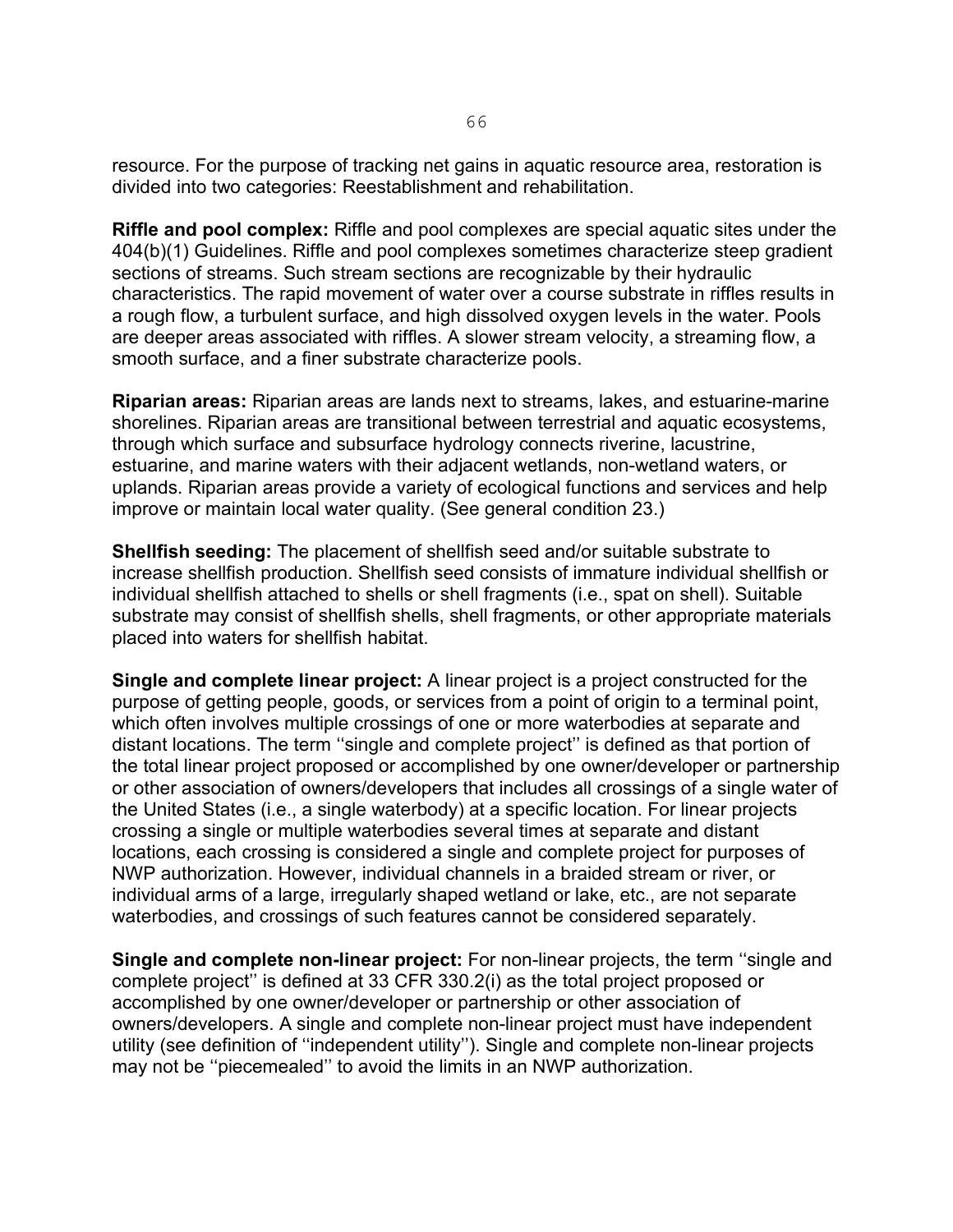resource. For the purpose of tracking net gains in aquatic resource area, restoration is divided into two categories: Reestablishment and rehabilitation.

**Riffle and pool complex:** Riffle and pool complexes are special aquatic sites under the 404(b)(1) Guidelines. Riffle and pool complexes sometimes characterize steep gradient sections of streams. Such stream sections are recognizable by their hydraulic characteristics. The rapid movement of water over a course substrate in riffles results in a rough flow, a turbulent surface, and high dissolved oxygen levels in the water. Pools are deeper areas associated with riffles. A slower stream velocity, a streaming flow, a smooth surface, and a finer substrate characterize pools.

**Riparian areas:** Riparian areas are lands next to streams, lakes, and estuarine-marine shorelines. Riparian areas are transitional between terrestrial and aquatic ecosystems, through which surface and subsurface hydrology connects riverine, lacustrine, estuarine, and marine waters with their adjacent wetlands, non-wetland waters, or uplands. Riparian areas provide a variety of ecological functions and services and help improve or maintain local water quality. (See general condition 23.)

**Shellfish seeding:** The placement of shellfish seed and/or suitable substrate to increase shellfish production. Shellfish seed consists of immature individual shellfish or individual shellfish attached to shells or shell fragments (i.e., spat on shell). Suitable substrate may consist of shellfish shells, shell fragments, or other appropriate materials placed into waters for shellfish habitat.

**Single and complete linear project:** A linear project is a project constructed for the purpose of getting people, goods, or services from a point of origin to a terminal point, which often involves multiple crossings of one or more waterbodies at separate and distant locations. The term ''single and complete project'' is defined as that portion of the total linear project proposed or accomplished by one owner/developer or partnership or other association of owners/developers that includes all crossings of a single water of the United States (i.e., a single waterbody) at a specific location. For linear projects crossing a single or multiple waterbodies several times at separate and distant locations, each crossing is considered a single and complete project for purposes of NWP authorization. However, individual channels in a braided stream or river, or individual arms of a large, irregularly shaped wetland or lake, etc., are not separate waterbodies, and crossings of such features cannot be considered separately.

**Single and complete non-linear project:** For non-linear projects, the term ''single and complete project'' is defined at 33 CFR 330.2(i) as the total project proposed or accomplished by one owner/developer or partnership or other association of owners/developers. A single and complete non-linear project must have independent utility (see definition of ''independent utility''). Single and complete non-linear projects may not be ''piecemealed'' to avoid the limits in an NWP authorization.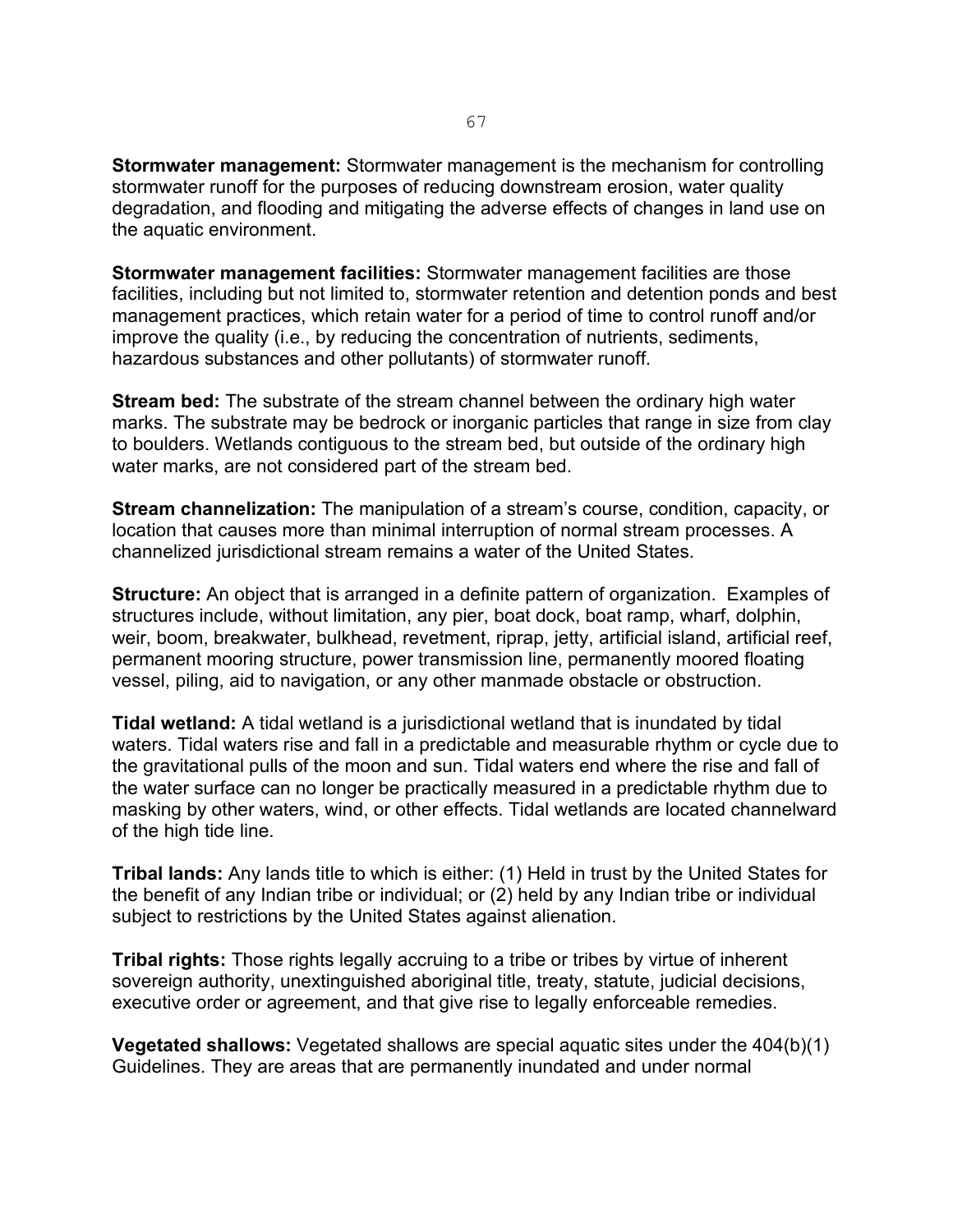**Stormwater management:** Stormwater management is the mechanism for controlling stormwater runoff for the purposes of reducing downstream erosion, water quality degradation, and flooding and mitigating the adverse effects of changes in land use on the aquatic environment.

**Stormwater management facilities:** Stormwater management facilities are those facilities, including but not limited to, stormwater retention and detention ponds and best management practices, which retain water for a period of time to control runoff and/or improve the quality (i.e., by reducing the concentration of nutrients, sediments, hazardous substances and other pollutants) of stormwater runoff.

**Stream bed:** The substrate of the stream channel between the ordinary high water marks. The substrate may be bedrock or inorganic particles that range in size from clay to boulders. Wetlands contiguous to the stream bed, but outside of the ordinary high water marks, are not considered part of the stream bed.

**Stream channelization:** The manipulation of a stream's course, condition, capacity, or location that causes more than minimal interruption of normal stream processes. A channelized jurisdictional stream remains a water of the United States.

**Structure:** An object that is arranged in a definite pattern of organization. Examples of structures include, without limitation, any pier, boat dock, boat ramp, wharf, dolphin, weir, boom, breakwater, bulkhead, revetment, riprap, jetty, artificial island, artificial reef, permanent mooring structure, power transmission line, permanently moored floating vessel, piling, aid to navigation, or any other manmade obstacle or obstruction.

**Tidal wetland:** A tidal wetland is a jurisdictional wetland that is inundated by tidal waters. Tidal waters rise and fall in a predictable and measurable rhythm or cycle due to the gravitational pulls of the moon and sun. Tidal waters end where the rise and fall of the water surface can no longer be practically measured in a predictable rhythm due to masking by other waters, wind, or other effects. Tidal wetlands are located channelward of the high tide line.

**Tribal lands:** Any lands title to which is either: (1) Held in trust by the United States for the benefit of any Indian tribe or individual; or (2) held by any Indian tribe or individual subject to restrictions by the United States against alienation.

**Tribal rights:** Those rights legally accruing to a tribe or tribes by virtue of inherent sovereign authority, unextinguished aboriginal title, treaty, statute, judicial decisions, executive order or agreement, and that give rise to legally enforceable remedies.

**Vegetated shallows:** Vegetated shallows are special aquatic sites under the 404(b)(1) Guidelines. They are areas that are permanently inundated and under normal